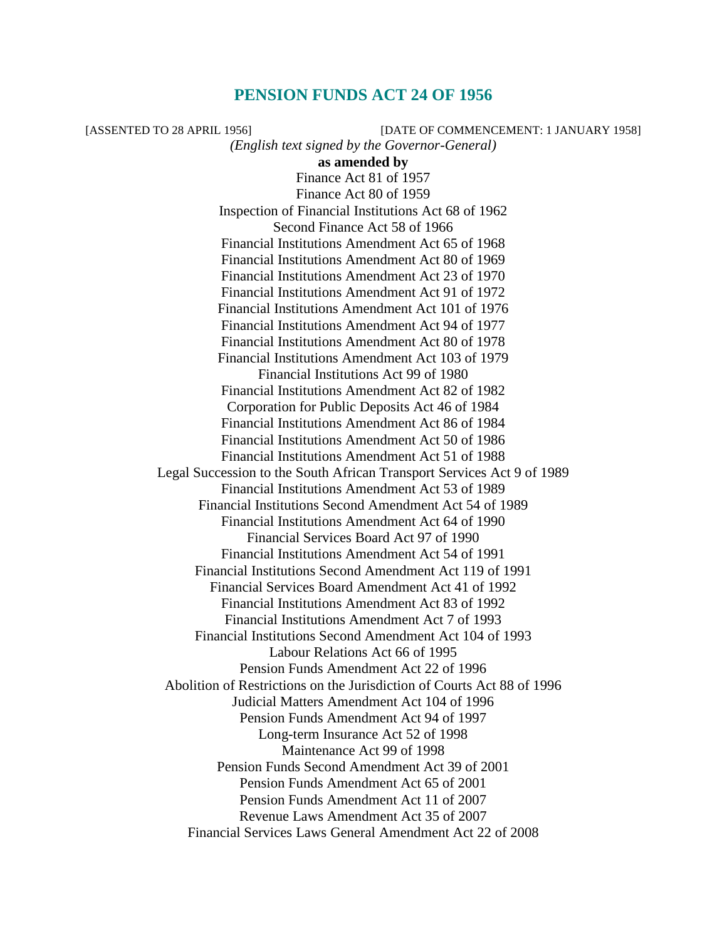# **PENSION FUNDS ACT 24 OF 1956**

[ASSENTED TO 28 APRIL 1956] [DATE OF COMMENCEMENT: 1 JANUARY 1958] *(English text signed by the Governor-General)*  **as amended by**  Finance Act 81 of 1957 Finance Act 80 of 1959 Inspection of Financial Institutions Act 68 of 1962 Second Finance Act 58 of 1966 Financial Institutions Amendment Act 65 of 1968 Financial Institutions Amendment Act 80 of 1969 Financial Institutions Amendment Act 23 of 1970 Financial Institutions Amendment Act 91 of 1972 Financial Institutions Amendment Act 101 of 1976 Financial Institutions Amendment Act 94 of 1977 Financial Institutions Amendment Act 80 of 1978 Financial Institutions Amendment Act 103 of 1979 Financial Institutions Act 99 of 1980 Financial Institutions Amendment Act 82 of 1982 Corporation for Public Deposits Act 46 of 1984 Financial Institutions Amendment Act 86 of 1984 Financial Institutions Amendment Act 50 of 1986 Financial Institutions Amendment Act 51 of 1988 Legal Succession to the South African Transport Services Act 9 of 1989 Financial Institutions Amendment Act 53 of 1989 Financial Institutions Second Amendment Act 54 of 1989 Financial Institutions Amendment Act 64 of 1990 Financial Services Board Act 97 of 1990 Financial Institutions Amendment Act 54 of 1991 Financial Institutions Second Amendment Act 119 of 1991 Financial Services Board Amendment Act 41 of 1992 Financial Institutions Amendment Act 83 of 1992 Financial Institutions Amendment Act 7 of 1993 Financial Institutions Second Amendment Act 104 of 1993 Labour Relations Act 66 of 1995 Pension Funds Amendment Act 22 of 1996 Abolition of Restrictions on the Jurisdiction of Courts Act 88 of 1996 Judicial Matters Amendment Act 104 of 1996 Pension Funds Amendment Act 94 of 1997 Long-term Insurance Act 52 of 1998 Maintenance Act 99 of 1998 Pension Funds Second Amendment Act 39 of 2001 Pension Funds Amendment Act 65 of 2001 Pension Funds Amendment Act 11 of 2007 Revenue Laws Amendment Act 35 of 2007 Financial Services Laws General Amendment Act 22 of 2008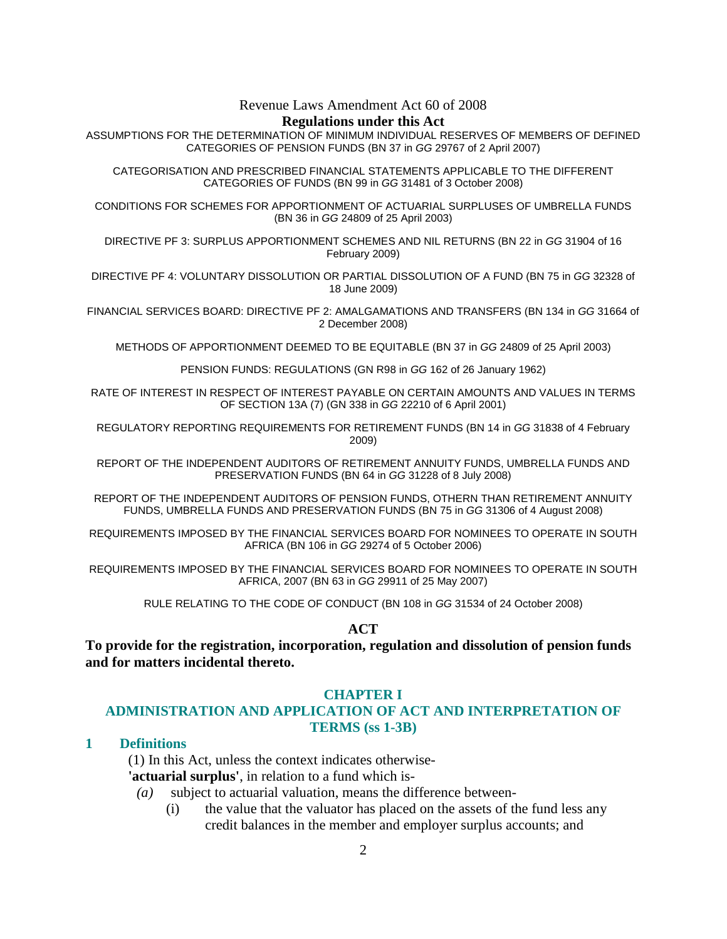Revenue Laws Amendment Act 60 of 2008

#### **Regulations under this Act**

ASSUMPTIONS FOR THE DETERMINATION OF MINIMUM INDIVIDUAL RESERVES OF MEMBERS OF DEFINED CATEGORIES OF PENSION FUNDS (BN 37 in GG 29767 of 2 April 2007)

CATEGORISATION AND PRESCRIBED FINANCIAL STATEMENTS APPLICABLE TO THE DIFFERENT CATEGORIES OF FUNDS (BN 99 in GG 31481 of 3 October 2008)

CONDITIONS FOR SCHEMES FOR APPORTIONMENT OF ACTUARIAL SURPLUSES OF UMBRELLA FUNDS (BN 36 in GG 24809 of 25 April 2003)

DIRECTIVE PF 3: SURPLUS APPORTIONMENT SCHEMES AND NIL RETURNS (BN 22 in GG 31904 of 16 February 2009)

DIRECTIVE PF 4: VOLUNTARY DISSOLUTION OR PARTIAL DISSOLUTION OF A FUND (BN 75 in GG 32328 of 18 June 2009)

FINANCIAL SERVICES BOARD: DIRECTIVE PF 2: AMALGAMATIONS AND TRANSFERS (BN 134 in GG 31664 of 2 December 2008)

METHODS OF APPORTIONMENT DEEMED TO BE EQUITABLE (BN 37 in GG 24809 of 25 April 2003)

PENSION FUNDS: REGULATIONS (GN R98 in GG 162 of 26 January 1962)

RATE OF INTEREST IN RESPECT OF INTEREST PAYABLE ON CERTAIN AMOUNTS AND VALUES IN TERMS OF SECTION 13A (7) (GN 338 in GG 22210 of 6 April 2001)

REGULATORY REPORTING REQUIREMENTS FOR RETIREMENT FUNDS (BN 14 in GG 31838 of 4 February 2009)

REPORT OF THE INDEPENDENT AUDITORS OF RETIREMENT ANNUITY FUNDS, UMBRELLA FUNDS AND PRESERVATION FUNDS (BN 64 in GG 31228 of 8 July 2008)

REPORT OF THE INDEPENDENT AUDITORS OF PENSION FUNDS, OTHERN THAN RETIREMENT ANNUITY FUNDS, UMBRELLA FUNDS AND PRESERVATION FUNDS (BN 75 in GG 31306 of 4 August 2008)

REQUIREMENTS IMPOSED BY THE FINANCIAL SERVICES BOARD FOR NOMINEES TO OPERATE IN SOUTH AFRICA (BN 106 in GG 29274 of 5 October 2006)

REQUIREMENTS IMPOSED BY THE FINANCIAL SERVICES BOARD FOR NOMINEES TO OPERATE IN SOUTH AFRICA, 2007 (BN 63 in GG 29911 of 25 May 2007)

RULE RELATING TO THE CODE OF CONDUCT (BN 108 in GG 31534 of 24 October 2008)

## **ACT**

**To provide for the registration, incorporation, regulation and dissolution of pension funds and for matters incidental thereto.** 

#### **CHAPTER I**

## **ADMINISTRATION AND APPLICATION OF ACT AND INTERPRETATION OF TERMS (ss 1-3B)**

# **1 Definitions**

 (1) In this Act, unless the context indicates otherwise- **'actuarial surplus'**, in relation to a fund which is-

- *(a)* subject to actuarial valuation, means the difference between-
	- (i) the value that the valuator has placed on the assets of the fund less any credit balances in the member and employer surplus accounts; and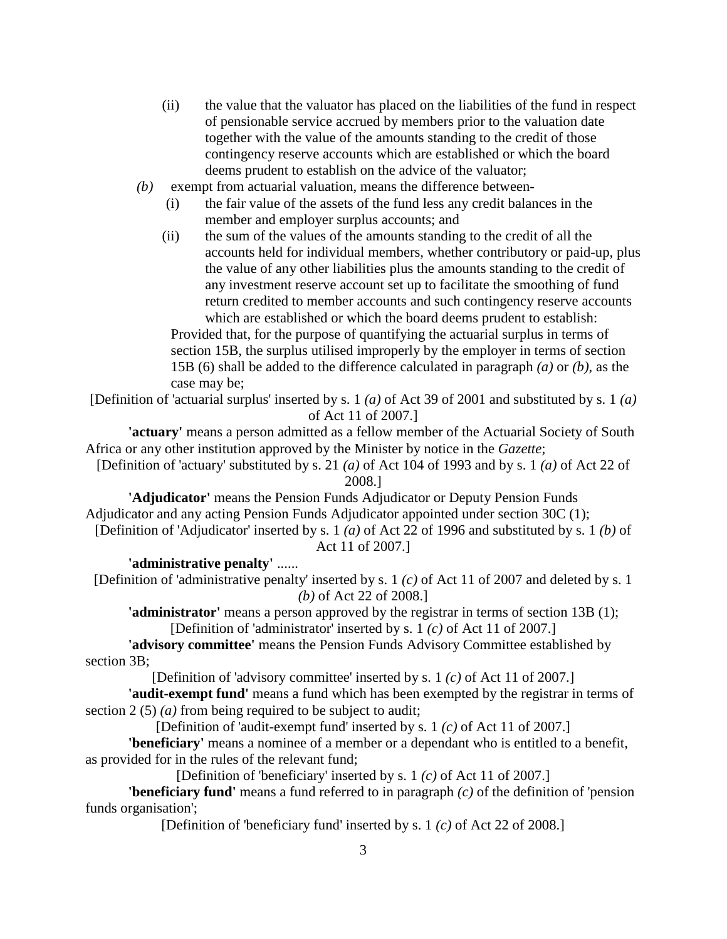- (ii) the value that the valuator has placed on the liabilities of the fund in respect of pensionable service accrued by members prior to the valuation date together with the value of the amounts standing to the credit of those contingency reserve accounts which are established or which the board deems prudent to establish on the advice of the valuator;
- *(b)* exempt from actuarial valuation, means the difference between-
	- (i) the fair value of the assets of the fund less any credit balances in the member and employer surplus accounts; and
	- (ii) the sum of the values of the amounts standing to the credit of all the accounts held for individual members, whether contributory or paid-up, plus the value of any other liabilities plus the amounts standing to the credit of any investment reserve account set up to facilitate the smoothing of fund return credited to member accounts and such contingency reserve accounts which are established or which the board deems prudent to establish:

 Provided that, for the purpose of quantifying the actuarial surplus in terms of section 15B, the surplus utilised improperly by the employer in terms of section 15B (6) shall be added to the difference calculated in paragraph *(a)* or *(b)*, as the case may be;

[Definition of 'actuarial surplus' inserted by s. 1 *(a)* of Act 39 of 2001 and substituted by s. 1 *(a)* of Act 11 of 2007.]

**'actuary'** means a person admitted as a fellow member of the Actuarial Society of South Africa or any other institution approved by the Minister by notice in the *Gazette*;

[Definition of 'actuary' substituted by s. 21 *(a)* of Act 104 of 1993 and by s. 1 *(a)* of Act 22 of 2008.]

**'Adjudicator'** means the Pension Funds Adjudicator or Deputy Pension Funds Adjudicator and any acting Pension Funds Adjudicator appointed under section 30C (1);

[Definition of 'Adjudicator' inserted by s. 1 *(a)* of Act 22 of 1996 and substituted by s. 1 *(b)* of Act 11 of 2007.]

# **'administrative penalty'** ......

[Definition of 'administrative penalty' inserted by s. 1 *(c)* of Act 11 of 2007 and deleted by s. 1 *(b)* of Act 22 of 2008.]

**'administrator'** means a person approved by the registrar in terms of section 13B (1); [Definition of 'administrator' inserted by s. 1 *(c)* of Act 11 of 2007.]

**'advisory committee'** means the Pension Funds Advisory Committee established by section 3B;

[Definition of 'advisory committee' inserted by s. 1 *(c)* of Act 11 of 2007.]

**'audit-exempt fund'** means a fund which has been exempted by the registrar in terms of section 2 (5) *(a)* from being required to be subject to audit;

[Definition of 'audit-exempt fund' inserted by s. 1 *(c)* of Act 11 of 2007.]

**'beneficiary'** means a nominee of a member or a dependant who is entitled to a benefit, as provided for in the rules of the relevant fund;

[Definition of 'beneficiary' inserted by s. 1 *(c)* of Act 11 of 2007.]

**'beneficiary fund'** means a fund referred to in paragraph *(c)* of the definition of 'pension funds organisation';

[Definition of 'beneficiary fund' inserted by s. 1 *(c)* of Act 22 of 2008.]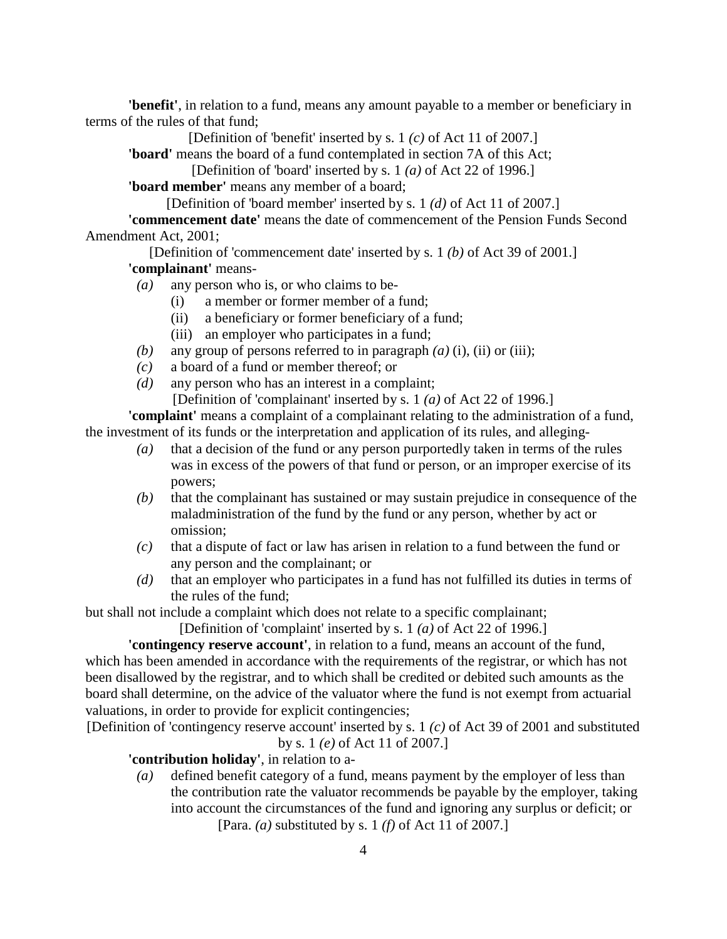**'benefit'**, in relation to a fund, means any amount payable to a member or beneficiary in terms of the rules of that fund;

[Definition of 'benefit' inserted by s. 1 *(c)* of Act 11 of 2007.]

**'board'** means the board of a fund contemplated in section 7A of this Act;

[Definition of 'board' inserted by s. 1 *(a)* of Act 22 of 1996.]

**'board member'** means any member of a board;

[Definition of 'board member' inserted by s. 1 *(d)* of Act 11 of 2007.]

**'commencement date'** means the date of commencement of the Pension Funds Second Amendment Act, 2001;

[Definition of 'commencement date' inserted by s. 1 *(b)* of Act 39 of 2001.] **'complainant'** means-

- *(a)* any person who is, or who claims to be-
	- (i) a member or former member of a fund;
	- (ii) a beneficiary or former beneficiary of a fund;
	- (iii) an employer who participates in a fund;
- *(b)* any group of persons referred to in paragraph *(a)* (i), (ii) or (iii);
- *(c)* a board of a fund or member thereof; or
- *(d)* any person who has an interest in a complaint;

[Definition of 'complainant' inserted by s. 1 *(a)* of Act 22 of 1996.]

**'complaint'** means a complaint of a complainant relating to the administration of a fund, the investment of its funds or the interpretation and application of its rules, and alleging-

- *(a)* that a decision of the fund or any person purportedly taken in terms of the rules was in excess of the powers of that fund or person, or an improper exercise of its powers;
- *(b)* that the complainant has sustained or may sustain prejudice in consequence of the maladministration of the fund by the fund or any person, whether by act or omission;
- *(c)* that a dispute of fact or law has arisen in relation to a fund between the fund or any person and the complainant; or
- *(d)* that an employer who participates in a fund has not fulfilled its duties in terms of the rules of the fund;

but shall not include a complaint which does not relate to a specific complainant;

[Definition of 'complaint' inserted by s. 1 *(a)* of Act 22 of 1996.]

**'contingency reserve account'**, in relation to a fund, means an account of the fund, which has been amended in accordance with the requirements of the registrar, or which has not been disallowed by the registrar, and to which shall be credited or debited such amounts as the board shall determine, on the advice of the valuator where the fund is not exempt from actuarial valuations, in order to provide for explicit contingencies;

[Definition of 'contingency reserve account' inserted by s. 1 *(c)* of Act 39 of 2001 and substituted by s. 1 *(e)* of Act 11 of 2007.]

**'contribution holiday'**, in relation to a-

 *(a)* defined benefit category of a fund, means payment by the employer of less than the contribution rate the valuator recommends be payable by the employer, taking into account the circumstances of the fund and ignoring any surplus or deficit; or [Para. *(a)* substituted by s. 1 *(f)* of Act 11 of 2007.]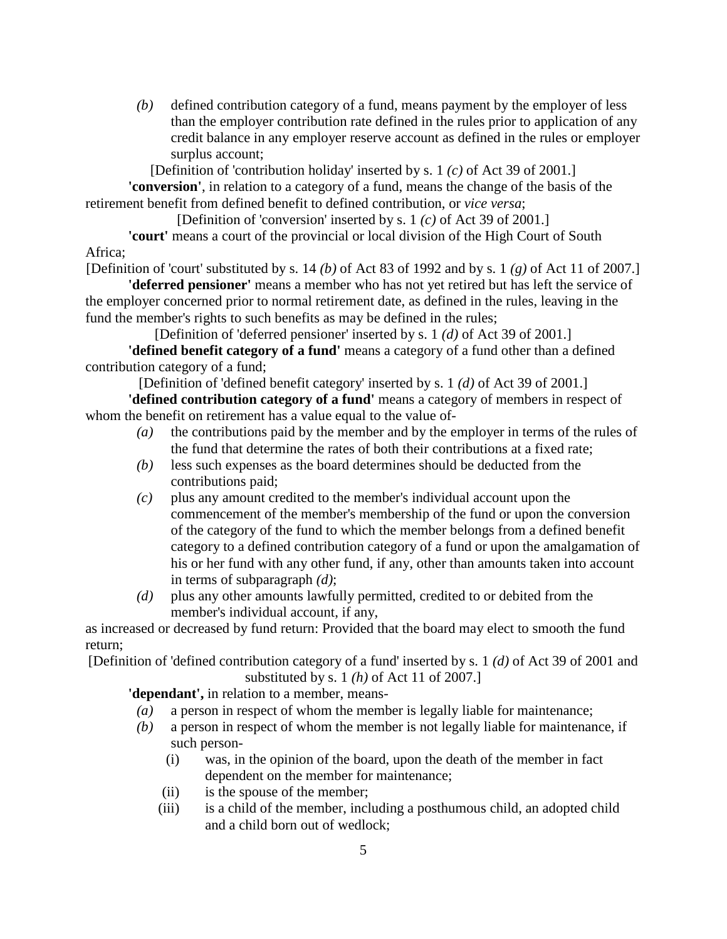*(b)* defined contribution category of a fund, means payment by the employer of less than the employer contribution rate defined in the rules prior to application of any credit balance in any employer reserve account as defined in the rules or employer surplus account;

[Definition of 'contribution holiday' inserted by s. 1 *(c)* of Act 39 of 2001.]

**'conversion'**, in relation to a category of a fund, means the change of the basis of the retirement benefit from defined benefit to defined contribution, or *vice versa*;

[Definition of 'conversion' inserted by s. 1 *(c)* of Act 39 of 2001.]

**'court'** means a court of the provincial or local division of the High Court of South Africa;

[Definition of 'court' substituted by s. 14 *(b)* of Act 83 of 1992 and by s. 1 *(g)* of Act 11 of 2007.]

**'deferred pensioner'** means a member who has not yet retired but has left the service of the employer concerned prior to normal retirement date, as defined in the rules, leaving in the fund the member's rights to such benefits as may be defined in the rules;

[Definition of 'deferred pensioner' inserted by s. 1 *(d)* of Act 39 of 2001.] **'defined benefit category of a fund'** means a category of a fund other than a defined contribution category of a fund;

[Definition of 'defined benefit category' inserted by s. 1 *(d)* of Act 39 of 2001.]

**'defined contribution category of a fund'** means a category of members in respect of whom the benefit on retirement has a value equal to the value of-

- *(a)* the contributions paid by the member and by the employer in terms of the rules of the fund that determine the rates of both their contributions at a fixed rate;
- *(b)* less such expenses as the board determines should be deducted from the contributions paid;
- *(c)* plus any amount credited to the member's individual account upon the commencement of the member's membership of the fund or upon the conversion of the category of the fund to which the member belongs from a defined benefit category to a defined contribution category of a fund or upon the amalgamation of his or her fund with any other fund, if any, other than amounts taken into account in terms of subparagraph *(d)*;
- *(d)* plus any other amounts lawfully permitted, credited to or debited from the member's individual account, if any,

as increased or decreased by fund return: Provided that the board may elect to smooth the fund return;

[Definition of 'defined contribution category of a fund' inserted by s. 1 *(d)* of Act 39 of 2001 and substituted by s. 1 *(h)* of Act 11 of 2007.]

**'dependant',** in relation to a member, means-

- *(a)* a person in respect of whom the member is legally liable for maintenance;
- *(b)* a person in respect of whom the member is not legally liable for maintenance, if such person-
	- (i) was, in the opinion of the board, upon the death of the member in fact dependent on the member for maintenance;
	- (ii) is the spouse of the member;
	- (iii) is a child of the member, including a posthumous child, an adopted child and a child born out of wedlock;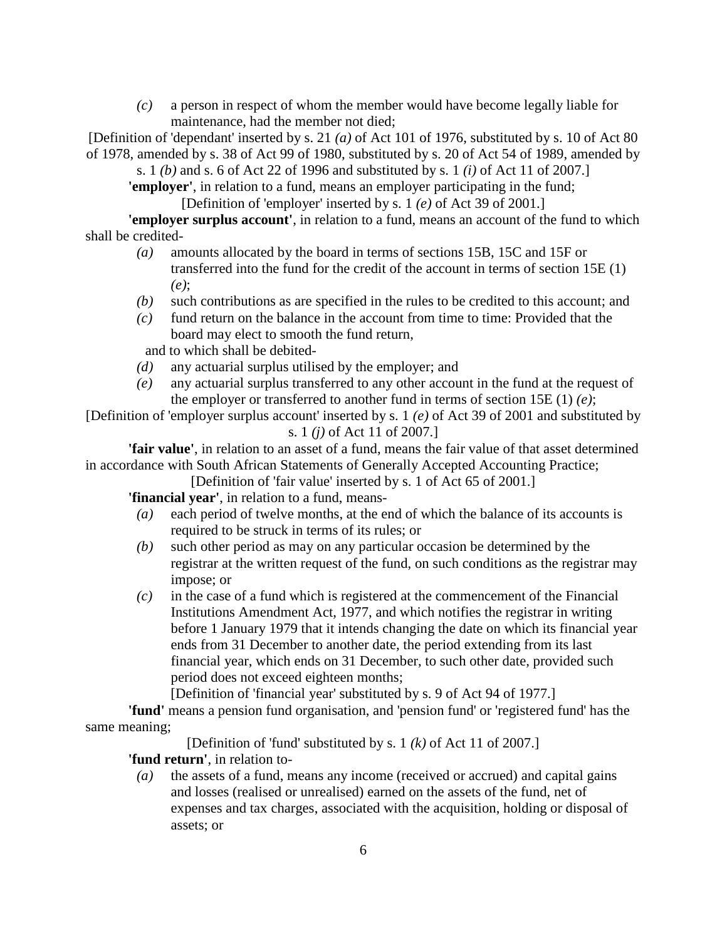*(c)* a person in respect of whom the member would have become legally liable for maintenance, had the member not died;

[Definition of 'dependant' inserted by s. 21 *(a)* of Act 101 of 1976, substituted by s. 10 of Act 80 of 1978, amended by s. 38 of Act 99 of 1980, substituted by s. 20 of Act 54 of 1989, amended by

s. 1 *(b)* and s. 6 of Act 22 of 1996 and substituted by s. 1 *(i)* of Act 11 of 2007.] **'employer'**, in relation to a fund, means an employer participating in the fund;

[Definition of 'employer' inserted by s. 1 *(e)* of Act 39 of 2001.]

**'employer surplus account'**, in relation to a fund, means an account of the fund to which shall be credited-

- *(a)* amounts allocated by the board in terms of sections 15B, 15C and 15F or transferred into the fund for the credit of the account in terms of section 15E (1) *(e)*;
- *(b)* such contributions as are specified in the rules to be credited to this account; and
- *(c)* fund return on the balance in the account from time to time: Provided that the board may elect to smooth the fund return,

and to which shall be debited-

- *(d)* any actuarial surplus utilised by the employer; and
- *(e)* any actuarial surplus transferred to any other account in the fund at the request of the employer or transferred to another fund in terms of section 15E (1) *(e)*;

[Definition of 'employer surplus account' inserted by s. 1 *(e)* of Act 39 of 2001 and substituted by s. 1 *(j)* of Act 11 of 2007.]

**'fair value'**, in relation to an asset of a fund, means the fair value of that asset determined in accordance with South African Statements of Generally Accepted Accounting Practice;

[Definition of 'fair value' inserted by s. 1 of Act 65 of 2001.]

**'financial year'**, in relation to a fund, means-

- *(a)* each period of twelve months, at the end of which the balance of its accounts is required to be struck in terms of its rules; or
- *(b)* such other period as may on any particular occasion be determined by the registrar at the written request of the fund, on such conditions as the registrar may impose; or
- *(c)* in the case of a fund which is registered at the commencement of the Financial Institutions Amendment Act, 1977, and which notifies the registrar in writing before 1 January 1979 that it intends changing the date on which its financial year ends from 31 December to another date, the period extending from its last financial year, which ends on 31 December, to such other date, provided such period does not exceed eighteen months;

[Definition of 'financial year' substituted by s. 9 of Act 94 of 1977.]

**'fund'** means a pension fund organisation, and 'pension fund' or 'registered fund' has the same meaning;

[Definition of 'fund' substituted by s. 1 *(k)* of Act 11 of 2007.]

**'fund return'**, in relation to-

 *(a)* the assets of a fund, means any income (received or accrued) and capital gains and losses (realised or unrealised) earned on the assets of the fund, net of expenses and tax charges, associated with the acquisition, holding or disposal of assets; or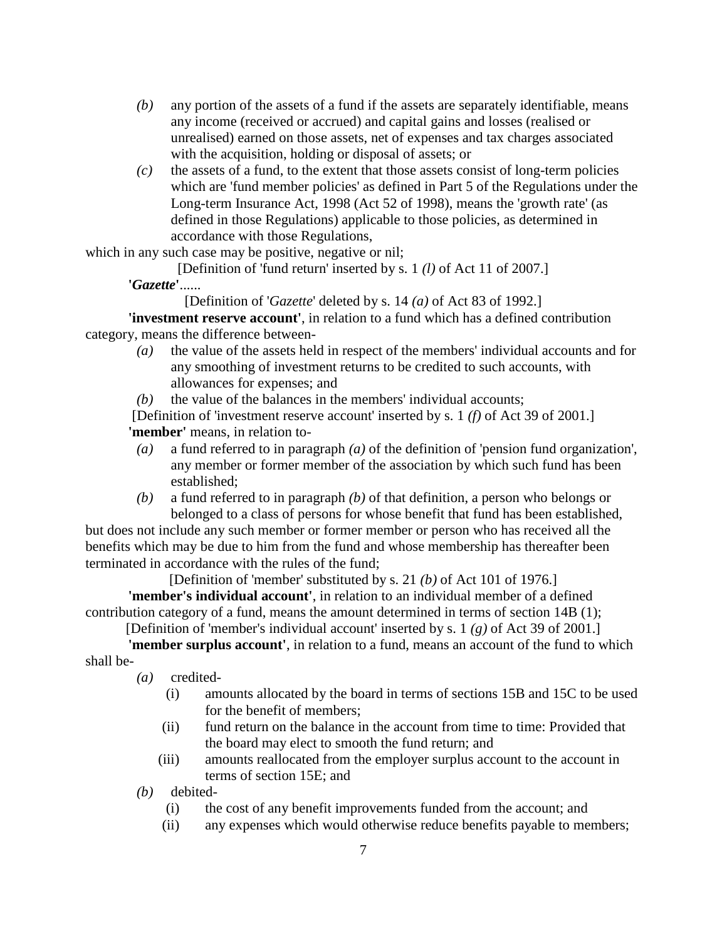- *(b)* any portion of the assets of a fund if the assets are separately identifiable, means any income (received or accrued) and capital gains and losses (realised or unrealised) earned on those assets, net of expenses and tax charges associated with the acquisition, holding or disposal of assets; or
- *(c)* the assets of a fund, to the extent that those assets consist of long-term policies which are 'fund member policies' as defined in Part 5 of the Regulations under the Long-term Insurance Act, 1998 (Act 52 of 1998), means the 'growth rate' (as defined in those Regulations) applicable to those policies, as determined in accordance with those Regulations,

which in any such case may be positive, negative or nil;

[Definition of 'fund return' inserted by s. 1 *(l)* of Act 11 of 2007.]

**'***Gazette***'**......

[Definition of '*Gazette*' deleted by s. 14 *(a)* of Act 83 of 1992.]

**'investment reserve account'**, in relation to a fund which has a defined contribution category, means the difference between-

- *(a)* the value of the assets held in respect of the members' individual accounts and for any smoothing of investment returns to be credited to such accounts, with allowances for expenses; and
- *(b)* the value of the balances in the members' individual accounts;

[Definition of 'investment reserve account' inserted by s. 1 *(f)* of Act 39 of 2001.] **'member'** means, in relation to-

- *(a)* a fund referred to in paragraph *(a)* of the definition of 'pension fund organization', any member or former member of the association by which such fund has been established;
- *(b)* a fund referred to in paragraph *(b)* of that definition, a person who belongs or belonged to a class of persons for whose benefit that fund has been established,

but does not include any such member or former member or person who has received all the benefits which may be due to him from the fund and whose membership has thereafter been terminated in accordance with the rules of the fund;

[Definition of 'member' substituted by s. 21 *(b)* of Act 101 of 1976.]

**'member's individual account'**, in relation to an individual member of a defined contribution category of a fund, means the amount determined in terms of section 14B (1);

[Definition of 'member's individual account' inserted by s. 1 *(g)* of Act 39 of 2001.]

**'member surplus account'**, in relation to a fund, means an account of the fund to which shall be-

*(a)* credited-

- (i) amounts allocated by the board in terms of sections 15B and 15C to be used for the benefit of members;
- (ii) fund return on the balance in the account from time to time: Provided that the board may elect to smooth the fund return; and
- (iii) amounts reallocated from the employer surplus account to the account in terms of section 15E; and

*(b)* debited-

- (i) the cost of any benefit improvements funded from the account; and
- (ii) any expenses which would otherwise reduce benefits payable to members;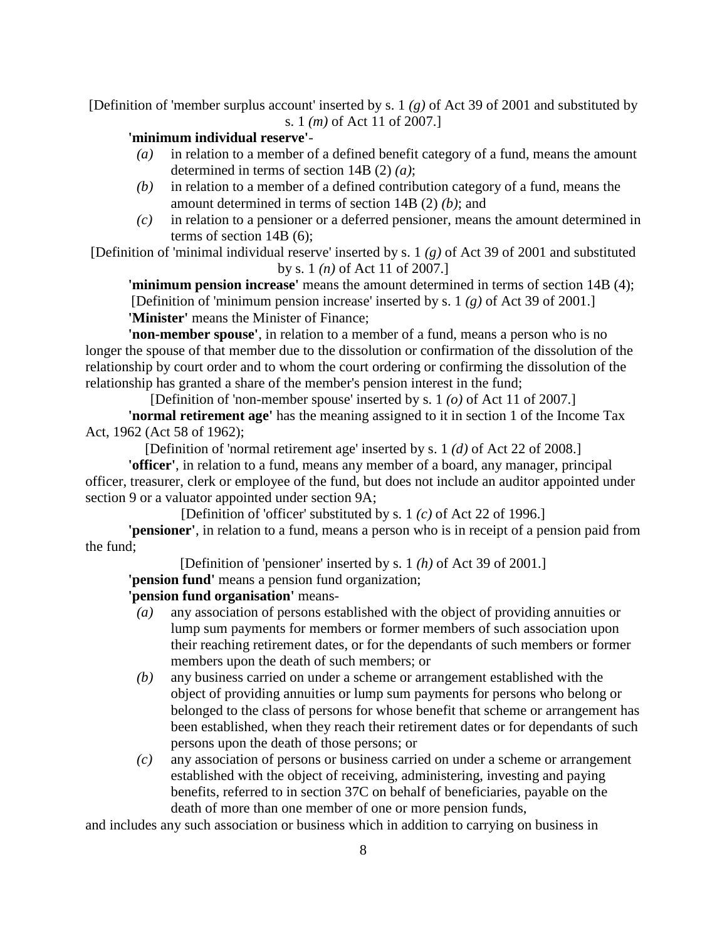[Definition of 'member surplus account' inserted by s. 1 *(g)* of Act 39 of 2001 and substituted by s. 1 *(m)* of Act 11 of 2007.]

## **'minimum individual reserve'**-

- *(a)* in relation to a member of a defined benefit category of a fund, means the amount determined in terms of section 14B (2) *(a)*;
- *(b)* in relation to a member of a defined contribution category of a fund, means the amount determined in terms of section 14B (2) *(b)*; and
- *(c)* in relation to a pensioner or a deferred pensioner, means the amount determined in terms of section 14B (6);

[Definition of 'minimal individual reserve' inserted by s. 1 *(g)* of Act 39 of 2001 and substituted by s. 1 *(n)* of Act 11 of 2007.]

**'minimum pension increase'** means the amount determined in terms of section 14B (4); [Definition of 'minimum pension increase' inserted by s. 1 *(g)* of Act 39 of 2001.] **'Minister'** means the Minister of Finance;

**'non-member spouse'**, in relation to a member of a fund, means a person who is no longer the spouse of that member due to the dissolution or confirmation of the dissolution of the relationship by court order and to whom the court ordering or confirming the dissolution of the relationship has granted a share of the member's pension interest in the fund;

[Definition of 'non-member spouse' inserted by s. 1 *(o)* of Act 11 of 2007.] **'normal retirement age'** has the meaning assigned to it in section 1 of the Income Tax Act, 1962 (Act 58 of 1962);

[Definition of 'normal retirement age' inserted by s. 1 *(d)* of Act 22 of 2008.]

**'officer'**, in relation to a fund, means any member of a board, any manager, principal officer, treasurer, clerk or employee of the fund, but does not include an auditor appointed under section 9 or a valuator appointed under section 9A;

[Definition of 'officer' substituted by s. 1 *(c)* of Act 22 of 1996.]

**'pensioner'**, in relation to a fund, means a person who is in receipt of a pension paid from the fund;

[Definition of 'pensioner' inserted by s. 1 *(h)* of Act 39 of 2001.]

**'pension fund'** means a pension fund organization;

# **'pension fund organisation'** means-

- *(a)* any association of persons established with the object of providing annuities or lump sum payments for members or former members of such association upon their reaching retirement dates, or for the dependants of such members or former members upon the death of such members; or
- *(b)* any business carried on under a scheme or arrangement established with the object of providing annuities or lump sum payments for persons who belong or belonged to the class of persons for whose benefit that scheme or arrangement has been established, when they reach their retirement dates or for dependants of such persons upon the death of those persons; or
- *(c)* any association of persons or business carried on under a scheme or arrangement established with the object of receiving, administering, investing and paying benefits, referred to in section 37C on behalf of beneficiaries, payable on the death of more than one member of one or more pension funds,

and includes any such association or business which in addition to carrying on business in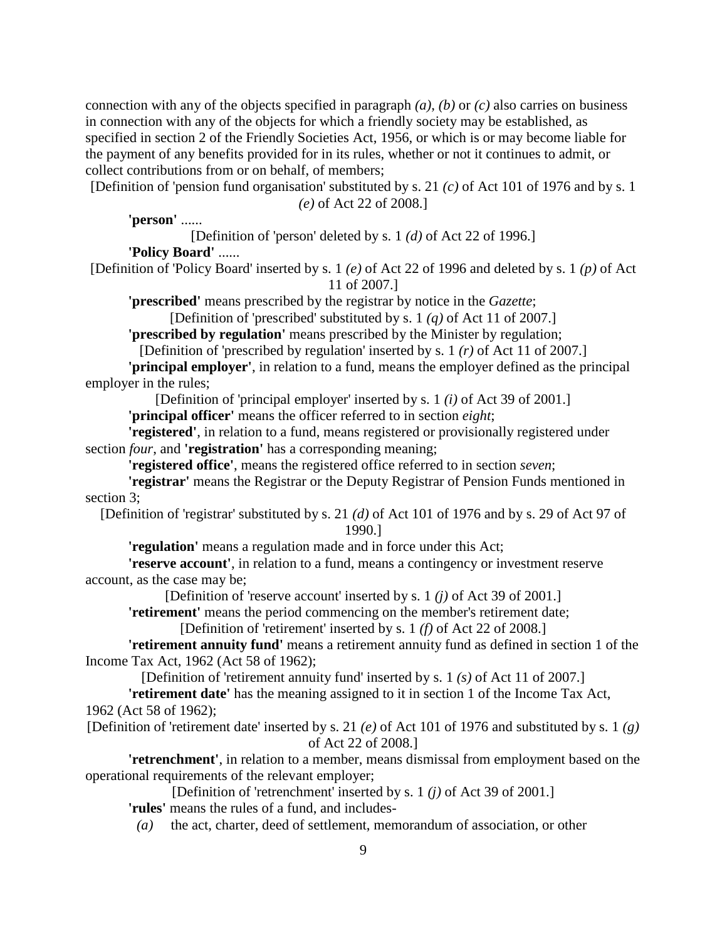connection with any of the objects specified in paragraph *(a)*, *(b)* or *(c)* also carries on business in connection with any of the objects for which a friendly society may be established, as specified in section 2 of the Friendly Societies Act, 1956, or which is or may become liable for the payment of any benefits provided for in its rules, whether or not it continues to admit, or collect contributions from or on behalf, of members;

[Definition of 'pension fund organisation' substituted by s. 21 *(c)* of Act 101 of 1976 and by s. 1 *(e)* of Act 22 of 2008.]

**'person'** ......

[Definition of 'person' deleted by s. 1 *(d)* of Act 22 of 1996.]

**'Policy Board'** ......

[Definition of 'Policy Board' inserted by s. 1 *(e)* of Act 22 of 1996 and deleted by s. 1 *(p)* of Act 11 of 2007.]

**'prescribed'** means prescribed by the registrar by notice in the *Gazette*;

[Definition of 'prescribed' substituted by s. 1 *(q)* of Act 11 of 2007.]

**'prescribed by regulation'** means prescribed by the Minister by regulation;

[Definition of 'prescribed by regulation' inserted by s. 1 *(r)* of Act 11 of 2007.]

**'principal employer'**, in relation to a fund, means the employer defined as the principal employer in the rules;

[Definition of 'principal employer' inserted by s. 1 *(i)* of Act 39 of 2001.]

**'principal officer'** means the officer referred to in section *eight*;

**'registered'**, in relation to a fund, means registered or provisionally registered under section *four*, and **'registration'** has a corresponding meaning;

**'registered office'**, means the registered office referred to in section *seven*;

**'registrar'** means the Registrar or the Deputy Registrar of Pension Funds mentioned in section 3;

[Definition of 'registrar' substituted by s. 21 *(d)* of Act 101 of 1976 and by s. 29 of Act 97 of 1990.]

**'regulation'** means a regulation made and in force under this Act;

**'reserve account'**, in relation to a fund, means a contingency or investment reserve account, as the case may be;

[Definition of 'reserve account' inserted by s. 1 *(j)* of Act 39 of 2001.]

**'retirement'** means the period commencing on the member's retirement date;

[Definition of 'retirement' inserted by s. 1 *(f)* of Act 22 of 2008.]

**'retirement annuity fund'** means a retirement annuity fund as defined in section 1 of the Income Tax Act, 1962 (Act 58 of 1962);

[Definition of 'retirement annuity fund' inserted by s. 1 *(s)* of Act 11 of 2007.]

**'retirement date'** has the meaning assigned to it in section 1 of the Income Tax Act, 1962 (Act 58 of 1962);

[Definition of 'retirement date' inserted by s. 21 *(e)* of Act 101 of 1976 and substituted by s. 1 *(g)* of Act 22 of 2008.]

**'retrenchment'**, in relation to a member, means dismissal from employment based on the operational requirements of the relevant employer;

[Definition of 'retrenchment' inserted by s. 1 *(j)* of Act 39 of 2001.] **'rules'** means the rules of a fund, and includes-

*(a)* the act, charter, deed of settlement, memorandum of association, or other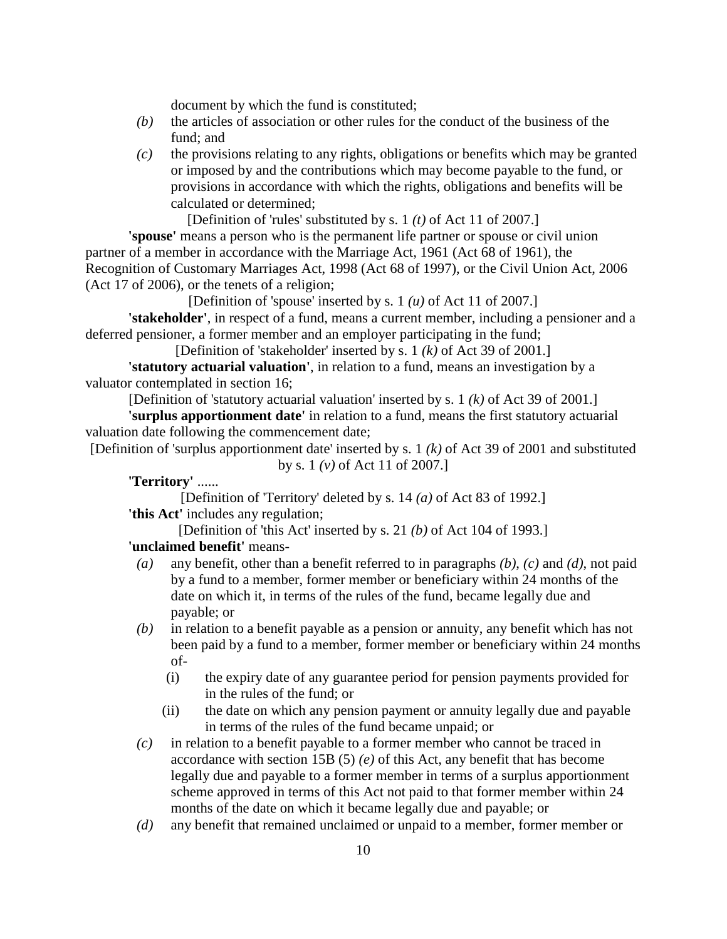document by which the fund is constituted;

- *(b)* the articles of association or other rules for the conduct of the business of the fund; and
- *(c)* the provisions relating to any rights, obligations or benefits which may be granted or imposed by and the contributions which may become payable to the fund, or provisions in accordance with which the rights, obligations and benefits will be calculated or determined;

[Definition of 'rules' substituted by s. 1 *(t)* of Act 11 of 2007.]

**'spouse'** means a person who is the permanent life partner or spouse or civil union partner of a member in accordance with the Marriage Act, 1961 (Act 68 of 1961), the Recognition of Customary Marriages Act, 1998 (Act 68 of 1997), or the Civil Union Act, 2006 (Act 17 of 2006), or the tenets of a religion;

[Definition of 'spouse' inserted by s. 1 *(u)* of Act 11 of 2007.]

**'stakeholder'**, in respect of a fund, means a current member, including a pensioner and a deferred pensioner, a former member and an employer participating in the fund;

[Definition of 'stakeholder' inserted by s. 1 *(k)* of Act 39 of 2001.]

**'statutory actuarial valuation'**, in relation to a fund, means an investigation by a valuator contemplated in section 16;

[Definition of 'statutory actuarial valuation' inserted by s. 1 *(k)* of Act 39 of 2001.]

**'surplus apportionment date'** in relation to a fund, means the first statutory actuarial valuation date following the commencement date;

[Definition of 'surplus apportionment date' inserted by s. 1 *(k)* of Act 39 of 2001 and substituted by s. 1 *(v)* of Act 11 of 2007.]

**'Territory'** ......

[Definition of 'Territory' deleted by s. 14 *(a)* of Act 83 of 1992.] **'this Act'** includes any regulation;

[Definition of 'this Act' inserted by s. 21 *(b)* of Act 104 of 1993.] **'unclaimed benefit'** means-

- *(a)* any benefit, other than a benefit referred to in paragraphs *(b)*, *(c)* and *(d)*, not paid by a fund to a member, former member or beneficiary within 24 months of the date on which it, in terms of the rules of the fund, became legally due and payable; or
- *(b)* in relation to a benefit payable as a pension or annuity, any benefit which has not been paid by a fund to a member, former member or beneficiary within 24 months of-
	- (i) the expiry date of any guarantee period for pension payments provided for in the rules of the fund; or
	- (ii) the date on which any pension payment or annuity legally due and payable in terms of the rules of the fund became unpaid; or
- *(c)* in relation to a benefit payable to a former member who cannot be traced in accordance with section 15B (5) *(e)* of this Act, any benefit that has become legally due and payable to a former member in terms of a surplus apportionment scheme approved in terms of this Act not paid to that former member within 24 months of the date on which it became legally due and payable; or
- *(d)* any benefit that remained unclaimed or unpaid to a member, former member or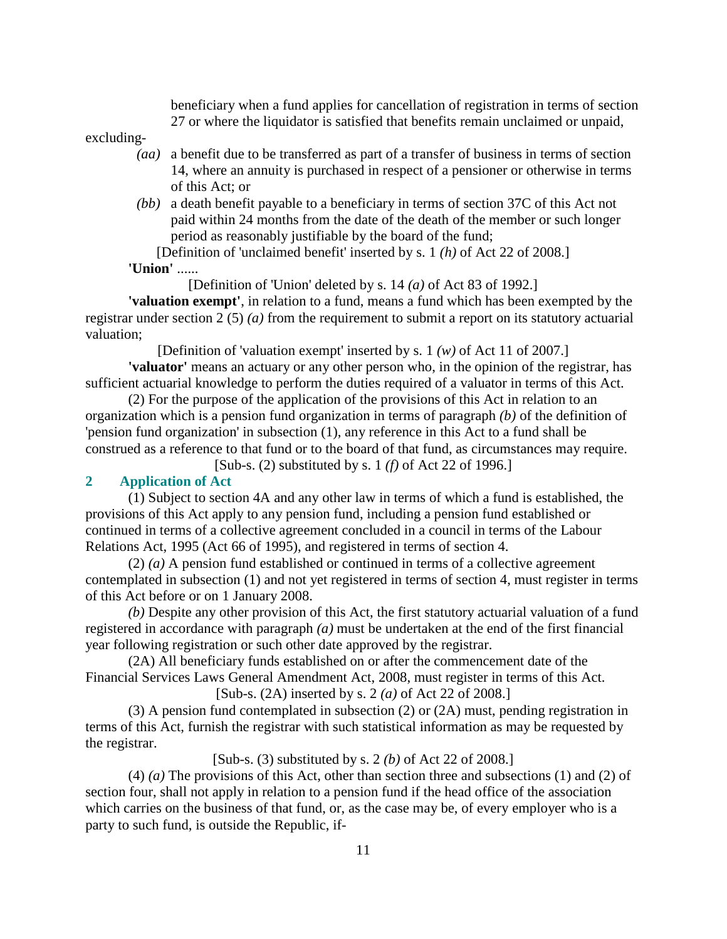beneficiary when a fund applies for cancellation of registration in terms of section 27 or where the liquidator is satisfied that benefits remain unclaimed or unpaid,

excluding-

- *(aa)* a benefit due to be transferred as part of a transfer of business in terms of section 14, where an annuity is purchased in respect of a pensioner or otherwise in terms of this Act; or
- *(bb)* a death benefit payable to a beneficiary in terms of section 37C of this Act not paid within 24 months from the date of the death of the member or such longer period as reasonably justifiable by the board of the fund;

[Definition of 'unclaimed benefit' inserted by s. 1 *(h)* of Act 22 of 2008.] **'Union'** ......

[Definition of 'Union' deleted by s. 14 *(a)* of Act 83 of 1992.]

**'valuation exempt'**, in relation to a fund, means a fund which has been exempted by the registrar under section 2 (5) *(a)* from the requirement to submit a report on its statutory actuarial valuation;

[Definition of 'valuation exempt' inserted by s. 1 *(w)* of Act 11 of 2007.]

**'valuator'** means an actuary or any other person who, in the opinion of the registrar, has sufficient actuarial knowledge to perform the duties required of a valuator in terms of this Act.

 (2) For the purpose of the application of the provisions of this Act in relation to an organization which is a pension fund organization in terms of paragraph *(b)* of the definition of 'pension fund organization' in subsection (1), any reference in this Act to a fund shall be construed as a reference to that fund or to the board of that fund, as circumstances may require.

[Sub-s. (2) substituted by s. 1 *(f)* of Act 22 of 1996.]

## **2 Application of Act**

 (1) Subject to section 4A and any other law in terms of which a fund is established, the provisions of this Act apply to any pension fund, including a pension fund established or continued in terms of a collective agreement concluded in a council in terms of the Labour Relations Act, 1995 (Act 66 of 1995), and registered in terms of section 4.

 (2) *(a)* A pension fund established or continued in terms of a collective agreement contemplated in subsection (1) and not yet registered in terms of section 4, must register in terms of this Act before or on 1 January 2008.

*(b)* Despite any other provision of this Act, the first statutory actuarial valuation of a fund registered in accordance with paragraph *(a)* must be undertaken at the end of the first financial year following registration or such other date approved by the registrar.

 (2A) All beneficiary funds established on or after the commencement date of the Financial Services Laws General Amendment Act, 2008, must register in terms of this Act.

[Sub-s. (2A) inserted by s. 2 *(a)* of Act 22 of 2008.]

 (3) A pension fund contemplated in subsection (2) or (2A) must, pending registration in terms of this Act, furnish the registrar with such statistical information as may be requested by the registrar.

[Sub-s. (3) substituted by s. 2 *(b)* of Act 22 of 2008.]

 (4) *(a)* The provisions of this Act, other than section three and subsections (1) and (2) of section four, shall not apply in relation to a pension fund if the head office of the association which carries on the business of that fund, or, as the case may be, of every employer who is a party to such fund, is outside the Republic, if-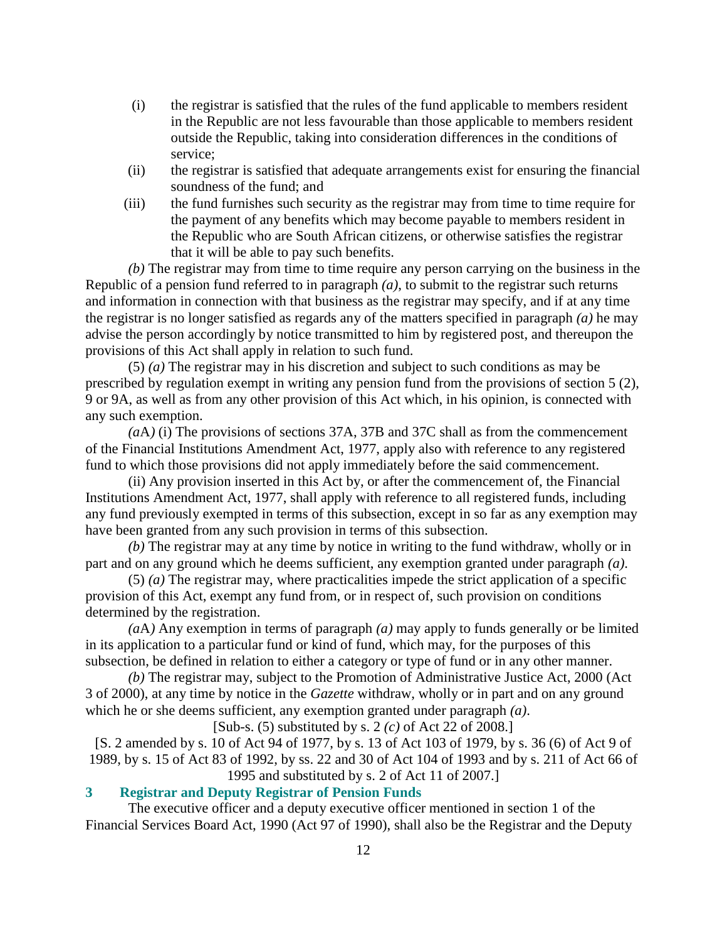- (i) the registrar is satisfied that the rules of the fund applicable to members resident in the Republic are not less favourable than those applicable to members resident outside the Republic, taking into consideration differences in the conditions of service;
- (ii) the registrar is satisfied that adequate arrangements exist for ensuring the financial soundness of the fund; and
- (iii) the fund furnishes such security as the registrar may from time to time require for the payment of any benefits which may become payable to members resident in the Republic who are South African citizens, or otherwise satisfies the registrar that it will be able to pay such benefits.

*(b)* The registrar may from time to time require any person carrying on the business in the Republic of a pension fund referred to in paragraph *(a)*, to submit to the registrar such returns and information in connection with that business as the registrar may specify, and if at any time the registrar is no longer satisfied as regards any of the matters specified in paragraph *(a)* he may advise the person accordingly by notice transmitted to him by registered post, and thereupon the provisions of this Act shall apply in relation to such fund.

 (5) *(a)* The registrar may in his discretion and subject to such conditions as may be prescribed by regulation exempt in writing any pension fund from the provisions of section 5 (2), 9 or 9A, as well as from any other provision of this Act which, in his opinion, is connected with any such exemption.

*(a*A*)* (i) The provisions of sections 37A, 37B and 37C shall as from the commencement of the Financial Institutions Amendment Act, 1977, apply also with reference to any registered fund to which those provisions did not apply immediately before the said commencement.

 (ii) Any provision inserted in this Act by, or after the commencement of, the Financial Institutions Amendment Act, 1977, shall apply with reference to all registered funds, including any fund previously exempted in terms of this subsection, except in so far as any exemption may have been granted from any such provision in terms of this subsection.

*(b)* The registrar may at any time by notice in writing to the fund withdraw, wholly or in part and on any ground which he deems sufficient, any exemption granted under paragraph *(a)*.

 (5) *(a)* The registrar may, where practicalities impede the strict application of a specific provision of this Act, exempt any fund from, or in respect of, such provision on conditions determined by the registration.

*(a*A*)* Any exemption in terms of paragraph *(a)* may apply to funds generally or be limited in its application to a particular fund or kind of fund, which may, for the purposes of this subsection, be defined in relation to either a category or type of fund or in any other manner.

*(b)* The registrar may, subject to the Promotion of Administrative Justice Act, 2000 (Act 3 of 2000), at any time by notice in the *Gazette* withdraw, wholly or in part and on any ground which he or she deems sufficient, any exemption granted under paragraph *(a)*.

[Sub-s. (5) substituted by s. 2 *(c)* of Act 22 of 2008.]

[S. 2 amended by s. 10 of Act 94 of 1977, by s. 13 of Act 103 of 1979, by s. 36 (6) of Act 9 of 1989, by s. 15 of Act 83 of 1992, by ss. 22 and 30 of Act 104 of 1993 and by s. 211 of Act 66 of 1995 and substituted by s. 2 of Act 11 of 2007.]

# **3 Registrar and Deputy Registrar of Pension Funds**

 The executive officer and a deputy executive officer mentioned in section 1 of the Financial Services Board Act, 1990 (Act 97 of 1990), shall also be the Registrar and the Deputy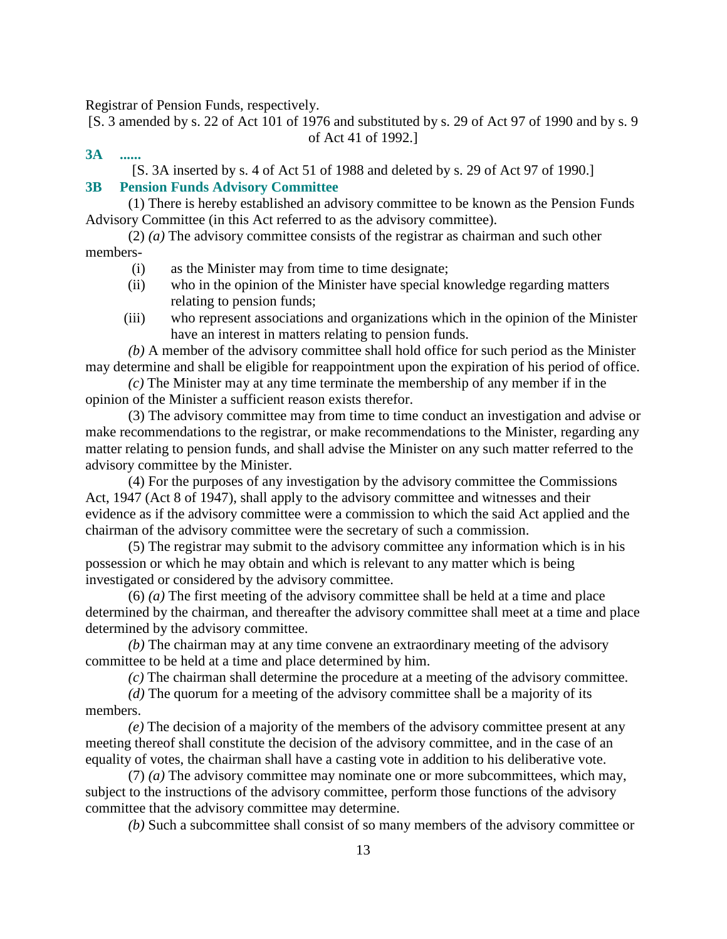Registrar of Pension Funds, respectively.

[S. 3 amended by s. 22 of Act 101 of 1976 and substituted by s. 29 of Act 97 of 1990 and by s. 9 of Act 41 of 1992.]

**3A ......** 

[S. 3A inserted by s. 4 of Act 51 of 1988 and deleted by s. 29 of Act 97 of 1990.]

# **3B Pension Funds Advisory Committee**

 (1) There is hereby established an advisory committee to be known as the Pension Funds Advisory Committee (in this Act referred to as the advisory committee).

 (2) *(a)* The advisory committee consists of the registrar as chairman and such other members-

- (i) as the Minister may from time to time designate;
- (ii) who in the opinion of the Minister have special knowledge regarding matters relating to pension funds;
- (iii) who represent associations and organizations which in the opinion of the Minister have an interest in matters relating to pension funds.

*(b)* A member of the advisory committee shall hold office for such period as the Minister may determine and shall be eligible for reappointment upon the expiration of his period of office.

*(c)* The Minister may at any time terminate the membership of any member if in the opinion of the Minister a sufficient reason exists therefor.

 (3) The advisory committee may from time to time conduct an investigation and advise or make recommendations to the registrar, or make recommendations to the Minister, regarding any matter relating to pension funds, and shall advise the Minister on any such matter referred to the advisory committee by the Minister.

 (4) For the purposes of any investigation by the advisory committee the Commissions Act, 1947 (Act 8 of 1947), shall apply to the advisory committee and witnesses and their evidence as if the advisory committee were a commission to which the said Act applied and the chairman of the advisory committee were the secretary of such a commission.

 (5) The registrar may submit to the advisory committee any information which is in his possession or which he may obtain and which is relevant to any matter which is being investigated or considered by the advisory committee.

 (6) *(a)* The first meeting of the advisory committee shall be held at a time and place determined by the chairman, and thereafter the advisory committee shall meet at a time and place determined by the advisory committee.

*(b)* The chairman may at any time convene an extraordinary meeting of the advisory committee to be held at a time and place determined by him.

*(c)* The chairman shall determine the procedure at a meeting of the advisory committee.

*(d)* The quorum for a meeting of the advisory committee shall be a majority of its members.

*(e)* The decision of a majority of the members of the advisory committee present at any meeting thereof shall constitute the decision of the advisory committee, and in the case of an equality of votes, the chairman shall have a casting vote in addition to his deliberative vote.

 (7) *(a)* The advisory committee may nominate one or more subcommittees, which may, subject to the instructions of the advisory committee, perform those functions of the advisory committee that the advisory committee may determine.

*(b)* Such a subcommittee shall consist of so many members of the advisory committee or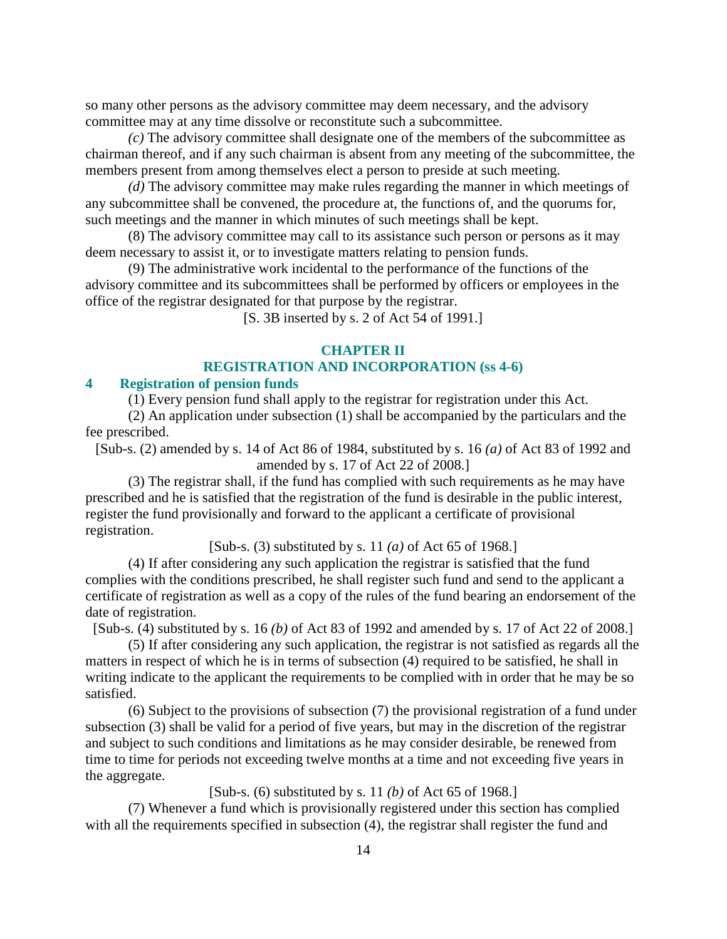so many other persons as the advisory committee may deem necessary, and the advisory committee may at any time dissolve or reconstitute such a subcommittee.

*(c)* The advisory committee shall designate one of the members of the subcommittee as chairman thereof, and if any such chairman is absent from any meeting of the subcommittee, the members present from among themselves elect a person to preside at such meeting.

*(d)* The advisory committee may make rules regarding the manner in which meetings of any subcommittee shall be convened, the procedure at, the functions of, and the quorums for, such meetings and the manner in which minutes of such meetings shall be kept.

 (8) The advisory committee may call to its assistance such person or persons as it may deem necessary to assist it, or to investigate matters relating to pension funds.

 (9) The administrative work incidental to the performance of the functions of the advisory committee and its subcommittees shall be performed by officers or employees in the office of the registrar designated for that purpose by the registrar.

[S. 3B inserted by s. 2 of Act 54 of 1991.]

#### **CHAPTER II**

## **REGISTRATION AND INCORPORATION (ss 4-6)**

#### **4 Registration of pension funds**

(1) Every pension fund shall apply to the registrar for registration under this Act.

 (2) An application under subsection (1) shall be accompanied by the particulars and the fee prescribed.

[Sub-s. (2) amended by s. 14 of Act 86 of 1984, substituted by s. 16 *(a)* of Act 83 of 1992 and amended by s. 17 of Act 22 of 2008.]

 (3) The registrar shall, if the fund has complied with such requirements as he may have prescribed and he is satisfied that the registration of the fund is desirable in the public interest, register the fund provisionally and forward to the applicant a certificate of provisional registration.

[Sub-s. (3) substituted by s. 11 *(a)* of Act 65 of 1968.]

 (4) If after considering any such application the registrar is satisfied that the fund complies with the conditions prescribed, he shall register such fund and send to the applicant a certificate of registration as well as a copy of the rules of the fund bearing an endorsement of the date of registration.

[Sub-s. (4) substituted by s. 16 *(b)* of Act 83 of 1992 and amended by s. 17 of Act 22 of 2008.]

 (5) If after considering any such application, the registrar is not satisfied as regards all the matters in respect of which he is in terms of subsection (4) required to be satisfied, he shall in writing indicate to the applicant the requirements to be complied with in order that he may be so satisfied.

 (6) Subject to the provisions of subsection (7) the provisional registration of a fund under subsection (3) shall be valid for a period of five years, but may in the discretion of the registrar and subject to such conditions and limitations as he may consider desirable, be renewed from time to time for periods not exceeding twelve months at a time and not exceeding five years in the aggregate.

[Sub-s. (6) substituted by s. 11 *(b)* of Act 65 of 1968.]

 (7) Whenever a fund which is provisionally registered under this section has complied with all the requirements specified in subsection (4), the registrar shall register the fund and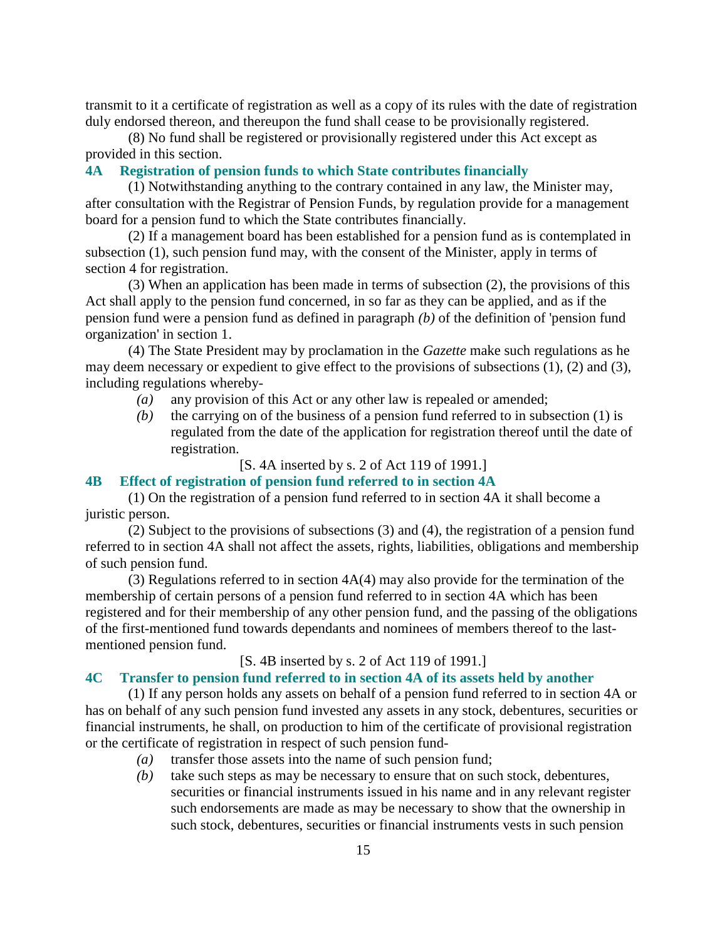transmit to it a certificate of registration as well as a copy of its rules with the date of registration duly endorsed thereon, and thereupon the fund shall cease to be provisionally registered.

 (8) No fund shall be registered or provisionally registered under this Act except as provided in this section.

## **4A Registration of pension funds to which State contributes financially**

 (1) Notwithstanding anything to the contrary contained in any law, the Minister may, after consultation with the Registrar of Pension Funds, by regulation provide for a management board for a pension fund to which the State contributes financially.

 (2) If a management board has been established for a pension fund as is contemplated in subsection (1), such pension fund may, with the consent of the Minister, apply in terms of section 4 for registration.

 (3) When an application has been made in terms of subsection (2), the provisions of this Act shall apply to the pension fund concerned, in so far as they can be applied, and as if the pension fund were a pension fund as defined in paragraph *(b)* of the definition of 'pension fund organization' in section 1.

 (4) The State President may by proclamation in the *Gazette* make such regulations as he may deem necessary or expedient to give effect to the provisions of subsections (1), (2) and (3), including regulations whereby-

- *(a)* any provision of this Act or any other law is repealed or amended;
- *(b)* the carrying on of the business of a pension fund referred to in subsection (1) is regulated from the date of the application for registration thereof until the date of registration.

[S. 4A inserted by s. 2 of Act 119 of 1991.]

#### **4B Effect of registration of pension fund referred to in section 4A**

 (1) On the registration of a pension fund referred to in section 4A it shall become a juristic person.

 (2) Subject to the provisions of subsections (3) and (4), the registration of a pension fund referred to in section 4A shall not affect the assets, rights, liabilities, obligations and membership of such pension fund.

 (3) Regulations referred to in section 4A(4) may also provide for the termination of the membership of certain persons of a pension fund referred to in section 4A which has been registered and for their membership of any other pension fund, and the passing of the obligations of the first-mentioned fund towards dependants and nominees of members thereof to the lastmentioned pension fund.

[S. 4B inserted by s. 2 of Act 119 of 1991.]

## **4C Transfer to pension fund referred to in section 4A of its assets held by another**

 (1) If any person holds any assets on behalf of a pension fund referred to in section 4A or has on behalf of any such pension fund invested any assets in any stock, debentures, securities or financial instruments, he shall, on production to him of the certificate of provisional registration or the certificate of registration in respect of such pension fund-

- *(a)* transfer those assets into the name of such pension fund;
- *(b)* take such steps as may be necessary to ensure that on such stock, debentures, securities or financial instruments issued in his name and in any relevant register such endorsements are made as may be necessary to show that the ownership in such stock, debentures, securities or financial instruments vests in such pension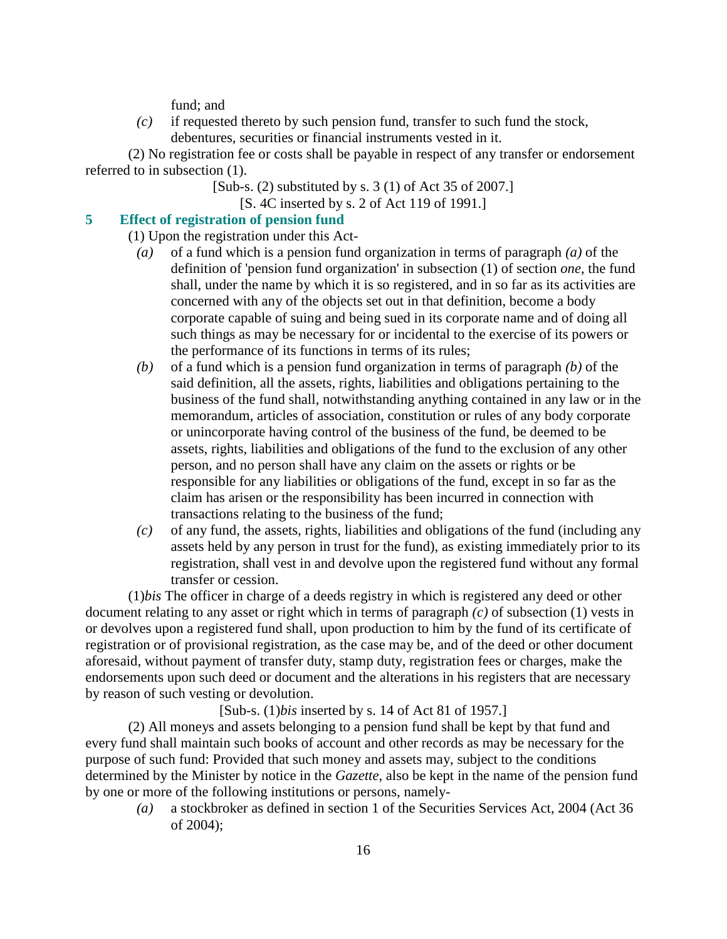fund; and

 *(c)* if requested thereto by such pension fund, transfer to such fund the stock, debentures, securities or financial instruments vested in it.

 (2) No registration fee or costs shall be payable in respect of any transfer or endorsement referred to in subsection (1).

- [Sub-s. (2) substituted by s. 3 (1) of Act 35 of 2007.]
	- [S. 4C inserted by s. 2 of Act 119 of 1991.]

## **5 Effect of registration of pension fund**

(1) Upon the registration under this Act-

- *(a)* of a fund which is a pension fund organization in terms of paragraph *(a)* of the definition of 'pension fund organization' in subsection (1) of section *one*, the fund shall, under the name by which it is so registered, and in so far as its activities are concerned with any of the objects set out in that definition, become a body corporate capable of suing and being sued in its corporate name and of doing all such things as may be necessary for or incidental to the exercise of its powers or the performance of its functions in terms of its rules;
- *(b)* of a fund which is a pension fund organization in terms of paragraph *(b)* of the said definition, all the assets, rights, liabilities and obligations pertaining to the business of the fund shall, notwithstanding anything contained in any law or in the memorandum, articles of association, constitution or rules of any body corporate or unincorporate having control of the business of the fund, be deemed to be assets, rights, liabilities and obligations of the fund to the exclusion of any other person, and no person shall have any claim on the assets or rights or be responsible for any liabilities or obligations of the fund, except in so far as the claim has arisen or the responsibility has been incurred in connection with transactions relating to the business of the fund;
- *(c)* of any fund, the assets, rights, liabilities and obligations of the fund (including any assets held by any person in trust for the fund), as existing immediately prior to its registration, shall vest in and devolve upon the registered fund without any formal transfer or cession.

 (1)*bis* The officer in charge of a deeds registry in which is registered any deed or other document relating to any asset or right which in terms of paragraph *(c)* of subsection (1) vests in or devolves upon a registered fund shall, upon production to him by the fund of its certificate of registration or of provisional registration, as the case may be, and of the deed or other document aforesaid, without payment of transfer duty, stamp duty, registration fees or charges, make the endorsements upon such deed or document and the alterations in his registers that are necessary by reason of such vesting or devolution.

[Sub-s. (1)*bis* inserted by s. 14 of Act 81 of 1957.]

 (2) All moneys and assets belonging to a pension fund shall be kept by that fund and every fund shall maintain such books of account and other records as may be necessary for the purpose of such fund: Provided that such money and assets may, subject to the conditions determined by the Minister by notice in the *Gazette*, also be kept in the name of the pension fund by one or more of the following institutions or persons, namely-

 *(a)* a stockbroker as defined in section 1 of the Securities Services Act, 2004 (Act 36 of 2004);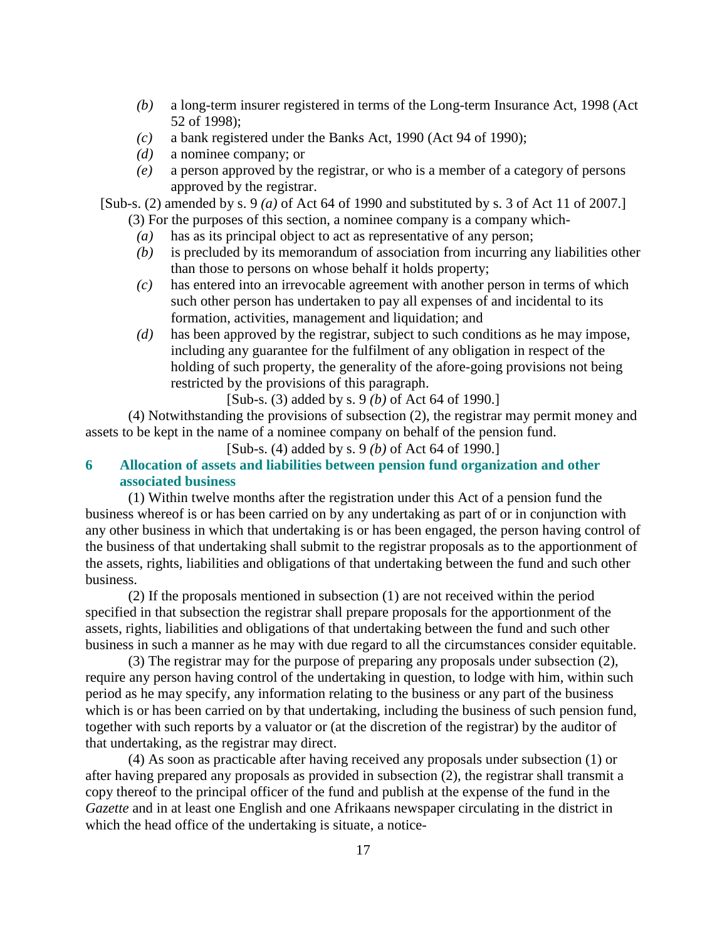- *(b)* a long-term insurer registered in terms of the Long-term Insurance Act, 1998 (Act 52 of 1998);
- *(c)* a bank registered under the Banks Act, 1990 (Act 94 of 1990);
- *(d)* a nominee company; or
- *(e)* a person approved by the registrar, or who is a member of a category of persons approved by the registrar.

[Sub-s. (2) amended by s. 9 *(a)* of Act 64 of 1990 and substituted by s. 3 of Act 11 of 2007.]

- (3) For the purposes of this section, a nominee company is a company which-
- *(a)* has as its principal object to act as representative of any person;
- *(b)* is precluded by its memorandum of association from incurring any liabilities other than those to persons on whose behalf it holds property;
- *(c)* has entered into an irrevocable agreement with another person in terms of which such other person has undertaken to pay all expenses of and incidental to its formation, activities, management and liquidation; and
- *(d)* has been approved by the registrar, subject to such conditions as he may impose, including any guarantee for the fulfilment of any obligation in respect of the holding of such property, the generality of the afore-going provisions not being restricted by the provisions of this paragraph.

[Sub-s. (3) added by s. 9 *(b)* of Act 64 of 1990.]

 (4) Notwithstanding the provisions of subsection (2), the registrar may permit money and assets to be kept in the name of a nominee company on behalf of the pension fund.

[Sub-s. (4) added by s. 9 *(b)* of Act 64 of 1990.]

# **6 Allocation of assets and liabilities between pension fund organization and other associated business**

 (1) Within twelve months after the registration under this Act of a pension fund the business whereof is or has been carried on by any undertaking as part of or in conjunction with any other business in which that undertaking is or has been engaged, the person having control of the business of that undertaking shall submit to the registrar proposals as to the apportionment of the assets, rights, liabilities and obligations of that undertaking between the fund and such other business.

 (2) If the proposals mentioned in subsection (1) are not received within the period specified in that subsection the registrar shall prepare proposals for the apportionment of the assets, rights, liabilities and obligations of that undertaking between the fund and such other business in such a manner as he may with due regard to all the circumstances consider equitable.

 (3) The registrar may for the purpose of preparing any proposals under subsection (2), require any person having control of the undertaking in question, to lodge with him, within such period as he may specify, any information relating to the business or any part of the business which is or has been carried on by that undertaking, including the business of such pension fund, together with such reports by a valuator or (at the discretion of the registrar) by the auditor of that undertaking, as the registrar may direct.

 (4) As soon as practicable after having received any proposals under subsection (1) or after having prepared any proposals as provided in subsection (2), the registrar shall transmit a copy thereof to the principal officer of the fund and publish at the expense of the fund in the *Gazette* and in at least one English and one Afrikaans newspaper circulating in the district in which the head office of the undertaking is situate, a notice-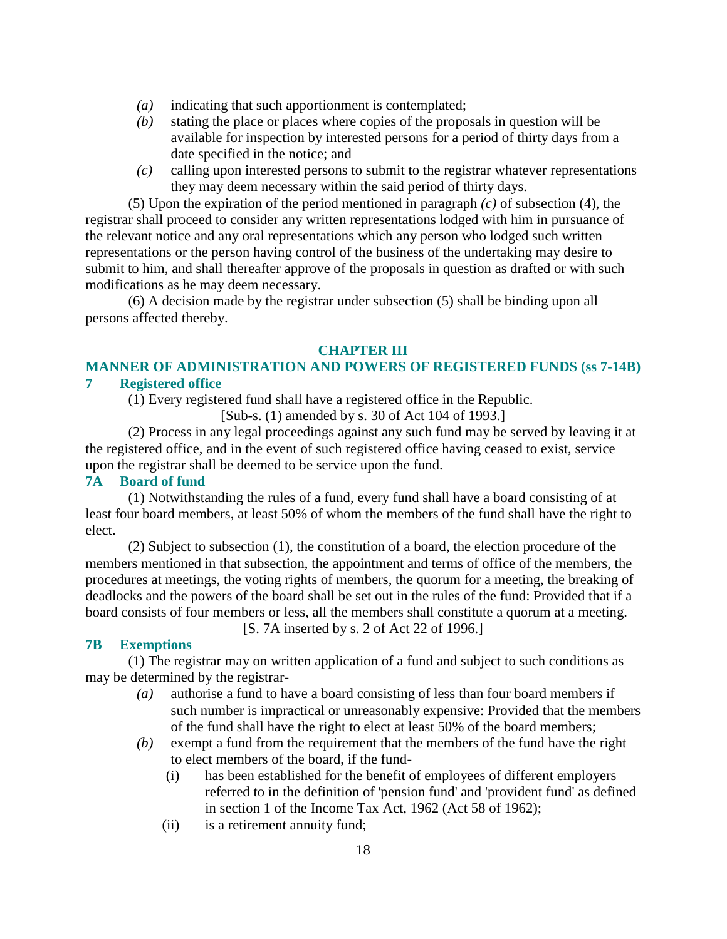- *(a)* indicating that such apportionment is contemplated;
- *(b)* stating the place or places where copies of the proposals in question will be available for inspection by interested persons for a period of thirty days from a date specified in the notice; and
- *(c)* calling upon interested persons to submit to the registrar whatever representations they may deem necessary within the said period of thirty days.

 (5) Upon the expiration of the period mentioned in paragraph *(c)* of subsection (4), the registrar shall proceed to consider any written representations lodged with him in pursuance of the relevant notice and any oral representations which any person who lodged such written representations or the person having control of the business of the undertaking may desire to submit to him, and shall thereafter approve of the proposals in question as drafted or with such modifications as he may deem necessary.

 (6) A decision made by the registrar under subsection (5) shall be binding upon all persons affected thereby.

#### **CHAPTER III**

# **MANNER OF ADMINISTRATION AND POWERS OF REGISTERED FUNDS (ss 7-14B) 7 Registered office**

(1) Every registered fund shall have a registered office in the Republic.

[Sub-s. (1) amended by s. 30 of Act 104 of 1993.]

 (2) Process in any legal proceedings against any such fund may be served by leaving it at the registered office, and in the event of such registered office having ceased to exist, service upon the registrar shall be deemed to be service upon the fund.

# **7A Board of fund**

 (1) Notwithstanding the rules of a fund, every fund shall have a board consisting of at least four board members, at least 50% of whom the members of the fund shall have the right to elect.

 (2) Subject to subsection (1), the constitution of a board, the election procedure of the members mentioned in that subsection, the appointment and terms of office of the members, the procedures at meetings, the voting rights of members, the quorum for a meeting, the breaking of deadlocks and the powers of the board shall be set out in the rules of the fund: Provided that if a board consists of four members or less, all the members shall constitute a quorum at a meeting. [S. 7A inserted by s. 2 of Act 22 of 1996.]

# **7B Exemptions**

 (1) The registrar may on written application of a fund and subject to such conditions as may be determined by the registrar-

- *(a)* authorise a fund to have a board consisting of less than four board members if such number is impractical or unreasonably expensive: Provided that the members of the fund shall have the right to elect at least 50% of the board members;
- *(b)* exempt a fund from the requirement that the members of the fund have the right to elect members of the board, if the fund-
	- (i) has been established for the benefit of employees of different employers referred to in the definition of 'pension fund' and 'provident fund' as defined in section 1 of the Income Tax Act, 1962 (Act 58 of 1962);
	- (ii) is a retirement annuity fund;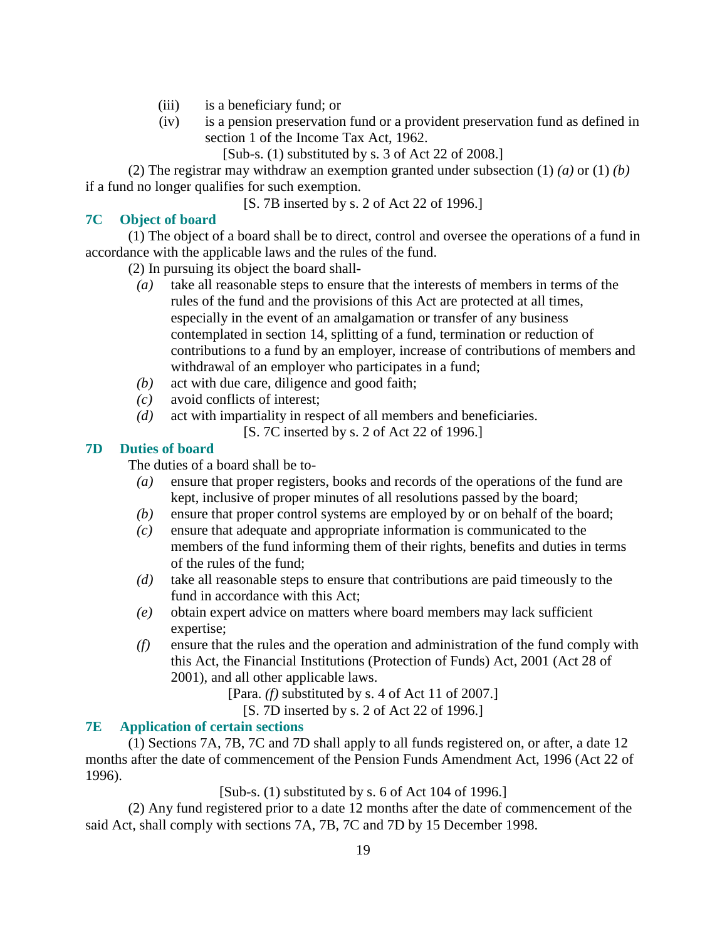- (iii) is a beneficiary fund; or
- (iv) is a pension preservation fund or a provident preservation fund as defined in section 1 of the Income Tax Act, 1962.
	- [Sub-s. (1) substituted by s. 3 of Act 22 of 2008.]

 (2) The registrar may withdraw an exemption granted under subsection (1) *(a)* or (1) *(b)* if a fund no longer qualifies for such exemption.

[S. 7B inserted by s. 2 of Act 22 of 1996.]

# **7C Object of board**

 (1) The object of a board shall be to direct, control and oversee the operations of a fund in accordance with the applicable laws and the rules of the fund.

(2) In pursuing its object the board shall-

- *(a)* take all reasonable steps to ensure that the interests of members in terms of the rules of the fund and the provisions of this Act are protected at all times, especially in the event of an amalgamation or transfer of any business contemplated in section 14, splitting of a fund, termination or reduction of contributions to a fund by an employer, increase of contributions of members and withdrawal of an employer who participates in a fund;
- *(b)* act with due care, diligence and good faith;
- *(c)* avoid conflicts of interest;
- *(d)* act with impartiality in respect of all members and beneficiaries.
	- [S. 7C inserted by s. 2 of Act 22 of 1996.]

# **7D Duties of board**

The duties of a board shall be to-

- *(a)* ensure that proper registers, books and records of the operations of the fund are kept, inclusive of proper minutes of all resolutions passed by the board;
- *(b)* ensure that proper control systems are employed by or on behalf of the board;
- *(c)* ensure that adequate and appropriate information is communicated to the members of the fund informing them of their rights, benefits and duties in terms of the rules of the fund;
- *(d)* take all reasonable steps to ensure that contributions are paid timeously to the fund in accordance with this Act;
- *(e)* obtain expert advice on matters where board members may lack sufficient expertise;
- *(f)* ensure that the rules and the operation and administration of the fund comply with this Act, the Financial Institutions (Protection of Funds) Act, 2001 (Act 28 of 2001), and all other applicable laws.

[Para. *(f)* substituted by s. 4 of Act 11 of 2007.]

[S. 7D inserted by s. 2 of Act 22 of 1996.]

# **7E Application of certain sections**

 (1) Sections 7A, 7B, 7C and 7D shall apply to all funds registered on, or after, a date 12 months after the date of commencement of the Pension Funds Amendment Act, 1996 (Act 22 of 1996).

[Sub-s. (1) substituted by s. 6 of Act 104 of 1996.]

 (2) Any fund registered prior to a date 12 months after the date of commencement of the said Act, shall comply with sections 7A, 7B, 7C and 7D by 15 December 1998.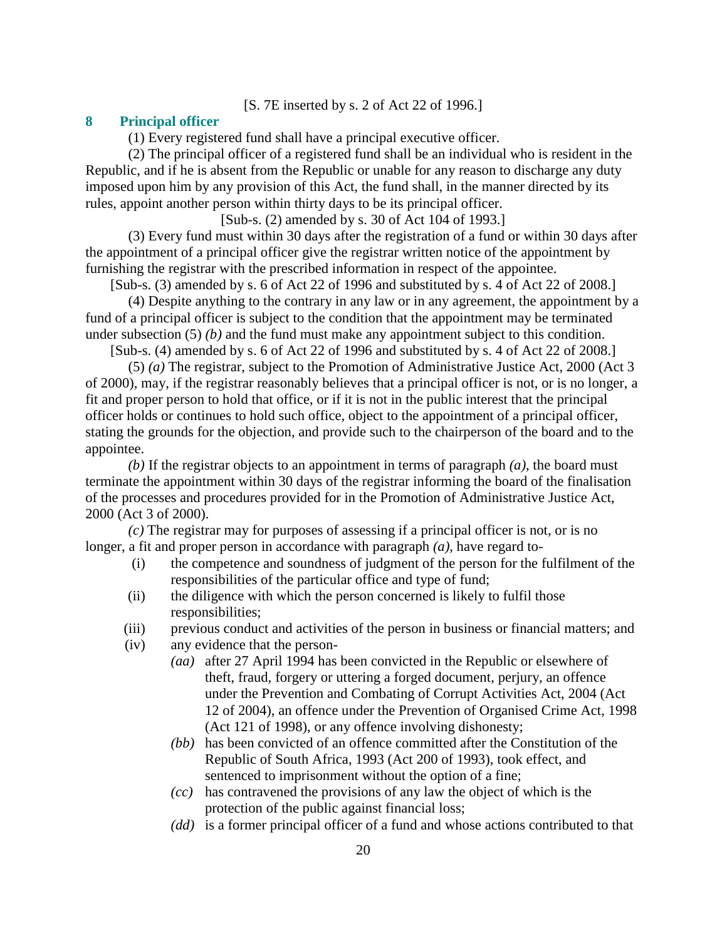## [S. 7E inserted by s. 2 of Act 22 of 1996.]

#### **8 Principal officer**

(1) Every registered fund shall have a principal executive officer.

 (2) The principal officer of a registered fund shall be an individual who is resident in the Republic, and if he is absent from the Republic or unable for any reason to discharge any duty imposed upon him by any provision of this Act, the fund shall, in the manner directed by its rules, appoint another person within thirty days to be its principal officer.

[Sub-s. (2) amended by s. 30 of Act 104 of 1993.]

 (3) Every fund must within 30 days after the registration of a fund or within 30 days after the appointment of a principal officer give the registrar written notice of the appointment by furnishing the registrar with the prescribed information in respect of the appointee.

[Sub-s. (3) amended by s. 6 of Act 22 of 1996 and substituted by s. 4 of Act 22 of 2008.]

 (4) Despite anything to the contrary in any law or in any agreement, the appointment by a fund of a principal officer is subject to the condition that the appointment may be terminated under subsection (5) *(b)* and the fund must make any appointment subject to this condition.

[Sub-s. (4) amended by s. 6 of Act 22 of 1996 and substituted by s. 4 of Act 22 of 2008.]

 (5) *(a)* The registrar, subject to the Promotion of Administrative Justice Act, 2000 (Act 3 of 2000), may, if the registrar reasonably believes that a principal officer is not, or is no longer, a fit and proper person to hold that office, or if it is not in the public interest that the principal officer holds or continues to hold such office, object to the appointment of a principal officer, stating the grounds for the objection, and provide such to the chairperson of the board and to the appointee.

*(b)* If the registrar objects to an appointment in terms of paragraph *(a)*, the board must terminate the appointment within 30 days of the registrar informing the board of the finalisation of the processes and procedures provided for in the Promotion of Administrative Justice Act, 2000 (Act 3 of 2000).

*(c)* The registrar may for purposes of assessing if a principal officer is not, or is no longer, a fit and proper person in accordance with paragraph *(a)*, have regard to-

- (i) the competence and soundness of judgment of the person for the fulfilment of the responsibilities of the particular office and type of fund;
- (ii) the diligence with which the person concerned is likely to fulfil those responsibilities;
- (iii) previous conduct and activities of the person in business or financial matters; and
- (iv) any evidence that the person-
	- *(aa)* after 27 April 1994 has been convicted in the Republic or elsewhere of theft, fraud, forgery or uttering a forged document, perjury, an offence under the Prevention and Combating of Corrupt Activities Act, 2004 (Act 12 of 2004), an offence under the Prevention of Organised Crime Act, 1998 (Act 121 of 1998), or any offence involving dishonesty;
	- *(bb)* has been convicted of an offence committed after the Constitution of the Republic of South Africa, 1993 (Act 200 of 1993), took effect, and sentenced to imprisonment without the option of a fine;
	- *(cc)* has contravened the provisions of any law the object of which is the protection of the public against financial loss;
	- *(dd)* is a former principal officer of a fund and whose actions contributed to that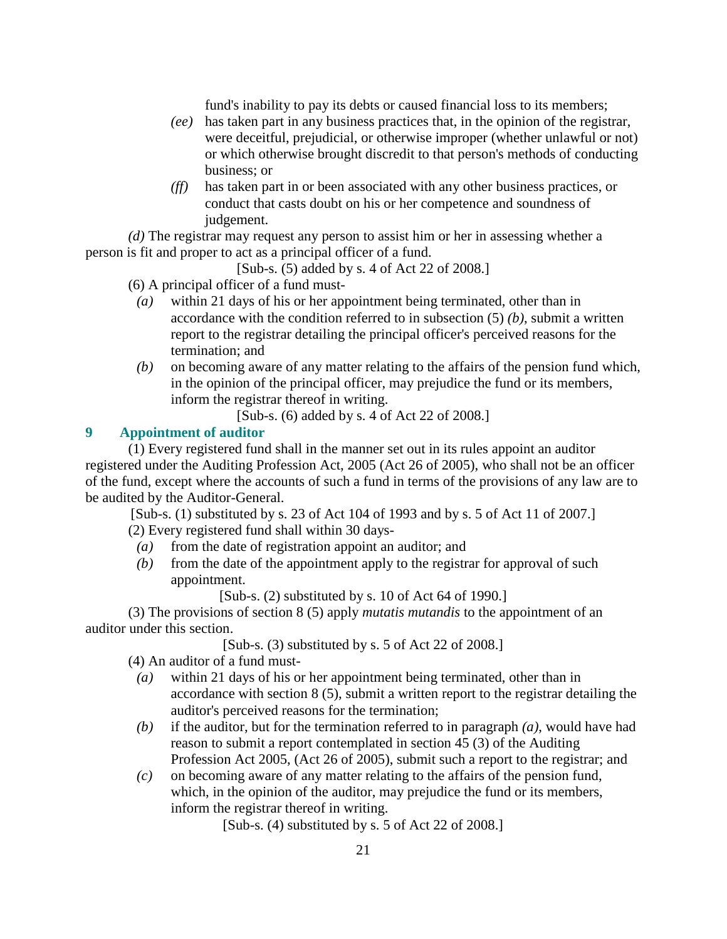fund's inability to pay its debts or caused financial loss to its members;

- *(ee)* has taken part in any business practices that, in the opinion of the registrar, were deceitful, prejudicial, or otherwise improper (whether unlawful or not) or which otherwise brought discredit to that person's methods of conducting business; or
- *(ff)* has taken part in or been associated with any other business practices, or conduct that casts doubt on his or her competence and soundness of judgement.

*(d)* The registrar may request any person to assist him or her in assessing whether a person is fit and proper to act as a principal officer of a fund.

[Sub-s. (5) added by s. 4 of Act 22 of 2008.]

(6) A principal officer of a fund must-

- *(a)* within 21 days of his or her appointment being terminated, other than in accordance with the condition referred to in subsection (5) *(b)*, submit a written report to the registrar detailing the principal officer's perceived reasons for the termination; and
- *(b)* on becoming aware of any matter relating to the affairs of the pension fund which, in the opinion of the principal officer, may prejudice the fund or its members, inform the registrar thereof in writing.

[Sub-s. (6) added by s. 4 of Act 22 of 2008.]

# **9 Appointment of auditor**

 (1) Every registered fund shall in the manner set out in its rules appoint an auditor registered under the Auditing Profession Act, 2005 (Act 26 of 2005), who shall not be an officer of the fund, except where the accounts of such a fund in terms of the provisions of any law are to be audited by the Auditor-General.

[Sub-s. (1) substituted by s. 23 of Act 104 of 1993 and by s. 5 of Act 11 of 2007.]

(2) Every registered fund shall within 30 days-

- *(a)* from the date of registration appoint an auditor; and
- *(b)* from the date of the appointment apply to the registrar for approval of such appointment.

[Sub-s.  $(2)$  substituted by s. 10 of Act 64 of 1990.]

 (3) The provisions of section 8 (5) apply *mutatis mutandis* to the appointment of an auditor under this section.

[Sub-s. (3) substituted by s. 5 of Act 22 of 2008.]

(4) An auditor of a fund must-

- *(a)* within 21 days of his or her appointment being terminated, other than in accordance with section 8 (5), submit a written report to the registrar detailing the auditor's perceived reasons for the termination;
- *(b)* if the auditor, but for the termination referred to in paragraph *(a)*, would have had reason to submit a report contemplated in section 45 (3) of the Auditing Profession Act 2005, (Act 26 of 2005), submit such a report to the registrar; and
- *(c)* on becoming aware of any matter relating to the affairs of the pension fund, which, in the opinion of the auditor, may prejudice the fund or its members, inform the registrar thereof in writing.

[Sub-s. (4) substituted by s. 5 of Act 22 of 2008.]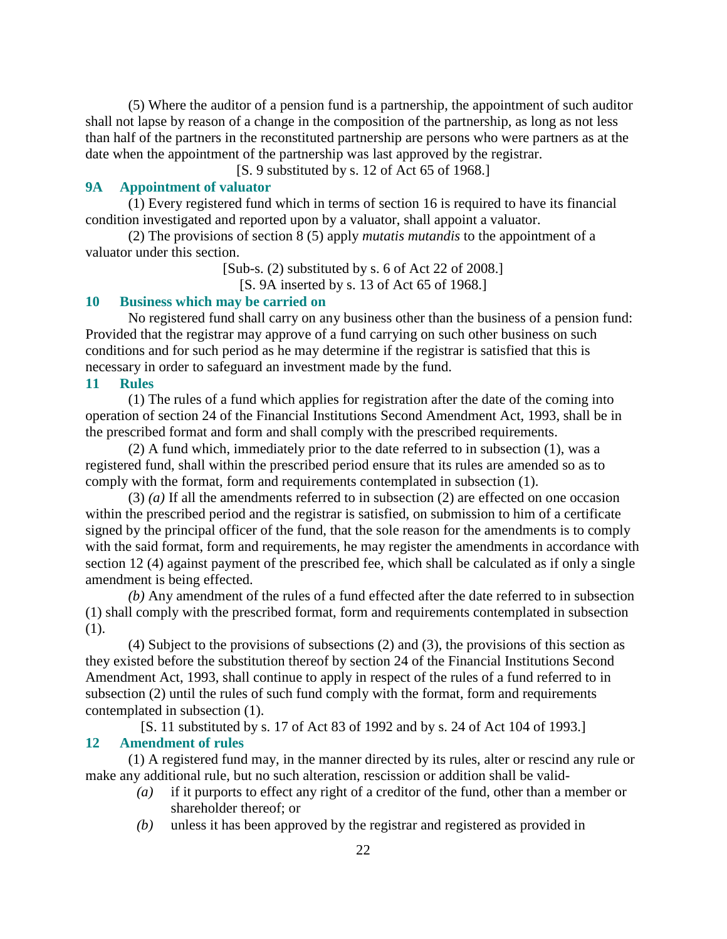(5) Where the auditor of a pension fund is a partnership, the appointment of such auditor shall not lapse by reason of a change in the composition of the partnership, as long as not less than half of the partners in the reconstituted partnership are persons who were partners as at the date when the appointment of the partnership was last approved by the registrar.

[S. 9 substituted by s. 12 of Act 65 of 1968.]

## **9A Appointment of valuator**

 (1) Every registered fund which in terms of section 16 is required to have its financial condition investigated and reported upon by a valuator, shall appoint a valuator.

 (2) The provisions of section 8 (5) apply *mutatis mutandis* to the appointment of a valuator under this section.

[Sub-s. (2) substituted by s. 6 of Act 22 of 2008.]

[S. 9A inserted by s. 13 of Act 65 of 1968.]

# **10 Business which may be carried on**

 No registered fund shall carry on any business other than the business of a pension fund: Provided that the registrar may approve of a fund carrying on such other business on such conditions and for such period as he may determine if the registrar is satisfied that this is necessary in order to safeguard an investment made by the fund.

#### **11 Rules**

 (1) The rules of a fund which applies for registration after the date of the coming into operation of section 24 of the Financial Institutions Second Amendment Act, 1993, shall be in the prescribed format and form and shall comply with the prescribed requirements.

 (2) A fund which, immediately prior to the date referred to in subsection (1), was a registered fund, shall within the prescribed period ensure that its rules are amended so as to comply with the format, form and requirements contemplated in subsection (1).

 (3) *(a)* If all the amendments referred to in subsection (2) are effected on one occasion within the prescribed period and the registrar is satisfied, on submission to him of a certificate signed by the principal officer of the fund, that the sole reason for the amendments is to comply with the said format, form and requirements, he may register the amendments in accordance with section 12 (4) against payment of the prescribed fee, which shall be calculated as if only a single amendment is being effected.

*(b)* Any amendment of the rules of a fund effected after the date referred to in subsection (1) shall comply with the prescribed format, form and requirements contemplated in subsection (1).

 (4) Subject to the provisions of subsections (2) and (3), the provisions of this section as they existed before the substitution thereof by section 24 of the Financial Institutions Second Amendment Act, 1993, shall continue to apply in respect of the rules of a fund referred to in subsection (2) until the rules of such fund comply with the format, form and requirements contemplated in subsection (1).

[S. 11 substituted by s. 17 of Act 83 of 1992 and by s. 24 of Act 104 of 1993.] **12 Amendment of rules** 

 (1) A registered fund may, in the manner directed by its rules, alter or rescind any rule or make any additional rule, but no such alteration, rescission or addition shall be valid-

- *(a)* if it purports to effect any right of a creditor of the fund, other than a member or shareholder thereof; or
- *(b)* unless it has been approved by the registrar and registered as provided in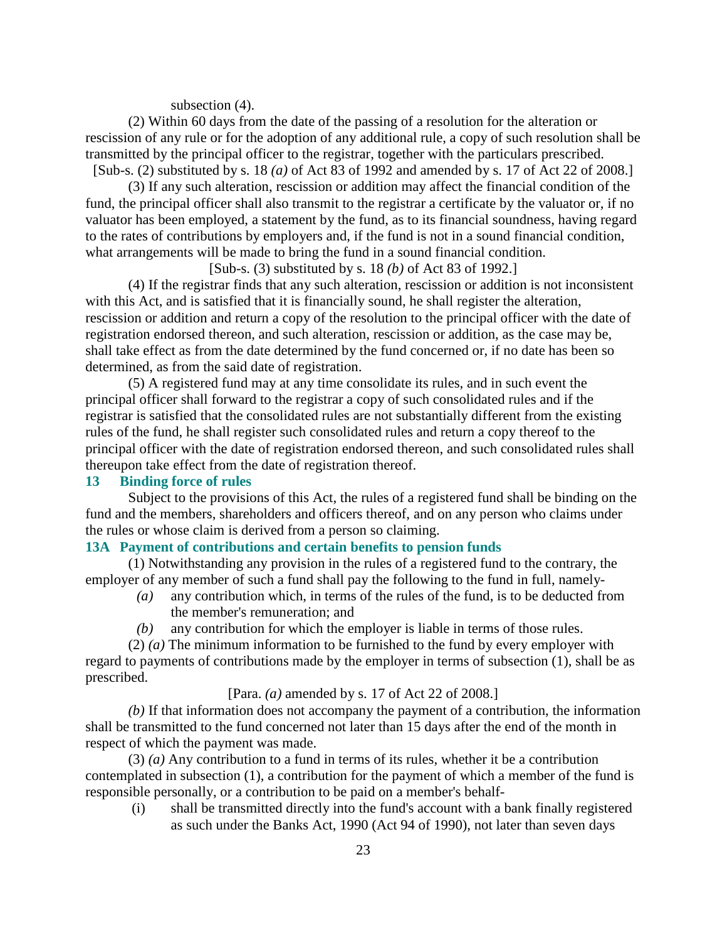#### subsection  $(4)$ .

 (2) Within 60 days from the date of the passing of a resolution for the alteration or rescission of any rule or for the adoption of any additional rule, a copy of such resolution shall be transmitted by the principal officer to the registrar, together with the particulars prescribed. [Sub-s. (2) substituted by s. 18 *(a)* of Act 83 of 1992 and amended by s. 17 of Act 22 of 2008.]

 (3) If any such alteration, rescission or addition may affect the financial condition of the fund, the principal officer shall also transmit to the registrar a certificate by the valuator or, if no valuator has been employed, a statement by the fund, as to its financial soundness, having regard to the rates of contributions by employers and, if the fund is not in a sound financial condition, what arrangements will be made to bring the fund in a sound financial condition.

[Sub-s. (3) substituted by s. 18 *(b)* of Act 83 of 1992.]

 (4) If the registrar finds that any such alteration, rescission or addition is not inconsistent with this Act, and is satisfied that it is financially sound, he shall register the alteration, rescission or addition and return a copy of the resolution to the principal officer with the date of registration endorsed thereon, and such alteration, rescission or addition, as the case may be, shall take effect as from the date determined by the fund concerned or, if no date has been so determined, as from the said date of registration.

 (5) A registered fund may at any time consolidate its rules, and in such event the principal officer shall forward to the registrar a copy of such consolidated rules and if the registrar is satisfied that the consolidated rules are not substantially different from the existing rules of the fund, he shall register such consolidated rules and return a copy thereof to the principal officer with the date of registration endorsed thereon, and such consolidated rules shall thereupon take effect from the date of registration thereof.

#### **13 Binding force of rules**

 Subject to the provisions of this Act, the rules of a registered fund shall be binding on the fund and the members, shareholders and officers thereof, and on any person who claims under the rules or whose claim is derived from a person so claiming.

## **13A Payment of contributions and certain benefits to pension funds**

 (1) Notwithstanding any provision in the rules of a registered fund to the contrary, the employer of any member of such a fund shall pay the following to the fund in full, namely-

- *(a)* any contribution which, in terms of the rules of the fund, is to be deducted from the member's remuneration; and
- *(b)* any contribution for which the employer is liable in terms of those rules.

 (2) *(a)* The minimum information to be furnished to the fund by every employer with regard to payments of contributions made by the employer in terms of subsection (1), shall be as prescribed.

## [Para. *(a)* amended by s. 17 of Act 22 of 2008.]

*(b)* If that information does not accompany the payment of a contribution, the information shall be transmitted to the fund concerned not later than 15 days after the end of the month in respect of which the payment was made.

 (3) *(a)* Any contribution to a fund in terms of its rules, whether it be a contribution contemplated in subsection (1), a contribution for the payment of which a member of the fund is responsible personally, or a contribution to be paid on a member's behalf-

 (i) shall be transmitted directly into the fund's account with a bank finally registered as such under the Banks Act, 1990 (Act 94 of 1990), not later than seven days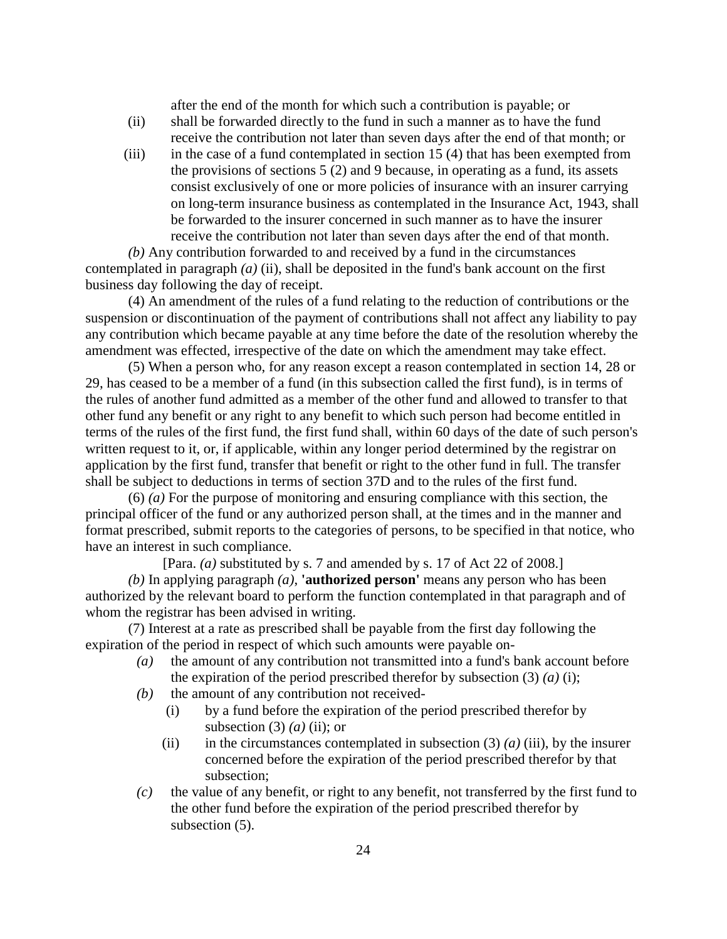after the end of the month for which such a contribution is payable; or

- (ii) shall be forwarded directly to the fund in such a manner as to have the fund receive the contribution not later than seven days after the end of that month; or
- (iii) in the case of a fund contemplated in section 15 (4) that has been exempted from the provisions of sections 5 (2) and 9 because, in operating as a fund, its assets consist exclusively of one or more policies of insurance with an insurer carrying on long-term insurance business as contemplated in the Insurance Act, 1943, shall be forwarded to the insurer concerned in such manner as to have the insurer receive the contribution not later than seven days after the end of that month.

*(b)* Any contribution forwarded to and received by a fund in the circumstances contemplated in paragraph *(a)* (ii), shall be deposited in the fund's bank account on the first business day following the day of receipt.

 (4) An amendment of the rules of a fund relating to the reduction of contributions or the suspension or discontinuation of the payment of contributions shall not affect any liability to pay any contribution which became payable at any time before the date of the resolution whereby the amendment was effected, irrespective of the date on which the amendment may take effect.

 (5) When a person who, for any reason except a reason contemplated in section 14, 28 or 29, has ceased to be a member of a fund (in this subsection called the first fund), is in terms of the rules of another fund admitted as a member of the other fund and allowed to transfer to that other fund any benefit or any right to any benefit to which such person had become entitled in terms of the rules of the first fund, the first fund shall, within 60 days of the date of such person's written request to it, or, if applicable, within any longer period determined by the registrar on application by the first fund, transfer that benefit or right to the other fund in full. The transfer shall be subject to deductions in terms of section 37D and to the rules of the first fund.

 (6) *(a)* For the purpose of monitoring and ensuring compliance with this section, the principal officer of the fund or any authorized person shall, at the times and in the manner and format prescribed, submit reports to the categories of persons, to be specified in that notice, who have an interest in such compliance.

[Para. *(a)* substituted by s. 7 and amended by s. 17 of Act 22 of 2008.]

*(b)* In applying paragraph *(a)*, **'authorized person'** means any person who has been authorized by the relevant board to perform the function contemplated in that paragraph and of whom the registrar has been advised in writing.

 (7) Interest at a rate as prescribed shall be payable from the first day following the expiration of the period in respect of which such amounts were payable on-

- *(a)* the amount of any contribution not transmitted into a fund's bank account before the expiration of the period prescribed therefor by subsection  $(3)$   $(a)$   $(i)$ ;
- *(b)* the amount of any contribution not received-
	- (i) by a fund before the expiration of the period prescribed therefor by subsection  $(3)$   $(a)$   $(ii)$ ; or
	- (ii) in the circumstances contemplated in subsection  $(3)$  *(a) (iii)*, by the insurer concerned before the expiration of the period prescribed therefor by that subsection;
- *(c)* the value of any benefit, or right to any benefit, not transferred by the first fund to the other fund before the expiration of the period prescribed therefor by subsection (5).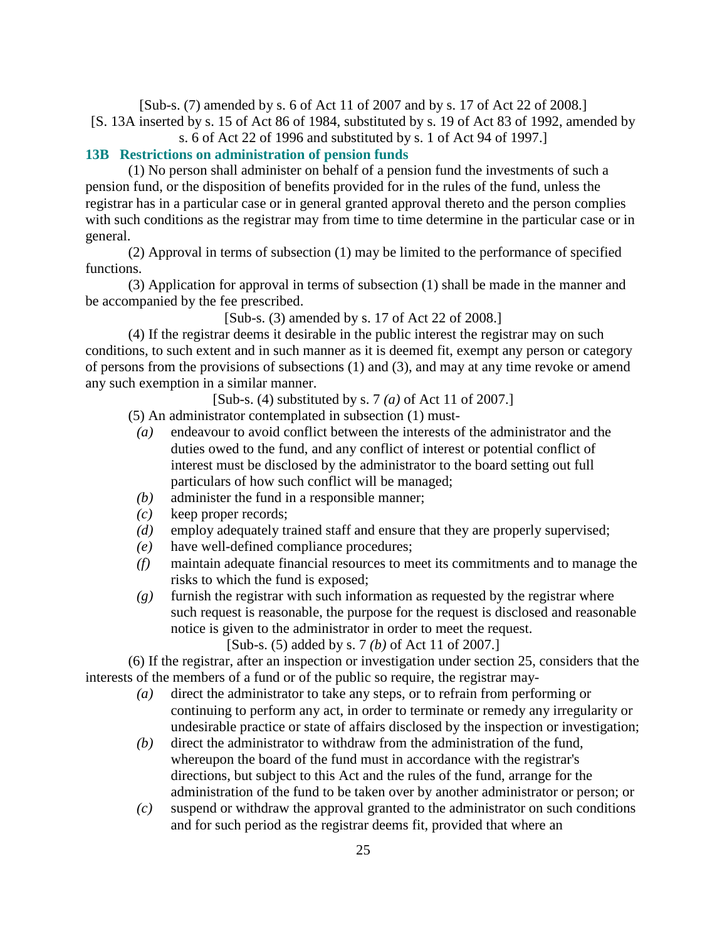[Sub-s. (7) amended by s. 6 of Act 11 of 2007 and by s. 17 of Act 22 of 2008.] [S. 13A inserted by s. 15 of Act 86 of 1984, substituted by s. 19 of Act 83 of 1992, amended by s. 6 of Act 22 of 1996 and substituted by s. 1 of Act 94 of 1997.]

## **13B Restrictions on administration of pension funds**

 (1) No person shall administer on behalf of a pension fund the investments of such a pension fund, or the disposition of benefits provided for in the rules of the fund, unless the registrar has in a particular case or in general granted approval thereto and the person complies with such conditions as the registrar may from time to time determine in the particular case or in general.

 (2) Approval in terms of subsection (1) may be limited to the performance of specified functions.

 (3) Application for approval in terms of subsection (1) shall be made in the manner and be accompanied by the fee prescribed.

[Sub-s. (3) amended by s. 17 of Act 22 of 2008.]

 (4) If the registrar deems it desirable in the public interest the registrar may on such conditions, to such extent and in such manner as it is deemed fit, exempt any person or category of persons from the provisions of subsections (1) and (3), and may at any time revoke or amend any such exemption in a similar manner.

[Sub-s. (4) substituted by s. 7 *(a)* of Act 11 of 2007.]

- (5) An administrator contemplated in subsection (1) must-
- *(a)* endeavour to avoid conflict between the interests of the administrator and the duties owed to the fund, and any conflict of interest or potential conflict of interest must be disclosed by the administrator to the board setting out full particulars of how such conflict will be managed;
- *(b)* administer the fund in a responsible manner;
- *(c)* keep proper records;
- *(d)* employ adequately trained staff and ensure that they are properly supervised;
- *(e)* have well-defined compliance procedures;
- *(f)* maintain adequate financial resources to meet its commitments and to manage the risks to which the fund is exposed;
- *(g)* furnish the registrar with such information as requested by the registrar where such request is reasonable, the purpose for the request is disclosed and reasonable notice is given to the administrator in order to meet the request.

[Sub-s. (5) added by s. 7 *(b)* of Act 11 of 2007.]

 (6) If the registrar, after an inspection or investigation under section 25, considers that the interests of the members of a fund or of the public so require, the registrar may-

- *(a)* direct the administrator to take any steps, or to refrain from performing or continuing to perform any act, in order to terminate or remedy any irregularity or undesirable practice or state of affairs disclosed by the inspection or investigation;
- *(b)* direct the administrator to withdraw from the administration of the fund, whereupon the board of the fund must in accordance with the registrar's directions, but subject to this Act and the rules of the fund, arrange for the administration of the fund to be taken over by another administrator or person; or
- *(c)* suspend or withdraw the approval granted to the administrator on such conditions and for such period as the registrar deems fit, provided that where an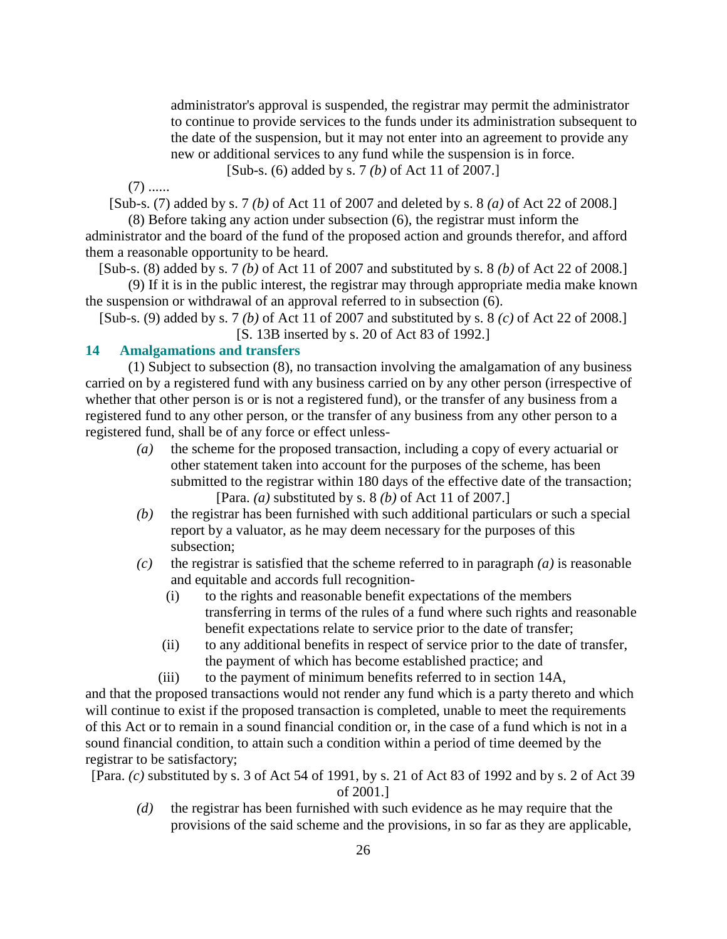administrator's approval is suspended, the registrar may permit the administrator to continue to provide services to the funds under its administration subsequent to the date of the suspension, but it may not enter into an agreement to provide any new or additional services to any fund while the suspension is in force. [Sub-s. (6) added by s. 7 *(b)* of Act 11 of 2007.]

 $(7)$  ......

[Sub-s. (7) added by s. 7 *(b)* of Act 11 of 2007 and deleted by s. 8 *(a)* of Act 22 of 2008.]

 (8) Before taking any action under subsection (6), the registrar must inform the administrator and the board of the fund of the proposed action and grounds therefor, and afford them a reasonable opportunity to be heard.

[Sub-s. (8) added by s. 7 *(b)* of Act 11 of 2007 and substituted by s. 8 *(b)* of Act 22 of 2008.]

 (9) If it is in the public interest, the registrar may through appropriate media make known the suspension or withdrawal of an approval referred to in subsection (6).

[Sub-s. (9) added by s. 7 *(b)* of Act 11 of 2007 and substituted by s. 8 *(c)* of Act 22 of 2008.] [S. 13B inserted by s. 20 of Act 83 of 1992.]

#### **14 Amalgamations and transfers**

 (1) Subject to subsection (8), no transaction involving the amalgamation of any business carried on by a registered fund with any business carried on by any other person (irrespective of whether that other person is or is not a registered fund), or the transfer of any business from a registered fund to any other person, or the transfer of any business from any other person to a registered fund, shall be of any force or effect unless-

- *(a)* the scheme for the proposed transaction, including a copy of every actuarial or other statement taken into account for the purposes of the scheme, has been submitted to the registrar within 180 days of the effective date of the transaction; [Para. *(a)* substituted by s. 8 *(b)* of Act 11 of 2007.]
- *(b)* the registrar has been furnished with such additional particulars or such a special report by a valuator, as he may deem necessary for the purposes of this subsection;
- *(c)* the registrar is satisfied that the scheme referred to in paragraph *(a)* is reasonable and equitable and accords full recognition-
	- (i) to the rights and reasonable benefit expectations of the members transferring in terms of the rules of a fund where such rights and reasonable benefit expectations relate to service prior to the date of transfer;
	- (ii) to any additional benefits in respect of service prior to the date of transfer, the payment of which has become established practice; and
	- (iii) to the payment of minimum benefits referred to in section 14A,

and that the proposed transactions would not render any fund which is a party thereto and which will continue to exist if the proposed transaction is completed, unable to meet the requirements of this Act or to remain in a sound financial condition or, in the case of a fund which is not in a sound financial condition, to attain such a condition within a period of time deemed by the registrar to be satisfactory;

[Para. *(c)* substituted by s. 3 of Act 54 of 1991, by s. 21 of Act 83 of 1992 and by s. 2 of Act 39 of 2001.]

 *(d)* the registrar has been furnished with such evidence as he may require that the provisions of the said scheme and the provisions, in so far as they are applicable,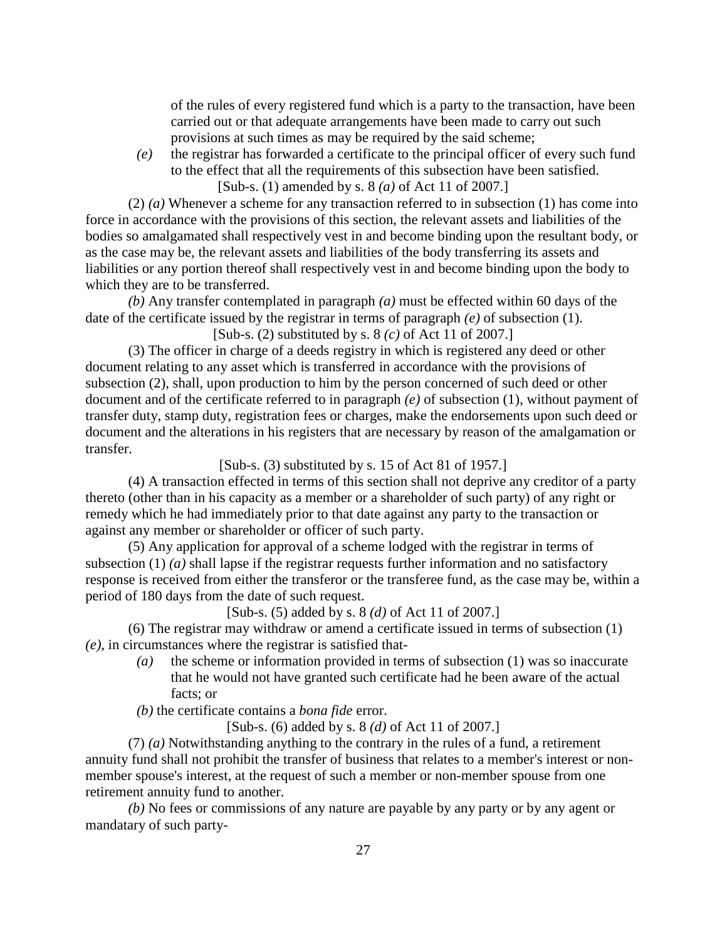of the rules of every registered fund which is a party to the transaction, have been carried out or that adequate arrangements have been made to carry out such provisions at such times as may be required by the said scheme;

 *(e)* the registrar has forwarded a certificate to the principal officer of every such fund to the effect that all the requirements of this subsection have been satisfied.

[Sub-s. (1) amended by s. 8 *(a)* of Act 11 of 2007.]

 (2) *(a)* Whenever a scheme for any transaction referred to in subsection (1) has come into force in accordance with the provisions of this section, the relevant assets and liabilities of the bodies so amalgamated shall respectively vest in and become binding upon the resultant body, or as the case may be, the relevant assets and liabilities of the body transferring its assets and liabilities or any portion thereof shall respectively vest in and become binding upon the body to which they are to be transferred.

*(b)* Any transfer contemplated in paragraph *(a)* must be effected within 60 days of the date of the certificate issued by the registrar in terms of paragraph *(e)* of subsection (1). [Sub-s. (2) substituted by s. 8 *(c)* of Act 11 of 2007.]

 (3) The officer in charge of a deeds registry in which is registered any deed or other document relating to any asset which is transferred in accordance with the provisions of subsection (2), shall, upon production to him by the person concerned of such deed or other document and of the certificate referred to in paragraph *(e)* of subsection (1), without payment of transfer duty, stamp duty, registration fees or charges, make the endorsements upon such deed or document and the alterations in his registers that are necessary by reason of the amalgamation or transfer.

 $[Sub-s. (3)$  substituted by s. 15 of Act 81 of 1957.

 (4) A transaction effected in terms of this section shall not deprive any creditor of a party thereto (other than in his capacity as a member or a shareholder of such party) of any right or remedy which he had immediately prior to that date against any party to the transaction or against any member or shareholder or officer of such party.

 (5) Any application for approval of a scheme lodged with the registrar in terms of subsection (1) *(a)* shall lapse if the registrar requests further information and no satisfactory response is received from either the transferor or the transferee fund, as the case may be, within a period of 180 days from the date of such request.

[Sub-s. (5) added by s. 8 *(d)* of Act 11 of 2007.]

 (6) The registrar may withdraw or amend a certificate issued in terms of subsection (1) *(e)*, in circumstances where the registrar is satisfied that-

 *(a)* the scheme or information provided in terms of subsection (1) was so inaccurate that he would not have granted such certificate had he been aware of the actual facts; or

*(b)* the certificate contains a *bona fide* error.

[Sub-s. (6) added by s. 8 *(d)* of Act 11 of 2007.]

 (7) *(a)* Notwithstanding anything to the contrary in the rules of a fund, a retirement annuity fund shall not prohibit the transfer of business that relates to a member's interest or nonmember spouse's interest, at the request of such a member or non-member spouse from one retirement annuity fund to another.

*(b)* No fees or commissions of any nature are payable by any party or by any agent or mandatary of such party-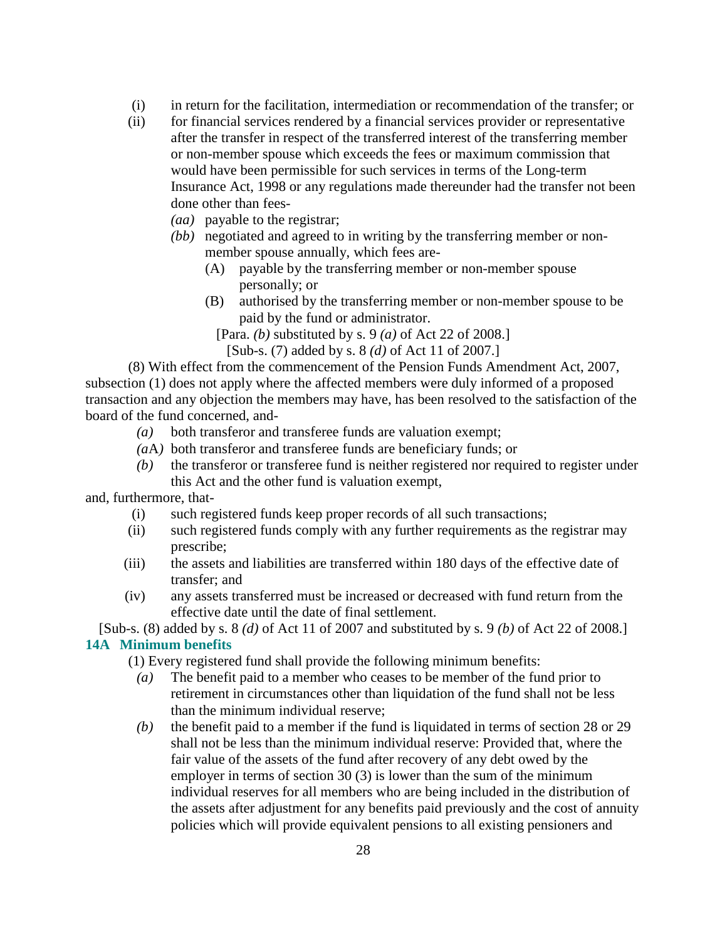- (i) in return for the facilitation, intermediation or recommendation of the transfer; or
- (ii) for financial services rendered by a financial services provider or representative after the transfer in respect of the transferred interest of the transferring member or non-member spouse which exceeds the fees or maximum commission that would have been permissible for such services in terms of the Long-term Insurance Act, 1998 or any regulations made thereunder had the transfer not been done other than fees-
	- *(aa)* payable to the registrar;
	- *(bb)* negotiated and agreed to in writing by the transferring member or nonmember spouse annually, which fees are-
		- (A) payable by the transferring member or non-member spouse personally; or
		- (B) authorised by the transferring member or non-member spouse to be paid by the fund or administrator.
			- [Para. *(b)* substituted by s. 9 *(a)* of Act 22 of 2008.]
				- [Sub-s. (7) added by s. 8 *(d)* of Act 11 of 2007.]

 (8) With effect from the commencement of the Pension Funds Amendment Act, 2007, subsection (1) does not apply where the affected members were duly informed of a proposed transaction and any objection the members may have, has been resolved to the satisfaction of the board of the fund concerned, and-

- *(a)* both transferor and transferee funds are valuation exempt;
- *(a*A*)* both transferor and transferee funds are beneficiary funds; or
- *(b)* the transferor or transferee fund is neither registered nor required to register under this Act and the other fund is valuation exempt,

and, furthermore, that-

- (i) such registered funds keep proper records of all such transactions;
- (ii) such registered funds comply with any further requirements as the registrar may prescribe;
- (iii) the assets and liabilities are transferred within 180 days of the effective date of transfer; and
- (iv) any assets transferred must be increased or decreased with fund return from the effective date until the date of final settlement.

[Sub-s. (8) added by s. 8 *(d)* of Act 11 of 2007 and substituted by s. 9 *(b)* of Act 22 of 2008.] **14A Minimum benefits** 

- (1) Every registered fund shall provide the following minimum benefits:
	- *(a)* The benefit paid to a member who ceases to be member of the fund prior to retirement in circumstances other than liquidation of the fund shall not be less than the minimum individual reserve;
	- *(b)* the benefit paid to a member if the fund is liquidated in terms of section 28 or 29 shall not be less than the minimum individual reserve: Provided that, where the fair value of the assets of the fund after recovery of any debt owed by the employer in terms of section 30 (3) is lower than the sum of the minimum individual reserves for all members who are being included in the distribution of the assets after adjustment for any benefits paid previously and the cost of annuity policies which will provide equivalent pensions to all existing pensioners and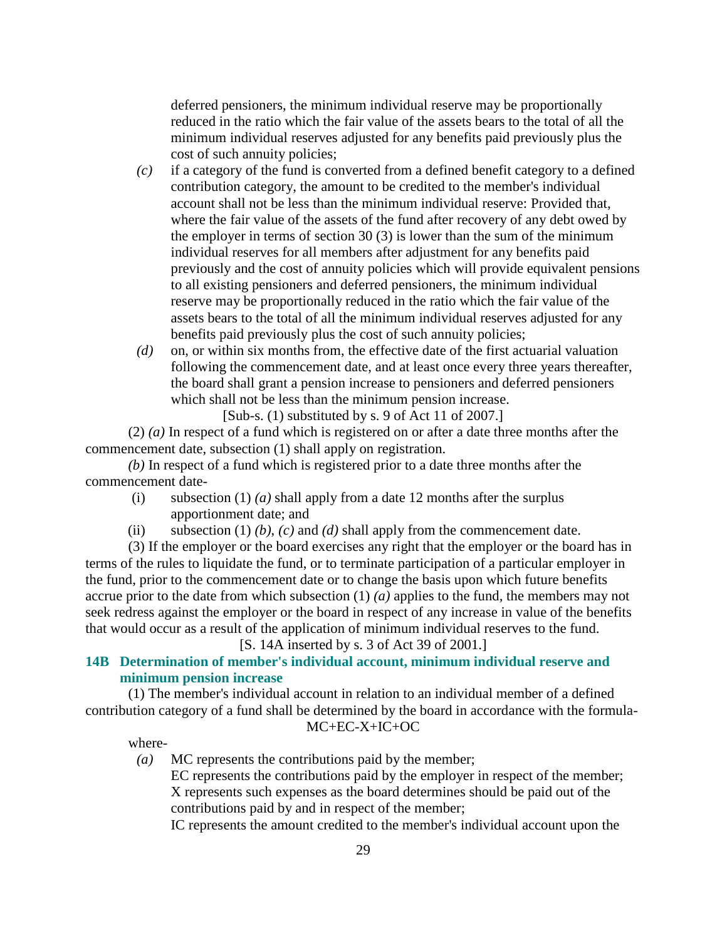deferred pensioners, the minimum individual reserve may be proportionally reduced in the ratio which the fair value of the assets bears to the total of all the minimum individual reserves adjusted for any benefits paid previously plus the cost of such annuity policies;

- *(c)* if a category of the fund is converted from a defined benefit category to a defined contribution category, the amount to be credited to the member's individual account shall not be less than the minimum individual reserve: Provided that, where the fair value of the assets of the fund after recovery of any debt owed by the employer in terms of section 30 (3) is lower than the sum of the minimum individual reserves for all members after adjustment for any benefits paid previously and the cost of annuity policies which will provide equivalent pensions to all existing pensioners and deferred pensioners, the minimum individual reserve may be proportionally reduced in the ratio which the fair value of the assets bears to the total of all the minimum individual reserves adjusted for any benefits paid previously plus the cost of such annuity policies;
- *(d)* on, or within six months from, the effective date of the first actuarial valuation following the commencement date, and at least once every three years thereafter, the board shall grant a pension increase to pensioners and deferred pensioners which shall not be less than the minimum pension increase.

[Sub-s. (1) substituted by s. 9 of Act 11 of 2007.]

 (2) *(a)* In respect of a fund which is registered on or after a date three months after the commencement date, subsection (1) shall apply on registration.

*(b)* In respect of a fund which is registered prior to a date three months after the commencement date-

- (i) subsection (1) *(a)* shall apply from a date 12 months after the surplus apportionment date; and
- (ii) subsection (1)  $(b)$ ,  $(c)$  and  $(d)$  shall apply from the commencement date.

 (3) If the employer or the board exercises any right that the employer or the board has in terms of the rules to liquidate the fund, or to terminate participation of a particular employer in the fund, prior to the commencement date or to change the basis upon which future benefits accrue prior to the date from which subsection (1) *(a)* applies to the fund, the members may not seek redress against the employer or the board in respect of any increase in value of the benefits that would occur as a result of the application of minimum individual reserves to the fund.

[S. 14A inserted by s. 3 of Act 39 of 2001.]

# **14B Determination of member's individual account, minimum individual reserve and minimum pension increase**

 (1) The member's individual account in relation to an individual member of a defined contribution category of a fund shall be determined by the board in accordance with the formula-

# MC+EC-X+IC+OC

*(a)* MC represents the contributions paid by the member;

where-

 EC represents the contributions paid by the employer in respect of the member; X represents such expenses as the board determines should be paid out of the contributions paid by and in respect of the member;

IC represents the amount credited to the member's individual account upon the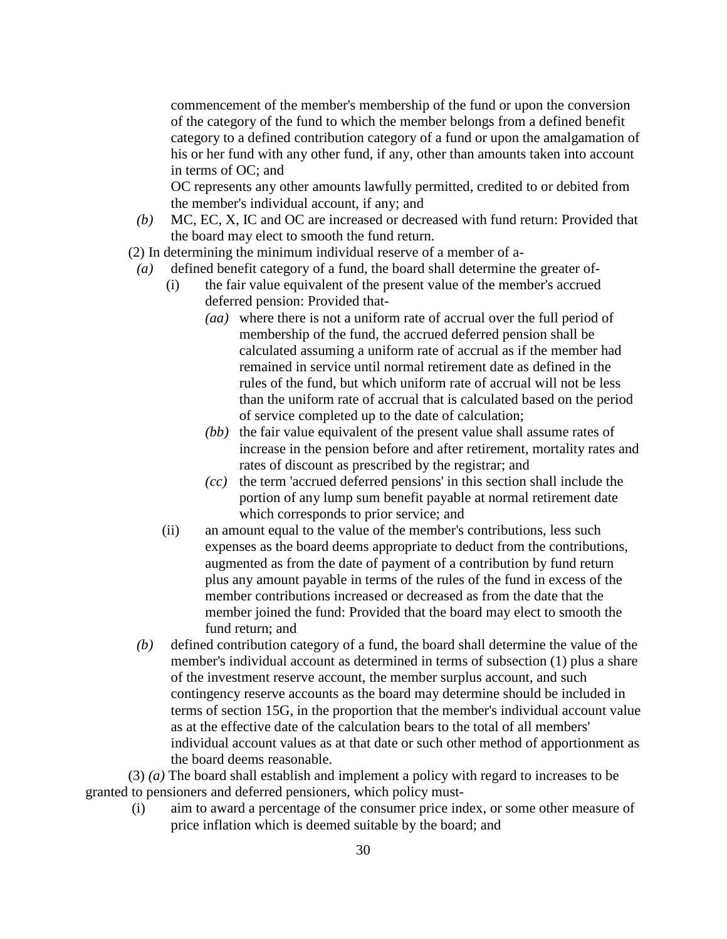commencement of the member's membership of the fund or upon the conversion of the category of the fund to which the member belongs from a defined benefit category to a defined contribution category of a fund or upon the amalgamation of his or her fund with any other fund, if any, other than amounts taken into account in terms of OC; and

 OC represents any other amounts lawfully permitted, credited to or debited from the member's individual account, if any; and

- *(b)* MC, EC, X, IC and OC are increased or decreased with fund return: Provided that the board may elect to smooth the fund return.
- (2) In determining the minimum individual reserve of a member of a-
	- *(a)* defined benefit category of a fund, the board shall determine the greater of-
		- (i) the fair value equivalent of the present value of the member's accrued deferred pension: Provided that-
			- *(aa)* where there is not a uniform rate of accrual over the full period of membership of the fund, the accrued deferred pension shall be calculated assuming a uniform rate of accrual as if the member had remained in service until normal retirement date as defined in the rules of the fund, but which uniform rate of accrual will not be less than the uniform rate of accrual that is calculated based on the period of service completed up to the date of calculation;
			- *(bb)* the fair value equivalent of the present value shall assume rates of increase in the pension before and after retirement, mortality rates and rates of discount as prescribed by the registrar; and
			- *(cc)* the term 'accrued deferred pensions' in this section shall include the portion of any lump sum benefit payable at normal retirement date which corresponds to prior service; and
		- (ii) an amount equal to the value of the member's contributions, less such expenses as the board deems appropriate to deduct from the contributions, augmented as from the date of payment of a contribution by fund return plus any amount payable in terms of the rules of the fund in excess of the member contributions increased or decreased as from the date that the member joined the fund: Provided that the board may elect to smooth the fund return; and
	- *(b)* defined contribution category of a fund, the board shall determine the value of the member's individual account as determined in terms of subsection (1) plus a share of the investment reserve account, the member surplus account, and such contingency reserve accounts as the board may determine should be included in terms of section 15G, in the proportion that the member's individual account value as at the effective date of the calculation bears to the total of all members' individual account values as at that date or such other method of apportionment as the board deems reasonable.

 (3) *(a)* The board shall establish and implement a policy with regard to increases to be granted to pensioners and deferred pensioners, which policy must-

 (i) aim to award a percentage of the consumer price index, or some other measure of price inflation which is deemed suitable by the board; and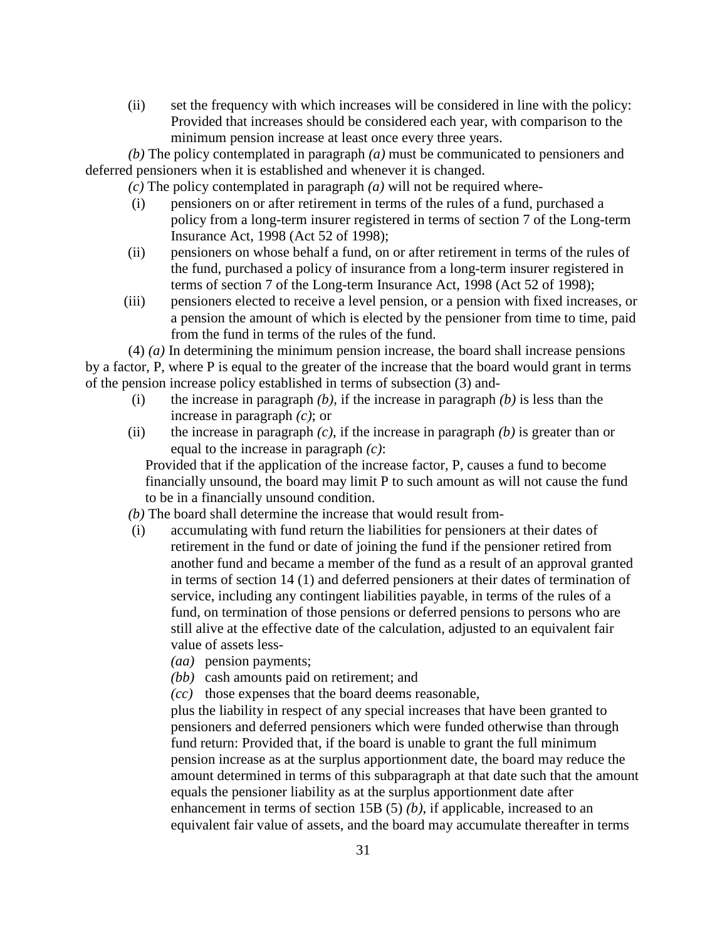(ii) set the frequency with which increases will be considered in line with the policy: Provided that increases should be considered each year, with comparison to the minimum pension increase at least once every three years.

*(b)* The policy contemplated in paragraph *(a)* must be communicated to pensioners and deferred pensioners when it is established and whenever it is changed.

- *(c)* The policy contemplated in paragraph *(a)* will not be required where-
- (i) pensioners on or after retirement in terms of the rules of a fund, purchased a policy from a long-term insurer registered in terms of section 7 of the Long-term Insurance Act, 1998 (Act 52 of 1998);
- (ii) pensioners on whose behalf a fund, on or after retirement in terms of the rules of the fund, purchased a policy of insurance from a long-term insurer registered in terms of section 7 of the Long-term Insurance Act, 1998 (Act 52 of 1998);
- (iii) pensioners elected to receive a level pension, or a pension with fixed increases, or a pension the amount of which is elected by the pensioner from time to time, paid from the fund in terms of the rules of the fund.

 (4) *(a)* In determining the minimum pension increase, the board shall increase pensions by a factor, P, where P is equal to the greater of the increase that the board would grant in terms of the pension increase policy established in terms of subsection (3) and-

- (i) the increase in paragraph *(b)*, if the increase in paragraph *(b)* is less than the increase in paragraph *(c)*; or
- (ii) the increase in paragraph *(c)*, if the increase in paragraph *(b)* is greater than or equal to the increase in paragraph *(c)*:

 Provided that if the application of the increase factor, P, causes a fund to become financially unsound, the board may limit P to such amount as will not cause the fund to be in a financially unsound condition.

- *(b)* The board shall determine the increase that would result from-
- (i) accumulating with fund return the liabilities for pensioners at their dates of retirement in the fund or date of joining the fund if the pensioner retired from another fund and became a member of the fund as a result of an approval granted in terms of section 14 (1) and deferred pensioners at their dates of termination of service, including any contingent liabilities payable, in terms of the rules of a fund, on termination of those pensions or deferred pensions to persons who are still alive at the effective date of the calculation, adjusted to an equivalent fair value of assets less-
	- *(aa)* pension payments;
	- *(bb)* cash amounts paid on retirement; and
	- *(cc)* those expenses that the board deems reasonable,

 plus the liability in respect of any special increases that have been granted to pensioners and deferred pensioners which were funded otherwise than through fund return: Provided that, if the board is unable to grant the full minimum pension increase as at the surplus apportionment date, the board may reduce the amount determined in terms of this subparagraph at that date such that the amount equals the pensioner liability as at the surplus apportionment date after enhancement in terms of section 15B (5) *(b)*, if applicable, increased to an equivalent fair value of assets, and the board may accumulate thereafter in terms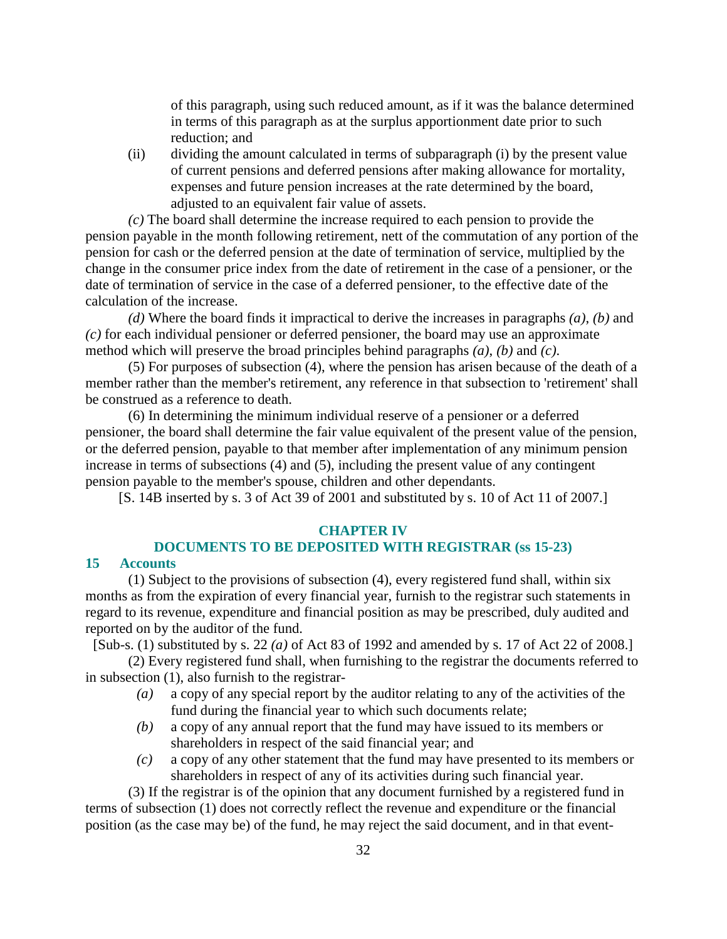of this paragraph, using such reduced amount, as if it was the balance determined in terms of this paragraph as at the surplus apportionment date prior to such reduction; and

 (ii) dividing the amount calculated in terms of subparagraph (i) by the present value of current pensions and deferred pensions after making allowance for mortality, expenses and future pension increases at the rate determined by the board, adjusted to an equivalent fair value of assets.

*(c)* The board shall determine the increase required to each pension to provide the pension payable in the month following retirement, nett of the commutation of any portion of the pension for cash or the deferred pension at the date of termination of service, multiplied by the change in the consumer price index from the date of retirement in the case of a pensioner, or the date of termination of service in the case of a deferred pensioner, to the effective date of the calculation of the increase.

*(d)* Where the board finds it impractical to derive the increases in paragraphs *(a)*, *(b)* and *(c)* for each individual pensioner or deferred pensioner, the board may use an approximate method which will preserve the broad principles behind paragraphs *(a)*, *(b)* and *(c)*.

 (5) For purposes of subsection (4), where the pension has arisen because of the death of a member rather than the member's retirement, any reference in that subsection to 'retirement' shall be construed as a reference to death.

 (6) In determining the minimum individual reserve of a pensioner or a deferred pensioner, the board shall determine the fair value equivalent of the present value of the pension, or the deferred pension, payable to that member after implementation of any minimum pension increase in terms of subsections (4) and (5), including the present value of any contingent pension payable to the member's spouse, children and other dependants.

[S. 14B inserted by s. 3 of Act 39 of 2001 and substituted by s. 10 of Act 11 of 2007.]

#### **CHAPTER IV**

## **DOCUMENTS TO BE DEPOSITED WITH REGISTRAR (ss 15-23)**

## **15 Accounts**

 (1) Subject to the provisions of subsection (4), every registered fund shall, within six months as from the expiration of every financial year, furnish to the registrar such statements in regard to its revenue, expenditure and financial position as may be prescribed, duly audited and reported on by the auditor of the fund.

[Sub-s. (1) substituted by s. 22 *(a)* of Act 83 of 1992 and amended by s. 17 of Act 22 of 2008.]

 (2) Every registered fund shall, when furnishing to the registrar the documents referred to in subsection (1), also furnish to the registrar-

- *(a)* a copy of any special report by the auditor relating to any of the activities of the fund during the financial year to which such documents relate;
- *(b)* a copy of any annual report that the fund may have issued to its members or shareholders in respect of the said financial year; and
- *(c)* a copy of any other statement that the fund may have presented to its members or shareholders in respect of any of its activities during such financial year.

 (3) If the registrar is of the opinion that any document furnished by a registered fund in terms of subsection (1) does not correctly reflect the revenue and expenditure or the financial position (as the case may be) of the fund, he may reject the said document, and in that event-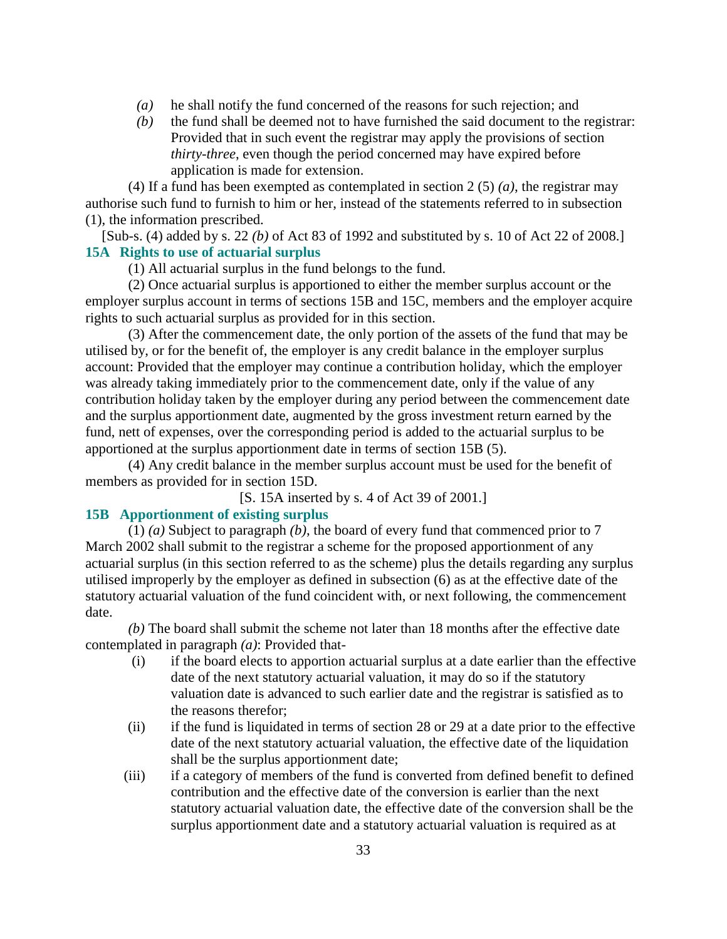- *(a)* he shall notify the fund concerned of the reasons for such rejection; and
- *(b)* the fund shall be deemed not to have furnished the said document to the registrar: Provided that in such event the registrar may apply the provisions of section *thirty-three*, even though the period concerned may have expired before application is made for extension.

 (4) If a fund has been exempted as contemplated in section 2 (5) *(a)*, the registrar may authorise such fund to furnish to him or her, instead of the statements referred to in subsection (1), the information prescribed.

[Sub-s. (4) added by s. 22 *(b)* of Act 83 of 1992 and substituted by s. 10 of Act 22 of 2008.] **15A Rights to use of actuarial surplus** 

(1) All actuarial surplus in the fund belongs to the fund.

 (2) Once actuarial surplus is apportioned to either the member surplus account or the employer surplus account in terms of sections 15B and 15C, members and the employer acquire rights to such actuarial surplus as provided for in this section.

 (3) After the commencement date, the only portion of the assets of the fund that may be utilised by, or for the benefit of, the employer is any credit balance in the employer surplus account: Provided that the employer may continue a contribution holiday, which the employer was already taking immediately prior to the commencement date, only if the value of any contribution holiday taken by the employer during any period between the commencement date and the surplus apportionment date, augmented by the gross investment return earned by the fund, nett of expenses, over the corresponding period is added to the actuarial surplus to be apportioned at the surplus apportionment date in terms of section 15B (5).

 (4) Any credit balance in the member surplus account must be used for the benefit of members as provided for in section 15D.

[S. 15A inserted by s. 4 of Act 39 of 2001.]

# **15B Apportionment of existing surplus**

 (1) *(a)* Subject to paragraph *(b)*, the board of every fund that commenced prior to 7 March 2002 shall submit to the registrar a scheme for the proposed apportionment of any actuarial surplus (in this section referred to as the scheme) plus the details regarding any surplus utilised improperly by the employer as defined in subsection (6) as at the effective date of the statutory actuarial valuation of the fund coincident with, or next following, the commencement date.

*(b)* The board shall submit the scheme not later than 18 months after the effective date contemplated in paragraph *(a)*: Provided that-

- (i) if the board elects to apportion actuarial surplus at a date earlier than the effective date of the next statutory actuarial valuation, it may do so if the statutory valuation date is advanced to such earlier date and the registrar is satisfied as to the reasons therefor;
- (ii) if the fund is liquidated in terms of section 28 or 29 at a date prior to the effective date of the next statutory actuarial valuation, the effective date of the liquidation shall be the surplus apportionment date;
- (iii) if a category of members of the fund is converted from defined benefit to defined contribution and the effective date of the conversion is earlier than the next statutory actuarial valuation date, the effective date of the conversion shall be the surplus apportionment date and a statutory actuarial valuation is required as at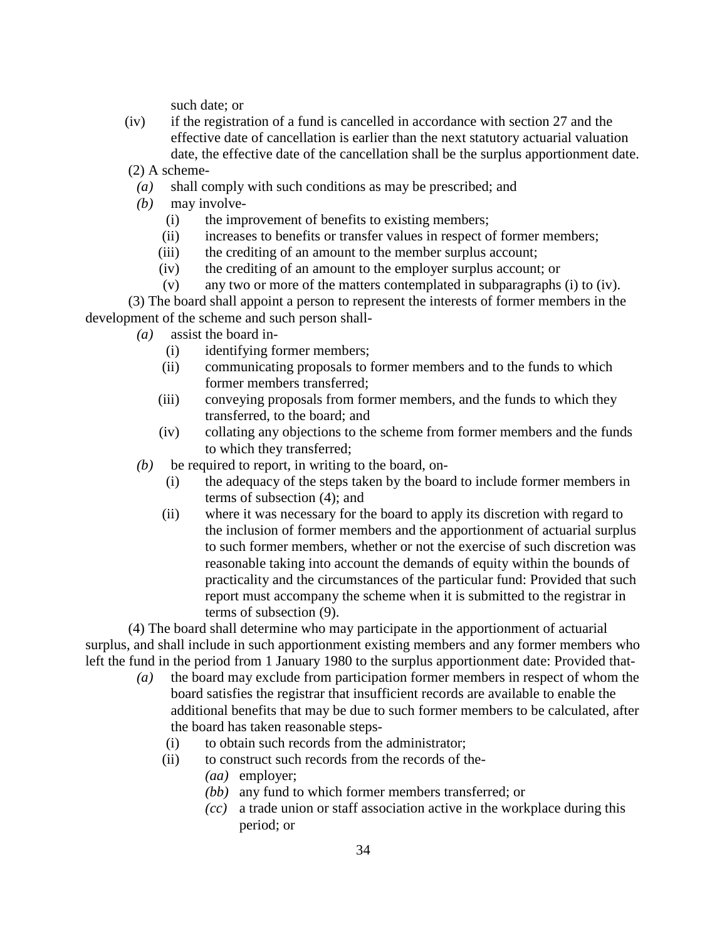such date; or

 (iv) if the registration of a fund is cancelled in accordance with section 27 and the effective date of cancellation is earlier than the next statutory actuarial valuation date, the effective date of the cancellation shall be the surplus apportionment date.

(2) A scheme-

- *(a)* shall comply with such conditions as may be prescribed; and
- *(b)* may involve-
	- (i) the improvement of benefits to existing members;
	- (ii) increases to benefits or transfer values in respect of former members;
	- (iii) the crediting of an amount to the member surplus account;
	- (iv) the crediting of an amount to the employer surplus account; or
	- (v) any two or more of the matters contemplated in subparagraphs (i) to (iv).

 (3) The board shall appoint a person to represent the interests of former members in the development of the scheme and such person shall-

- *(a)* assist the board in-
	- (i) identifying former members;
	- (ii) communicating proposals to former members and to the funds to which former members transferred;
	- (iii) conveying proposals from former members, and the funds to which they transferred, to the board; and
	- (iv) collating any objections to the scheme from former members and the funds to which they transferred;
- $(b)$  be required to report, in writing to the board, on-
	- (i) the adequacy of the steps taken by the board to include former members in terms of subsection (4); and
	- (ii) where it was necessary for the board to apply its discretion with regard to the inclusion of former members and the apportionment of actuarial surplus to such former members, whether or not the exercise of such discretion was reasonable taking into account the demands of equity within the bounds of practicality and the circumstances of the particular fund: Provided that such report must accompany the scheme when it is submitted to the registrar in terms of subsection (9).

 (4) The board shall determine who may participate in the apportionment of actuarial surplus, and shall include in such apportionment existing members and any former members who left the fund in the period from 1 January 1980 to the surplus apportionment date: Provided that-

- *(a)* the board may exclude from participation former members in respect of whom the board satisfies the registrar that insufficient records are available to enable the additional benefits that may be due to such former members to be calculated, after the board has taken reasonable steps-
	- (i) to obtain such records from the administrator;
	- (ii) to construct such records from the records of the-
		- *(aa)* employer;
		- *(bb)* any fund to which former members transferred; or
		- *(cc)* a trade union or staff association active in the workplace during this period; or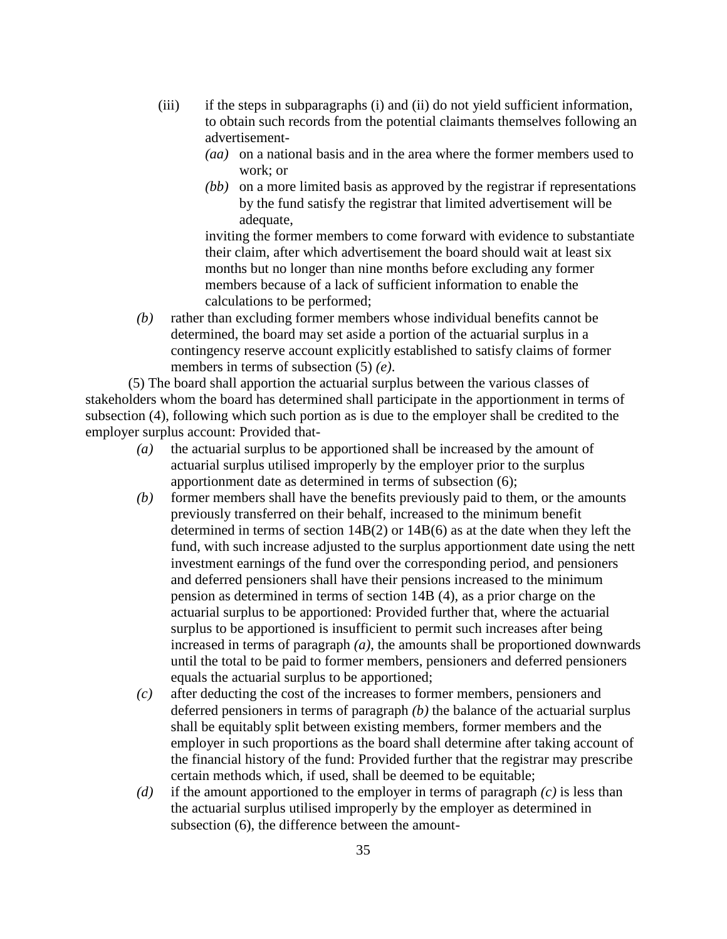- (iii) if the steps in subparagraphs (i) and (ii) do not yield sufficient information, to obtain such records from the potential claimants themselves following an advertisement-
	- *(aa)* on a national basis and in the area where the former members used to work; or
	- *(bb)* on a more limited basis as approved by the registrar if representations by the fund satisfy the registrar that limited advertisement will be adequate,

 inviting the former members to come forward with evidence to substantiate their claim, after which advertisement the board should wait at least six months but no longer than nine months before excluding any former members because of a lack of sufficient information to enable the calculations to be performed;

 *(b)* rather than excluding former members whose individual benefits cannot be determined, the board may set aside a portion of the actuarial surplus in a contingency reserve account explicitly established to satisfy claims of former members in terms of subsection (5) *(e)*.

 (5) The board shall apportion the actuarial surplus between the various classes of stakeholders whom the board has determined shall participate in the apportionment in terms of subsection (4), following which such portion as is due to the employer shall be credited to the employer surplus account: Provided that-

- *(a)* the actuarial surplus to be apportioned shall be increased by the amount of actuarial surplus utilised improperly by the employer prior to the surplus apportionment date as determined in terms of subsection (6);
- *(b)* former members shall have the benefits previously paid to them, or the amounts previously transferred on their behalf, increased to the minimum benefit determined in terms of section 14B(2) or 14B(6) as at the date when they left the fund, with such increase adjusted to the surplus apportionment date using the nett investment earnings of the fund over the corresponding period, and pensioners and deferred pensioners shall have their pensions increased to the minimum pension as determined in terms of section 14B (4), as a prior charge on the actuarial surplus to be apportioned: Provided further that, where the actuarial surplus to be apportioned is insufficient to permit such increases after being increased in terms of paragraph *(a)*, the amounts shall be proportioned downwards until the total to be paid to former members, pensioners and deferred pensioners equals the actuarial surplus to be apportioned;
- *(c)* after deducting the cost of the increases to former members, pensioners and deferred pensioners in terms of paragraph *(b)* the balance of the actuarial surplus shall be equitably split between existing members, former members and the employer in such proportions as the board shall determine after taking account of the financial history of the fund: Provided further that the registrar may prescribe certain methods which, if used, shall be deemed to be equitable;
- *(d)* if the amount apportioned to the employer in terms of paragraph *(c)* is less than the actuarial surplus utilised improperly by the employer as determined in subsection (6), the difference between the amount-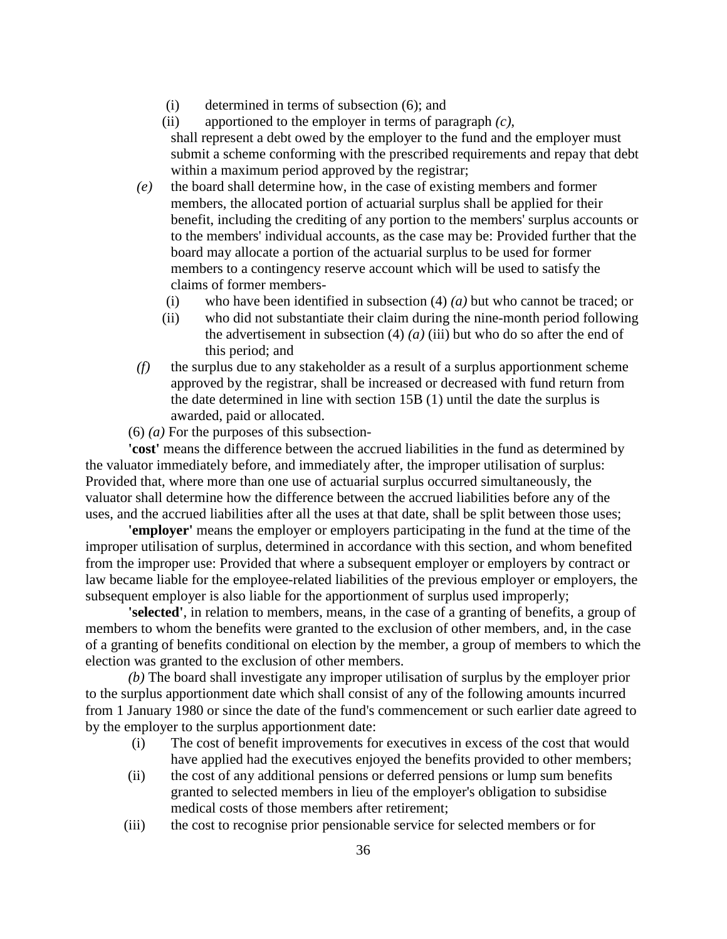- (i) determined in terms of subsection (6); and
- (ii) apportioned to the employer in terms of paragraph *(c)*, shall represent a debt owed by the employer to the fund and the employer must submit a scheme conforming with the prescribed requirements and repay that debt within a maximum period approved by the registrar;
- *(e)* the board shall determine how, in the case of existing members and former members, the allocated portion of actuarial surplus shall be applied for their benefit, including the crediting of any portion to the members' surplus accounts or to the members' individual accounts, as the case may be: Provided further that the board may allocate a portion of the actuarial surplus to be used for former members to a contingency reserve account which will be used to satisfy the claims of former members-
	- (i) who have been identified in subsection (4) *(a)* but who cannot be traced; or
	- (ii) who did not substantiate their claim during the nine-month period following the advertisement in subsection  $(4)$   $(a)$   $(iii)$  but who do so after the end of this period; and
- *(f)* the surplus due to any stakeholder as a result of a surplus apportionment scheme approved by the registrar, shall be increased or decreased with fund return from the date determined in line with section 15B (1) until the date the surplus is awarded, paid or allocated.
- $(6)$   $(a)$  For the purposes of this subsection-

'cost' means the difference between the accrued liabilities in the fund as determined by the valuator immediately before, and immediately after, the improper utilisation of surplus: Provided that, where more than one use of actuarial surplus occurred simultaneously, the valuator shall determine how the difference between the accrued liabilities before any of the uses, and the accrued liabilities after all the uses at that date, shall be split between those uses;

**'employer'** means the employer or employers participating in the fund at the time of the improper utilisation of surplus, determined in accordance with this section, and whom benefited from the improper use: Provided that where a subsequent employer or employers by contract or law became liable for the employee-related liabilities of the previous employer or employers, the subsequent employer is also liable for the apportionment of surplus used improperly;

**'selected'**, in relation to members, means, in the case of a granting of benefits, a group of members to whom the benefits were granted to the exclusion of other members, and, in the case of a granting of benefits conditional on election by the member, a group of members to which the election was granted to the exclusion of other members.

*(b)* The board shall investigate any improper utilisation of surplus by the employer prior to the surplus apportionment date which shall consist of any of the following amounts incurred from 1 January 1980 or since the date of the fund's commencement or such earlier date agreed to by the employer to the surplus apportionment date:

- (i) The cost of benefit improvements for executives in excess of the cost that would have applied had the executives enjoyed the benefits provided to other members;
- (ii) the cost of any additional pensions or deferred pensions or lump sum benefits granted to selected members in lieu of the employer's obligation to subsidise medical costs of those members after retirement;
- (iii) the cost to recognise prior pensionable service for selected members or for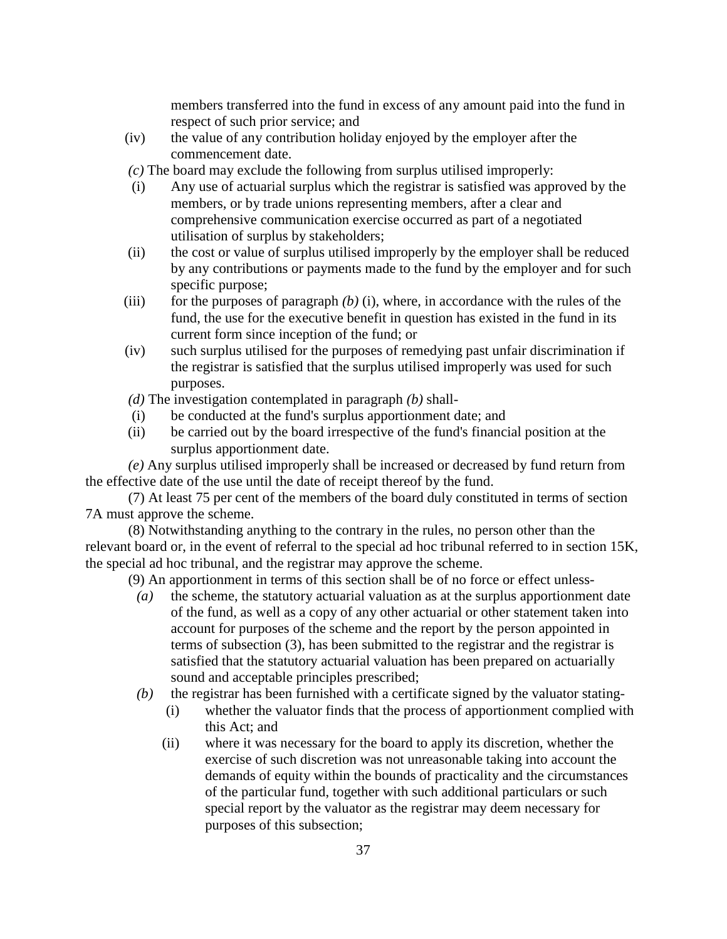members transferred into the fund in excess of any amount paid into the fund in respect of such prior service; and

- (iv) the value of any contribution holiday enjoyed by the employer after the commencement date.
- *(c)* The board may exclude the following from surplus utilised improperly:
- (i) Any use of actuarial surplus which the registrar is satisfied was approved by the members, or by trade unions representing members, after a clear and comprehensive communication exercise occurred as part of a negotiated utilisation of surplus by stakeholders;
- (ii) the cost or value of surplus utilised improperly by the employer shall be reduced by any contributions or payments made to the fund by the employer and for such specific purpose;
- (iii) for the purposes of paragraph  $(b)$  (i), where, in accordance with the rules of the fund, the use for the executive benefit in question has existed in the fund in its current form since inception of the fund; or
- (iv) such surplus utilised for the purposes of remedying past unfair discrimination if the registrar is satisfied that the surplus utilised improperly was used for such purposes.

*(d)* The investigation contemplated in paragraph *(b)* shall-

- (i) be conducted at the fund's surplus apportionment date; and
- (ii) be carried out by the board irrespective of the fund's financial position at the surplus apportionment date.

*(e)* Any surplus utilised improperly shall be increased or decreased by fund return from the effective date of the use until the date of receipt thereof by the fund.

 (7) At least 75 per cent of the members of the board duly constituted in terms of section 7A must approve the scheme.

 (8) Notwithstanding anything to the contrary in the rules, no person other than the relevant board or, in the event of referral to the special ad hoc tribunal referred to in section 15K, the special ad hoc tribunal, and the registrar may approve the scheme.

(9) An apportionment in terms of this section shall be of no force or effect unless-

- *(a)* the scheme, the statutory actuarial valuation as at the surplus apportionment date of the fund, as well as a copy of any other actuarial or other statement taken into account for purposes of the scheme and the report by the person appointed in terms of subsection (3), has been submitted to the registrar and the registrar is satisfied that the statutory actuarial valuation has been prepared on actuarially sound and acceptable principles prescribed;
- *(b)* the registrar has been furnished with a certificate signed by the valuator stating-
	- (i) whether the valuator finds that the process of apportionment complied with this Act; and
	- (ii) where it was necessary for the board to apply its discretion, whether the exercise of such discretion was not unreasonable taking into account the demands of equity within the bounds of practicality and the circumstances of the particular fund, together with such additional particulars or such special report by the valuator as the registrar may deem necessary for purposes of this subsection;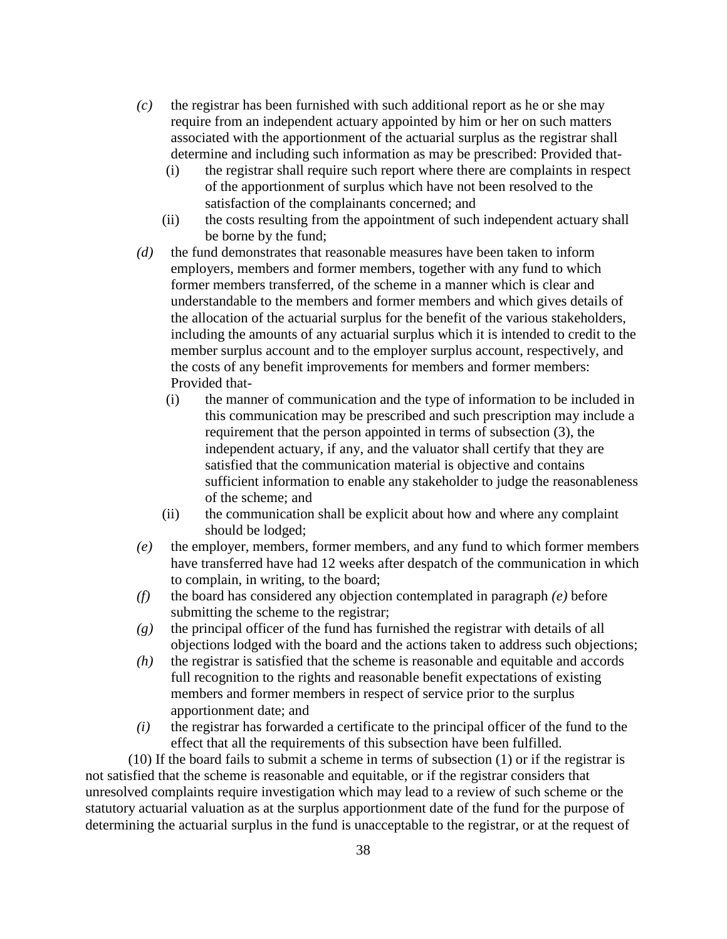- *(c)* the registrar has been furnished with such additional report as he or she may require from an independent actuary appointed by him or her on such matters associated with the apportionment of the actuarial surplus as the registrar shall determine and including such information as may be prescribed: Provided that-
	- (i) the registrar shall require such report where there are complaints in respect of the apportionment of surplus which have not been resolved to the satisfaction of the complainants concerned; and
	- (ii) the costs resulting from the appointment of such independent actuary shall be borne by the fund;
- *(d)* the fund demonstrates that reasonable measures have been taken to inform employers, members and former members, together with any fund to which former members transferred, of the scheme in a manner which is clear and understandable to the members and former members and which gives details of the allocation of the actuarial surplus for the benefit of the various stakeholders, including the amounts of any actuarial surplus which it is intended to credit to the member surplus account and to the employer surplus account, respectively, and the costs of any benefit improvements for members and former members: Provided that-
	- (i) the manner of communication and the type of information to be included in this communication may be prescribed and such prescription may include a requirement that the person appointed in terms of subsection (3), the independent actuary, if any, and the valuator shall certify that they are satisfied that the communication material is objective and contains sufficient information to enable any stakeholder to judge the reasonableness of the scheme; and
	- (ii) the communication shall be explicit about how and where any complaint should be lodged;
- *(e)* the employer, members, former members, and any fund to which former members have transferred have had 12 weeks after despatch of the communication in which to complain, in writing, to the board;
- *(f)* the board has considered any objection contemplated in paragraph *(e)* before submitting the scheme to the registrar;
- *(g)* the principal officer of the fund has furnished the registrar with details of all objections lodged with the board and the actions taken to address such objections;
- *(h)* the registrar is satisfied that the scheme is reasonable and equitable and accords full recognition to the rights and reasonable benefit expectations of existing members and former members in respect of service prior to the surplus apportionment date; and
- *(i)* the registrar has forwarded a certificate to the principal officer of the fund to the effect that all the requirements of this subsection have been fulfilled.

 (10) If the board fails to submit a scheme in terms of subsection (1) or if the registrar is not satisfied that the scheme is reasonable and equitable, or if the registrar considers that unresolved complaints require investigation which may lead to a review of such scheme or the statutory actuarial valuation as at the surplus apportionment date of the fund for the purpose of determining the actuarial surplus in the fund is unacceptable to the registrar, or at the request of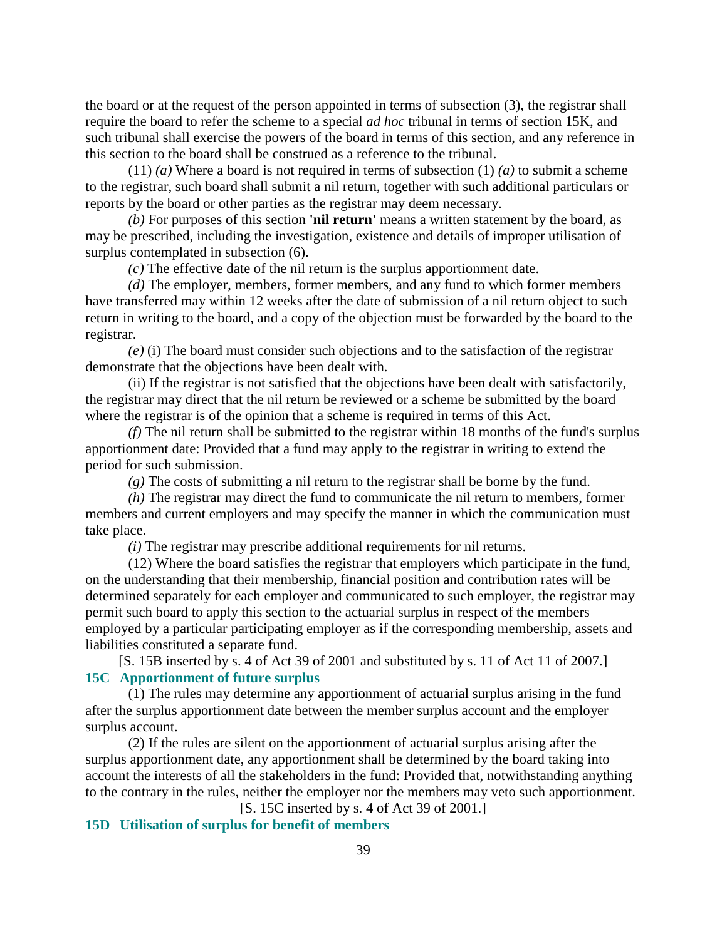the board or at the request of the person appointed in terms of subsection (3), the registrar shall require the board to refer the scheme to a special *ad hoc* tribunal in terms of section 15K, and such tribunal shall exercise the powers of the board in terms of this section, and any reference in this section to the board shall be construed as a reference to the tribunal.

 (11) *(a)* Where a board is not required in terms of subsection (1) *(a)* to submit a scheme to the registrar, such board shall submit a nil return, together with such additional particulars or reports by the board or other parties as the registrar may deem necessary.

*(b)* For purposes of this section **'nil return'** means a written statement by the board, as may be prescribed, including the investigation, existence and details of improper utilisation of surplus contemplated in subsection (6).

*(c)* The effective date of the nil return is the surplus apportionment date.

*(d)* The employer, members, former members, and any fund to which former members have transferred may within 12 weeks after the date of submission of a nil return object to such return in writing to the board, and a copy of the objection must be forwarded by the board to the registrar.

*(e)* (i) The board must consider such objections and to the satisfaction of the registrar demonstrate that the objections have been dealt with.

 (ii) If the registrar is not satisfied that the objections have been dealt with satisfactorily, the registrar may direct that the nil return be reviewed or a scheme be submitted by the board where the registrar is of the opinion that a scheme is required in terms of this Act.

*(f)* The nil return shall be submitted to the registrar within 18 months of the fund's surplus apportionment date: Provided that a fund may apply to the registrar in writing to extend the period for such submission.

*(g)* The costs of submitting a nil return to the registrar shall be borne by the fund.

*(h)* The registrar may direct the fund to communicate the nil return to members, former members and current employers and may specify the manner in which the communication must take place.

*(i)* The registrar may prescribe additional requirements for nil returns.

 (12) Where the board satisfies the registrar that employers which participate in the fund, on the understanding that their membership, financial position and contribution rates will be determined separately for each employer and communicated to such employer, the registrar may permit such board to apply this section to the actuarial surplus in respect of the members employed by a particular participating employer as if the corresponding membership, assets and liabilities constituted a separate fund.

[S. 15B inserted by s. 4 of Act 39 of 2001 and substituted by s. 11 of Act 11 of 2007.] **15C Apportionment of future surplus** 

 (1) The rules may determine any apportionment of actuarial surplus arising in the fund after the surplus apportionment date between the member surplus account and the employer surplus account.

 (2) If the rules are silent on the apportionment of actuarial surplus arising after the surplus apportionment date, any apportionment shall be determined by the board taking into account the interests of all the stakeholders in the fund: Provided that, notwithstanding anything to the contrary in the rules, neither the employer nor the members may veto such apportionment.

[S. 15C inserted by s. 4 of Act 39 of 2001.]

# **15D Utilisation of surplus for benefit of members**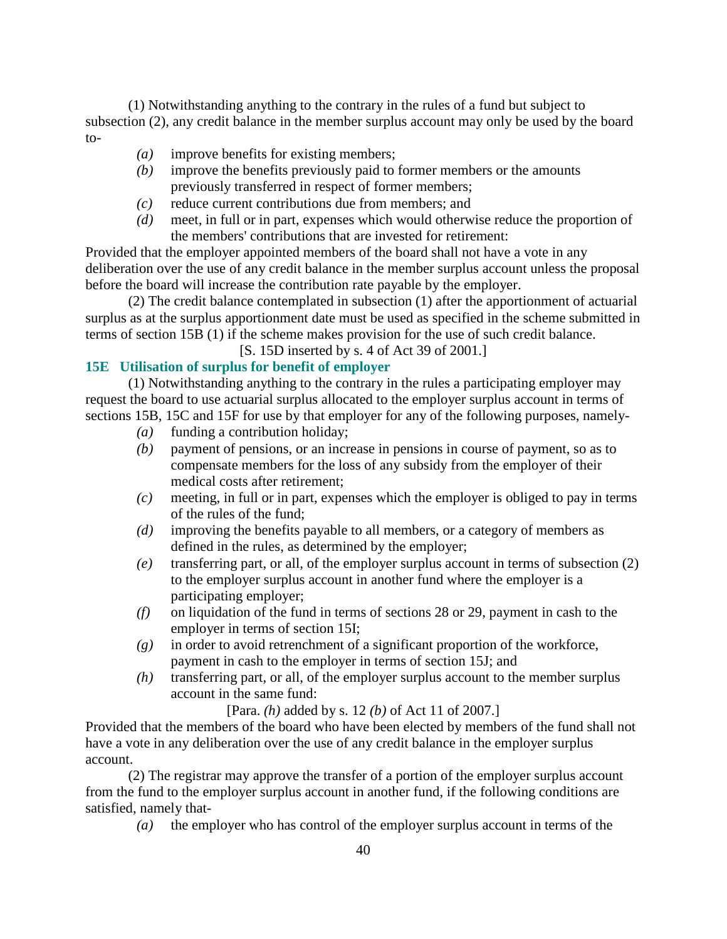(1) Notwithstanding anything to the contrary in the rules of a fund but subject to subsection (2), any credit balance in the member surplus account may only be used by the board to-

- *(a)* improve benefits for existing members;
- *(b)* improve the benefits previously paid to former members or the amounts previously transferred in respect of former members;
- *(c)* reduce current contributions due from members; and
- *(d)* meet, in full or in part, expenses which would otherwise reduce the proportion of the members' contributions that are invested for retirement:

Provided that the employer appointed members of the board shall not have a vote in any deliberation over the use of any credit balance in the member surplus account unless the proposal before the board will increase the contribution rate payable by the employer.

 (2) The credit balance contemplated in subsection (1) after the apportionment of actuarial surplus as at the surplus apportionment date must be used as specified in the scheme submitted in terms of section 15B (1) if the scheme makes provision for the use of such credit balance.

[S. 15D inserted by s. 4 of Act 39 of 2001.]

# **15E Utilisation of surplus for benefit of employer**

 (1) Notwithstanding anything to the contrary in the rules a participating employer may request the board to use actuarial surplus allocated to the employer surplus account in terms of sections 15B, 15C and 15F for use by that employer for any of the following purposes, namely-

- *(a)* funding a contribution holiday;
- *(b)* payment of pensions, or an increase in pensions in course of payment, so as to compensate members for the loss of any subsidy from the employer of their medical costs after retirement;
- *(c)* meeting, in full or in part, expenses which the employer is obliged to pay in terms of the rules of the fund;
- *(d)* improving the benefits payable to all members, or a category of members as defined in the rules, as determined by the employer;
- *(e)* transferring part, or all, of the employer surplus account in terms of subsection (2) to the employer surplus account in another fund where the employer is a participating employer;
- *(f)* on liquidation of the fund in terms of sections 28 or 29, payment in cash to the employer in terms of section 15I;
- *(g)* in order to avoid retrenchment of a significant proportion of the workforce, payment in cash to the employer in terms of section 15J; and
- *(h)* transferring part, or all, of the employer surplus account to the member surplus account in the same fund:

[Para. *(h)* added by s. 12 *(b)* of Act 11 of 2007.]

Provided that the members of the board who have been elected by members of the fund shall not have a vote in any deliberation over the use of any credit balance in the employer surplus account.

 (2) The registrar may approve the transfer of a portion of the employer surplus account from the fund to the employer surplus account in another fund, if the following conditions are satisfied, namely that-

*(a)* the employer who has control of the employer surplus account in terms of the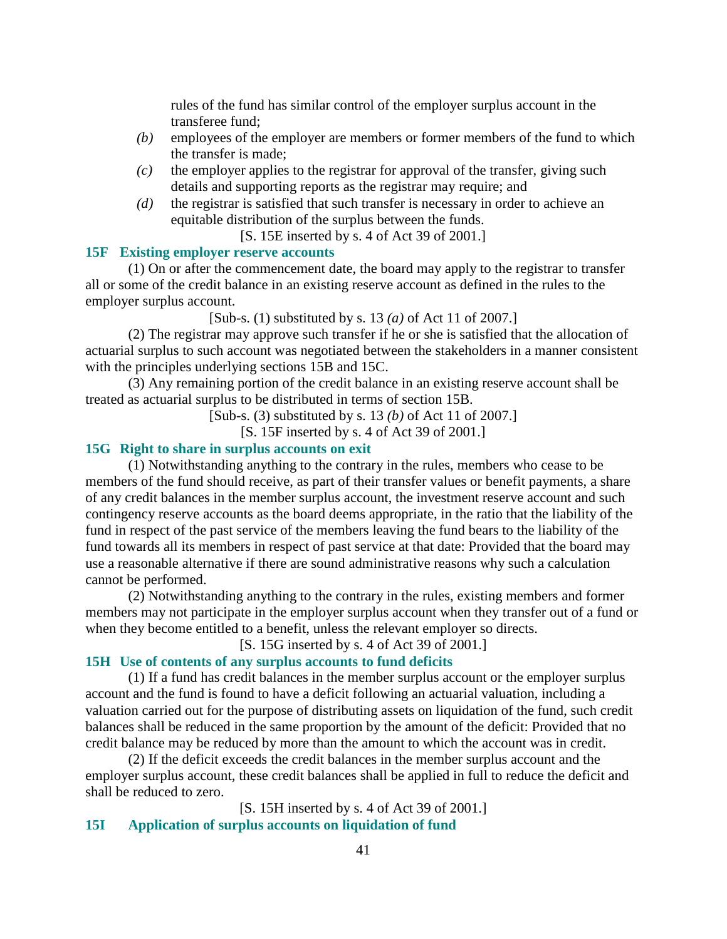rules of the fund has similar control of the employer surplus account in the transferee fund;

- *(b)* employees of the employer are members or former members of the fund to which the transfer is made;
- $(c)$  the employer applies to the registrar for approval of the transfer, giving such details and supporting reports as the registrar may require; and
- *(d)* the registrar is satisfied that such transfer is necessary in order to achieve an equitable distribution of the surplus between the funds.
	- [S. 15E inserted by s. 4 of Act 39 of 2001.]

### **15F Existing employer reserve accounts**

 (1) On or after the commencement date, the board may apply to the registrar to transfer all or some of the credit balance in an existing reserve account as defined in the rules to the employer surplus account.

[Sub-s. (1) substituted by s. 13 *(a)* of Act 11 of 2007.]

 (2) The registrar may approve such transfer if he or she is satisfied that the allocation of actuarial surplus to such account was negotiated between the stakeholders in a manner consistent with the principles underlying sections 15B and 15C.

 (3) Any remaining portion of the credit balance in an existing reserve account shall be treated as actuarial surplus to be distributed in terms of section 15B.

[Sub-s. (3) substituted by s. 13 *(b)* of Act 11 of 2007.]

[S. 15F inserted by s. 4 of Act 39 of 2001.]

### **15G Right to share in surplus accounts on exit**

 (1) Notwithstanding anything to the contrary in the rules, members who cease to be members of the fund should receive, as part of their transfer values or benefit payments, a share of any credit balances in the member surplus account, the investment reserve account and such contingency reserve accounts as the board deems appropriate, in the ratio that the liability of the fund in respect of the past service of the members leaving the fund bears to the liability of the fund towards all its members in respect of past service at that date: Provided that the board may use a reasonable alternative if there are sound administrative reasons why such a calculation cannot be performed.

 (2) Notwithstanding anything to the contrary in the rules, existing members and former members may not participate in the employer surplus account when they transfer out of a fund or when they become entitled to a benefit, unless the relevant employer so directs.

[S. 15G inserted by s. 4 of Act 39 of 2001.]

#### **15H Use of contents of any surplus accounts to fund deficits**

 (1) If a fund has credit balances in the member surplus account or the employer surplus account and the fund is found to have a deficit following an actuarial valuation, including a valuation carried out for the purpose of distributing assets on liquidation of the fund, such credit balances shall be reduced in the same proportion by the amount of the deficit: Provided that no credit balance may be reduced by more than the amount to which the account was in credit.

 (2) If the deficit exceeds the credit balances in the member surplus account and the employer surplus account, these credit balances shall be applied in full to reduce the deficit and shall be reduced to zero.

[S. 15H inserted by s. 4 of Act 39 of 2001.]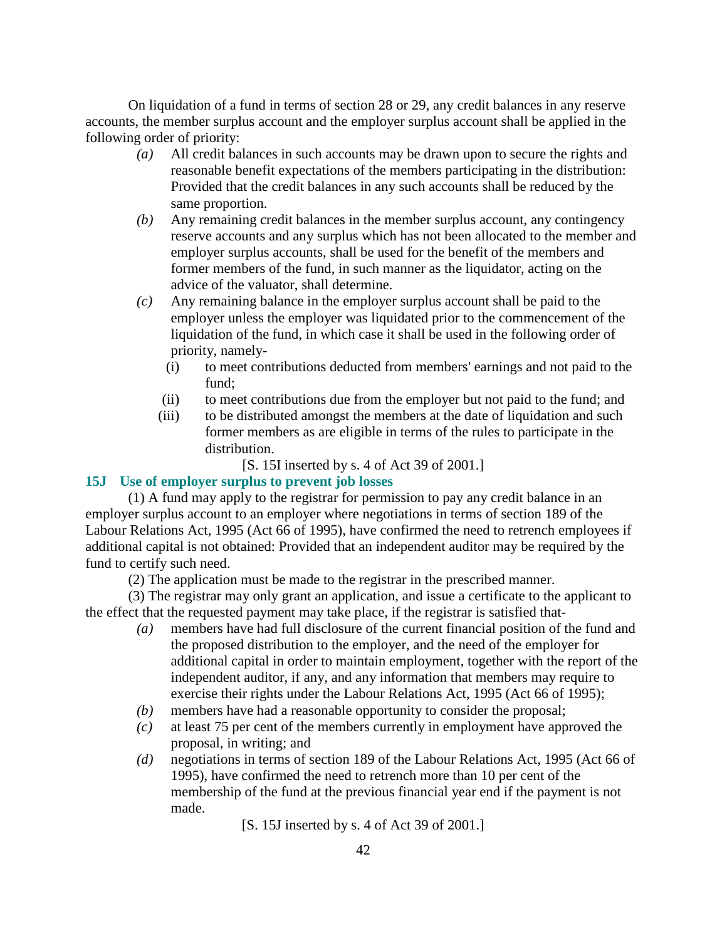On liquidation of a fund in terms of section 28 or 29, any credit balances in any reserve accounts, the member surplus account and the employer surplus account shall be applied in the following order of priority:

- *(a)* All credit balances in such accounts may be drawn upon to secure the rights and reasonable benefit expectations of the members participating in the distribution: Provided that the credit balances in any such accounts shall be reduced by the same proportion.
- *(b)* Any remaining credit balances in the member surplus account, any contingency reserve accounts and any surplus which has not been allocated to the member and employer surplus accounts, shall be used for the benefit of the members and former members of the fund, in such manner as the liquidator, acting on the advice of the valuator, shall determine.
- *(c)* Any remaining balance in the employer surplus account shall be paid to the employer unless the employer was liquidated prior to the commencement of the liquidation of the fund, in which case it shall be used in the following order of priority, namely-
	- (i) to meet contributions deducted from members' earnings and not paid to the fund;
	- (ii) to meet contributions due from the employer but not paid to the fund; and
	- (iii) to be distributed amongst the members at the date of liquidation and such former members as are eligible in terms of the rules to participate in the distribution.

[S. 15I inserted by s. 4 of Act 39 of 2001.]

#### **15J Use of employer surplus to prevent job losses**

 (1) A fund may apply to the registrar for permission to pay any credit balance in an employer surplus account to an employer where negotiations in terms of section 189 of the Labour Relations Act, 1995 (Act 66 of 1995), have confirmed the need to retrench employees if additional capital is not obtained: Provided that an independent auditor may be required by the fund to certify such need.

(2) The application must be made to the registrar in the prescribed manner.

 (3) The registrar may only grant an application, and issue a certificate to the applicant to the effect that the requested payment may take place, if the registrar is satisfied that-

- *(a)* members have had full disclosure of the current financial position of the fund and the proposed distribution to the employer, and the need of the employer for additional capital in order to maintain employment, together with the report of the independent auditor, if any, and any information that members may require to exercise their rights under the Labour Relations Act, 1995 (Act 66 of 1995);
- *(b)* members have had a reasonable opportunity to consider the proposal;
- *(c)* at least 75 per cent of the members currently in employment have approved the proposal, in writing; and
- *(d)* negotiations in terms of section 189 of the Labour Relations Act, 1995 (Act 66 of 1995), have confirmed the need to retrench more than 10 per cent of the membership of the fund at the previous financial year end if the payment is not made.

[S. 15J inserted by s. 4 of Act 39 of 2001.]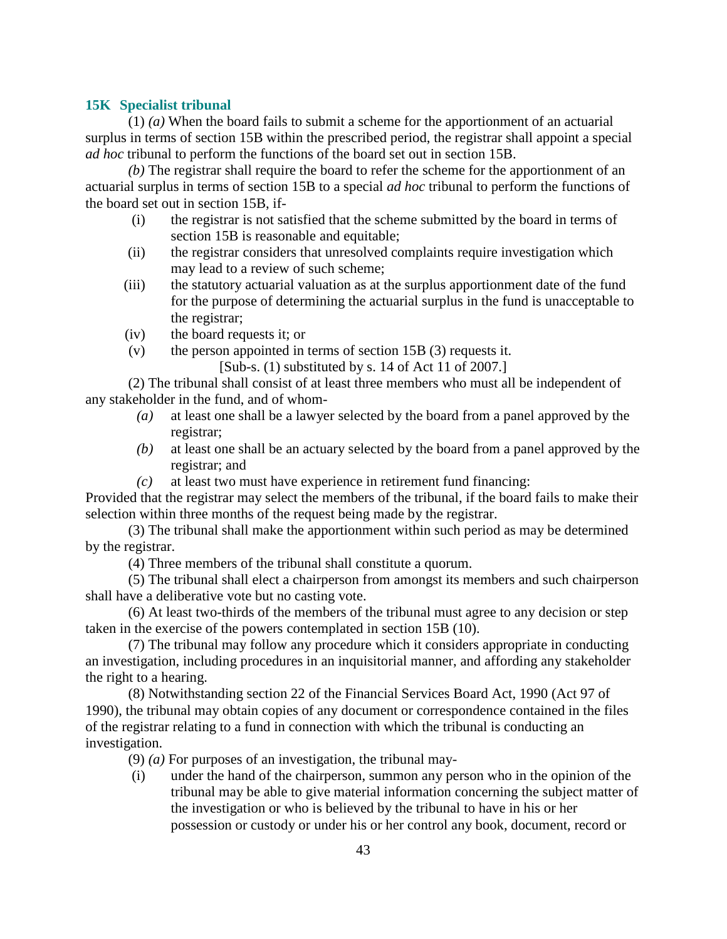#### **15K Specialist tribunal**

 (1) *(a)* When the board fails to submit a scheme for the apportionment of an actuarial surplus in terms of section 15B within the prescribed period, the registrar shall appoint a special *ad hoc* tribunal to perform the functions of the board set out in section 15B.

*(b)* The registrar shall require the board to refer the scheme for the apportionment of an actuarial surplus in terms of section 15B to a special *ad hoc* tribunal to perform the functions of the board set out in section 15B, if-

- (i) the registrar is not satisfied that the scheme submitted by the board in terms of section 15B is reasonable and equitable;
- (ii) the registrar considers that unresolved complaints require investigation which may lead to a review of such scheme;
- (iii) the statutory actuarial valuation as at the surplus apportionment date of the fund for the purpose of determining the actuarial surplus in the fund is unacceptable to the registrar;
- (iv) the board requests it; or
- (v) the person appointed in terms of section 15B (3) requests it.
	- [Sub-s. (1) substituted by s. 14 of Act 11 of 2007.]

 (2) The tribunal shall consist of at least three members who must all be independent of any stakeholder in the fund, and of whom-

- *(a)* at least one shall be a lawyer selected by the board from a panel approved by the registrar;
- *(b)* at least one shall be an actuary selected by the board from a panel approved by the registrar; and
- *(c)* at least two must have experience in retirement fund financing:

Provided that the registrar may select the members of the tribunal, if the board fails to make their selection within three months of the request being made by the registrar.

 (3) The tribunal shall make the apportionment within such period as may be determined by the registrar.

(4) Three members of the tribunal shall constitute a quorum.

 (5) The tribunal shall elect a chairperson from amongst its members and such chairperson shall have a deliberative vote but no casting vote.

 (6) At least two-thirds of the members of the tribunal must agree to any decision or step taken in the exercise of the powers contemplated in section 15B (10).

 (7) The tribunal may follow any procedure which it considers appropriate in conducting an investigation, including procedures in an inquisitorial manner, and affording any stakeholder the right to a hearing.

 (8) Notwithstanding section 22 of the Financial Services Board Act, 1990 (Act 97 of 1990), the tribunal may obtain copies of any document or correspondence contained in the files of the registrar relating to a fund in connection with which the tribunal is conducting an investigation.

(9) *(a)* For purposes of an investigation, the tribunal may-

 (i) under the hand of the chairperson, summon any person who in the opinion of the tribunal may be able to give material information concerning the subject matter of the investigation or who is believed by the tribunal to have in his or her possession or custody or under his or her control any book, document, record or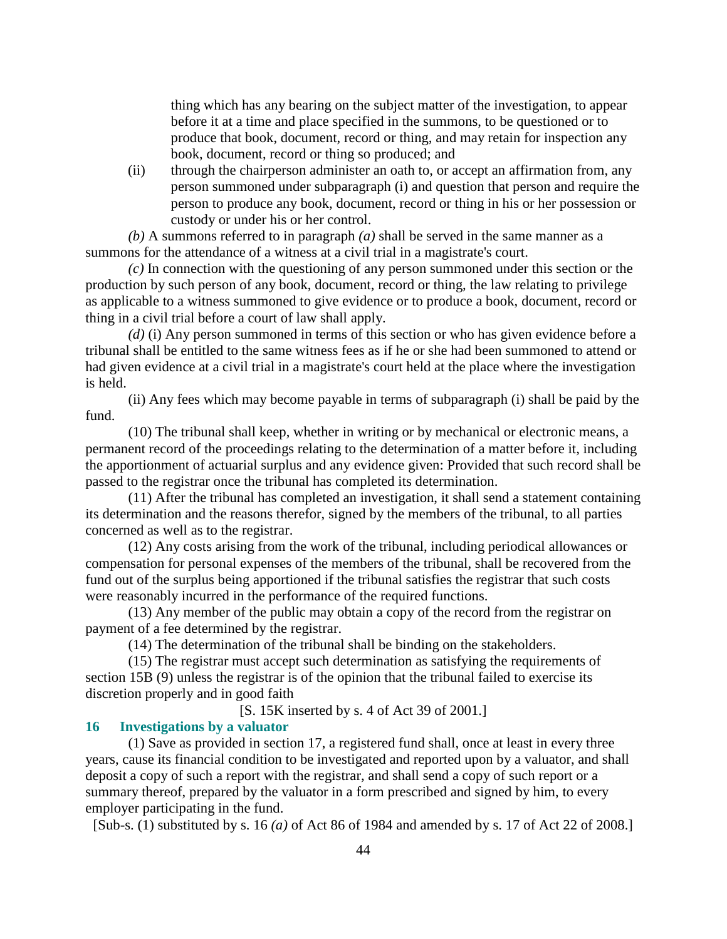thing which has any bearing on the subject matter of the investigation, to appear before it at a time and place specified in the summons, to be questioned or to produce that book, document, record or thing, and may retain for inspection any book, document, record or thing so produced; and

 (ii) through the chairperson administer an oath to, or accept an affirmation from, any person summoned under subparagraph (i) and question that person and require the person to produce any book, document, record or thing in his or her possession or custody or under his or her control.

*(b)* A summons referred to in paragraph *(a)* shall be served in the same manner as a summons for the attendance of a witness at a civil trial in a magistrate's court.

*(c)* In connection with the questioning of any person summoned under this section or the production by such person of any book, document, record or thing, the law relating to privilege as applicable to a witness summoned to give evidence or to produce a book, document, record or thing in a civil trial before a court of law shall apply.

*(d)* (i) Any person summoned in terms of this section or who has given evidence before a tribunal shall be entitled to the same witness fees as if he or she had been summoned to attend or had given evidence at a civil trial in a magistrate's court held at the place where the investigation is held.

 (ii) Any fees which may become payable in terms of subparagraph (i) shall be paid by the fund.

 (10) The tribunal shall keep, whether in writing or by mechanical or electronic means, a permanent record of the proceedings relating to the determination of a matter before it, including the apportionment of actuarial surplus and any evidence given: Provided that such record shall be passed to the registrar once the tribunal has completed its determination.

 (11) After the tribunal has completed an investigation, it shall send a statement containing its determination and the reasons therefor, signed by the members of the tribunal, to all parties concerned as well as to the registrar.

 (12) Any costs arising from the work of the tribunal, including periodical allowances or compensation for personal expenses of the members of the tribunal, shall be recovered from the fund out of the surplus being apportioned if the tribunal satisfies the registrar that such costs were reasonably incurred in the performance of the required functions.

 (13) Any member of the public may obtain a copy of the record from the registrar on payment of a fee determined by the registrar.

(14) The determination of the tribunal shall be binding on the stakeholders.

 (15) The registrar must accept such determination as satisfying the requirements of section 15B (9) unless the registrar is of the opinion that the tribunal failed to exercise its discretion properly and in good faith

[S. 15K inserted by s. 4 of Act 39 of 2001.]

### **16 Investigations by a valuator**

 (1) Save as provided in section 17, a registered fund shall, once at least in every three years, cause its financial condition to be investigated and reported upon by a valuator, and shall deposit a copy of such a report with the registrar, and shall send a copy of such report or a summary thereof, prepared by the valuator in a form prescribed and signed by him, to every employer participating in the fund.

[Sub-s. (1) substituted by s. 16 *(a)* of Act 86 of 1984 and amended by s. 17 of Act 22 of 2008.]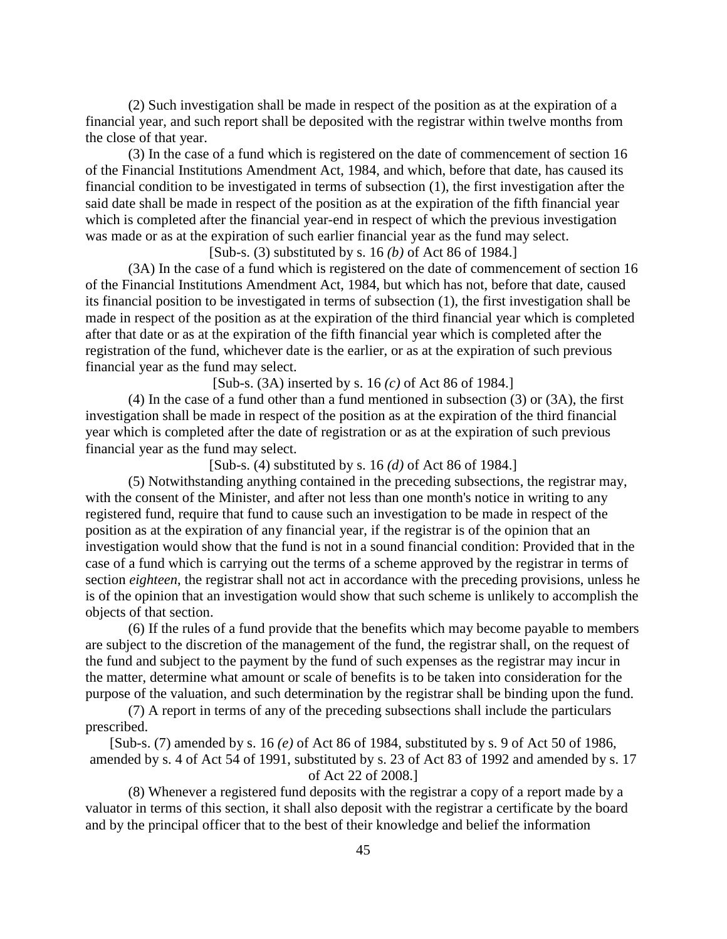(2) Such investigation shall be made in respect of the position as at the expiration of a financial year, and such report shall be deposited with the registrar within twelve months from the close of that year.

 (3) In the case of a fund which is registered on the date of commencement of section 16 of the Financial Institutions Amendment Act, 1984, and which, before that date, has caused its financial condition to be investigated in terms of subsection (1), the first investigation after the said date shall be made in respect of the position as at the expiration of the fifth financial year which is completed after the financial year-end in respect of which the previous investigation was made or as at the expiration of such earlier financial year as the fund may select.

[Sub-s. (3) substituted by s. 16 *(b)* of Act 86 of 1984.]

 (3A) In the case of a fund which is registered on the date of commencement of section 16 of the Financial Institutions Amendment Act, 1984, but which has not, before that date, caused its financial position to be investigated in terms of subsection (1), the first investigation shall be made in respect of the position as at the expiration of the third financial year which is completed after that date or as at the expiration of the fifth financial year which is completed after the registration of the fund, whichever date is the earlier, or as at the expiration of such previous financial year as the fund may select.

[Sub-s. (3A) inserted by s. 16 *(c)* of Act 86 of 1984.]

 (4) In the case of a fund other than a fund mentioned in subsection (3) or (3A), the first investigation shall be made in respect of the position as at the expiration of the third financial year which is completed after the date of registration or as at the expiration of such previous financial year as the fund may select.

[Sub-s. (4) substituted by s. 16 *(d)* of Act 86 of 1984.]

 (5) Notwithstanding anything contained in the preceding subsections, the registrar may, with the consent of the Minister, and after not less than one month's notice in writing to any registered fund, require that fund to cause such an investigation to be made in respect of the position as at the expiration of any financial year, if the registrar is of the opinion that an investigation would show that the fund is not in a sound financial condition: Provided that in the case of a fund which is carrying out the terms of a scheme approved by the registrar in terms of section *eighteen*, the registrar shall not act in accordance with the preceding provisions, unless he is of the opinion that an investigation would show that such scheme is unlikely to accomplish the objects of that section.

 (6) If the rules of a fund provide that the benefits which may become payable to members are subject to the discretion of the management of the fund, the registrar shall, on the request of the fund and subject to the payment by the fund of such expenses as the registrar may incur in the matter, determine what amount or scale of benefits is to be taken into consideration for the purpose of the valuation, and such determination by the registrar shall be binding upon the fund.

 (7) A report in terms of any of the preceding subsections shall include the particulars prescribed.

[Sub-s. (7) amended by s. 16 *(e)* of Act 86 of 1984, substituted by s. 9 of Act 50 of 1986, amended by s. 4 of Act 54 of 1991, substituted by s. 23 of Act 83 of 1992 and amended by s. 17 of Act 22 of 2008.]

 (8) Whenever a registered fund deposits with the registrar a copy of a report made by a valuator in terms of this section, it shall also deposit with the registrar a certificate by the board and by the principal officer that to the best of their knowledge and belief the information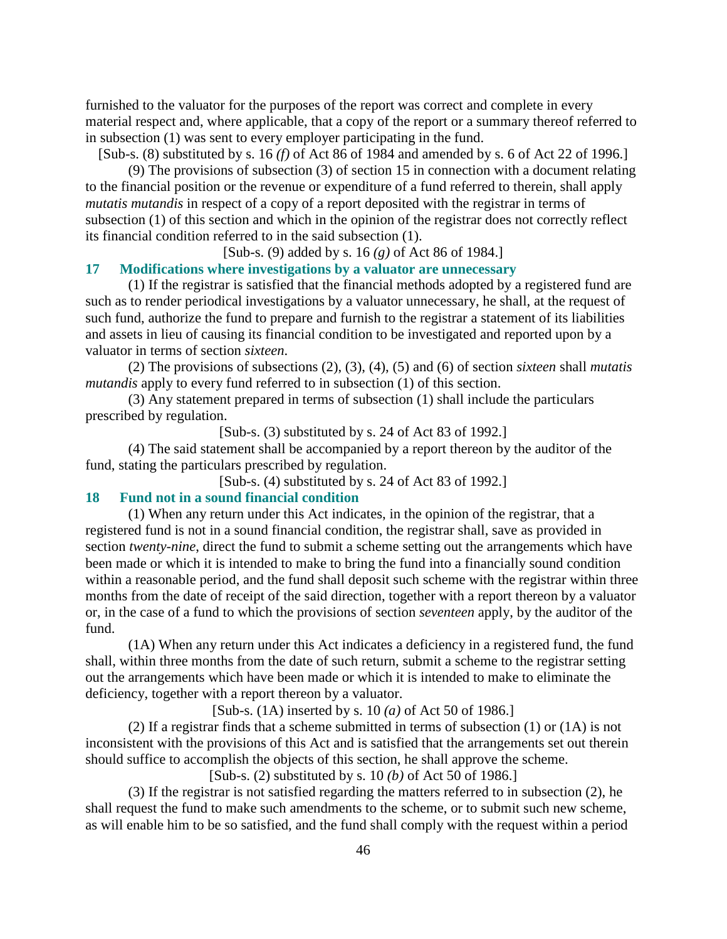furnished to the valuator for the purposes of the report was correct and complete in every material respect and, where applicable, that a copy of the report or a summary thereof referred to in subsection (1) was sent to every employer participating in the fund.

[Sub-s. (8) substituted by s. 16 *(f)* of Act 86 of 1984 and amended by s. 6 of Act 22 of 1996.]

 (9) The provisions of subsection (3) of section 15 in connection with a document relating to the financial position or the revenue or expenditure of a fund referred to therein, shall apply *mutatis mutandis* in respect of a copy of a report deposited with the registrar in terms of subsection (1) of this section and which in the opinion of the registrar does not correctly reflect its financial condition referred to in the said subsection (1).

[Sub-s. (9) added by s. 16 *(g)* of Act 86 of 1984.]

### **17 Modifications where investigations by a valuator are unnecessary**

 (1) If the registrar is satisfied that the financial methods adopted by a registered fund are such as to render periodical investigations by a valuator unnecessary, he shall, at the request of such fund, authorize the fund to prepare and furnish to the registrar a statement of its liabilities and assets in lieu of causing its financial condition to be investigated and reported upon by a valuator in terms of section *sixteen*.

 (2) The provisions of subsections (2), (3), (4), (5) and (6) of section *sixteen* shall *mutatis mutandis* apply to every fund referred to in subsection (1) of this section.

 (3) Any statement prepared in terms of subsection (1) shall include the particulars prescribed by regulation.

[Sub-s. (3) substituted by s. 24 of Act 83 of 1992.]

 (4) The said statement shall be accompanied by a report thereon by the auditor of the fund, stating the particulars prescribed by regulation.

[Sub-s. (4) substituted by s. 24 of Act 83 of 1992.]

#### **18 Fund not in a sound financial condition**

 (1) When any return under this Act indicates, in the opinion of the registrar, that a registered fund is not in a sound financial condition, the registrar shall, save as provided in section *twenty-nine*, direct the fund to submit a scheme setting out the arrangements which have been made or which it is intended to make to bring the fund into a financially sound condition within a reasonable period, and the fund shall deposit such scheme with the registrar within three months from the date of receipt of the said direction, together with a report thereon by a valuator or, in the case of a fund to which the provisions of section *seventeen* apply, by the auditor of the fund.

 (1A) When any return under this Act indicates a deficiency in a registered fund, the fund shall, within three months from the date of such return, submit a scheme to the registrar setting out the arrangements which have been made or which it is intended to make to eliminate the deficiency, together with a report thereon by a valuator.

[Sub-s. (1A) inserted by s. 10 *(a)* of Act 50 of 1986.]

 (2) If a registrar finds that a scheme submitted in terms of subsection (1) or (1A) is not inconsistent with the provisions of this Act and is satisfied that the arrangements set out therein should suffice to accomplish the objects of this section, he shall approve the scheme.

[Sub-s. (2) substituted by s. 10 *(b)* of Act 50 of 1986.]

 (3) If the registrar is not satisfied regarding the matters referred to in subsection (2), he shall request the fund to make such amendments to the scheme, or to submit such new scheme, as will enable him to be so satisfied, and the fund shall comply with the request within a period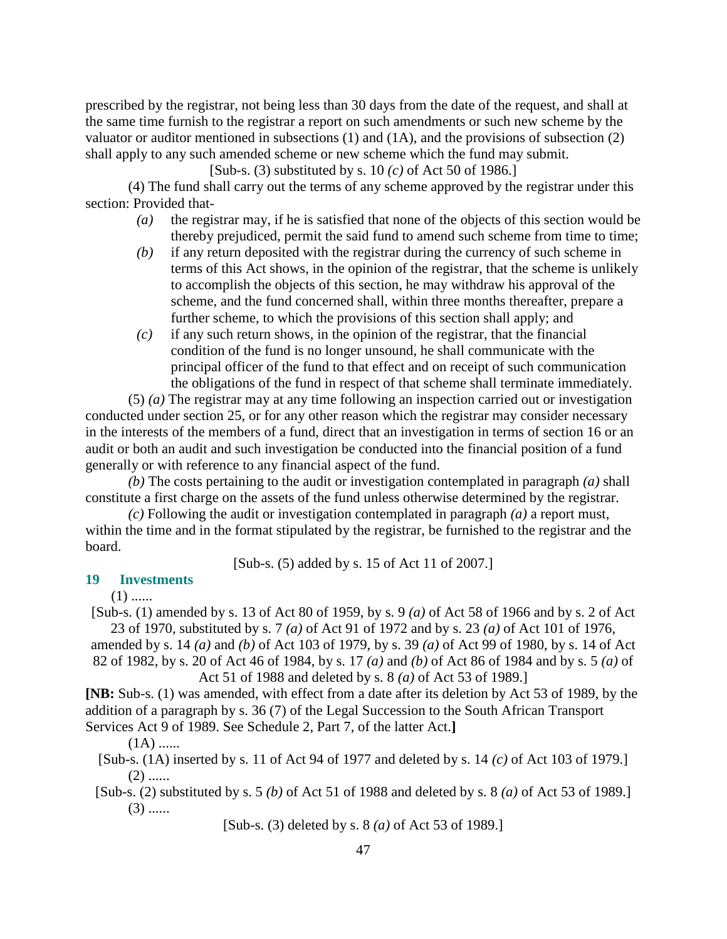prescribed by the registrar, not being less than 30 days from the date of the request, and shall at the same time furnish to the registrar a report on such amendments or such new scheme by the valuator or auditor mentioned in subsections (1) and (1A), and the provisions of subsection (2) shall apply to any such amended scheme or new scheme which the fund may submit.

[Sub-s. (3) substituted by s. 10 *(c)* of Act 50 of 1986.]

 (4) The fund shall carry out the terms of any scheme approved by the registrar under this section: Provided that-

- *(a)* the registrar may, if he is satisfied that none of the objects of this section would be thereby prejudiced, permit the said fund to amend such scheme from time to time;
- *(b)* if any return deposited with the registrar during the currency of such scheme in terms of this Act shows, in the opinion of the registrar, that the scheme is unlikely to accomplish the objects of this section, he may withdraw his approval of the scheme, and the fund concerned shall, within three months thereafter, prepare a further scheme, to which the provisions of this section shall apply; and
- *(c)* if any such return shows, in the opinion of the registrar, that the financial condition of the fund is no longer unsound, he shall communicate with the principal officer of the fund to that effect and on receipt of such communication the obligations of the fund in respect of that scheme shall terminate immediately.

 (5) *(a)* The registrar may at any time following an inspection carried out or investigation conducted under section 25, or for any other reason which the registrar may consider necessary in the interests of the members of a fund, direct that an investigation in terms of section 16 or an audit or both an audit and such investigation be conducted into the financial position of a fund generally or with reference to any financial aspect of the fund.

*(b)* The costs pertaining to the audit or investigation contemplated in paragraph *(a)* shall constitute a first charge on the assets of the fund unless otherwise determined by the registrar.

*(c)* Following the audit or investigation contemplated in paragraph *(a)* a report must, within the time and in the format stipulated by the registrar, be furnished to the registrar and the board.

[Sub-s. (5) added by s. 15 of Act 11 of 2007.]

#### **19 Investments**

 $(1)$  ......

[Sub-s. (1) amended by s. 13 of Act 80 of 1959, by s. 9 *(a)* of Act 58 of 1966 and by s. 2 of Act 23 of 1970, substituted by s. 7 *(a)* of Act 91 of 1972 and by s. 23 *(a)* of Act 101 of 1976,

amended by s. 14 *(a)* and *(b)* of Act 103 of 1979, by s. 39 *(a)* of Act 99 of 1980, by s. 14 of Act 82 of 1982, by s. 20 of Act 46 of 1984, by s. 17 *(a)* and *(b)* of Act 86 of 1984 and by s. 5 *(a)* of Act 51 of 1988 and deleted by s. 8 *(a)* of Act 53 of 1989.]

**[NB:** Sub-s. (1) was amended, with effect from a date after its deletion by Act 53 of 1989, by the addition of a paragraph by s. 36 (7) of the Legal Succession to the South African Transport Services Act 9 of 1989. See Schedule 2, Part 7, of the latter Act.**]** 

 $(1A)$  ......

[Sub-s. (1A) inserted by s. 11 of Act 94 of 1977 and deleted by s. 14 *(c)* of Act 103 of 1979.]  $(2)$  ......

[Sub-s. (2) substituted by s. 5 *(b)* of Act 51 of 1988 and deleted by s. 8 *(a)* of Act 53 of 1989.]  $(3)$  ......

[Sub-s. (3) deleted by s. 8 *(a)* of Act 53 of 1989.]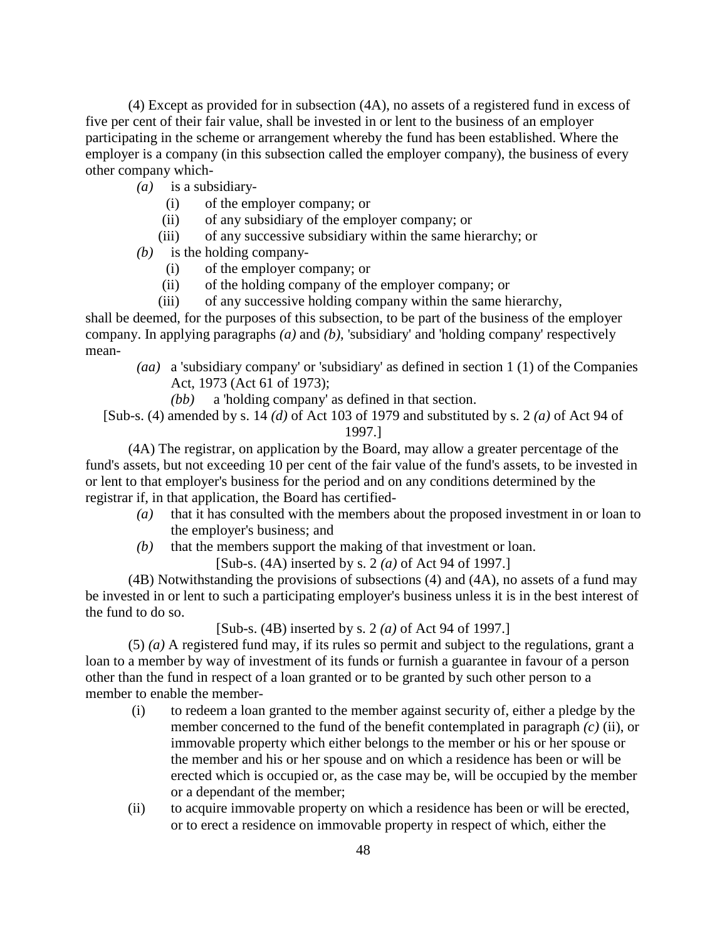(4) Except as provided for in subsection (4A), no assets of a registered fund in excess of five per cent of their fair value, shall be invested in or lent to the business of an employer participating in the scheme or arrangement whereby the fund has been established. Where the employer is a company (in this subsection called the employer company), the business of every other company which-

- *(a)* is a subsidiary-
	- (i) of the employer company; or
	- (ii) of any subsidiary of the employer company; or
	- (iii) of any successive subsidiary within the same hierarchy; or
- *(b)* is the holding company-
	- (i) of the employer company; or
	- (ii) of the holding company of the employer company; or

(iii) of any successive holding company within the same hierarchy,

shall be deemed, for the purposes of this subsection, to be part of the business of the employer company. In applying paragraphs *(a)* and *(b)*, 'subsidiary' and 'holding company' respectively mean-

 *(aa)* a 'subsidiary company' or 'subsidiary' as defined in section 1 (1) of the Companies Act, 1973 (Act 61 of 1973);

*(bb)* a 'holding company' as defined in that section.

[Sub-s. (4) amended by s. 14 *(d)* of Act 103 of 1979 and substituted by s. 2 *(a)* of Act 94 of 1997.]

 (4A) The registrar, on application by the Board, may allow a greater percentage of the fund's assets, but not exceeding 10 per cent of the fair value of the fund's assets, to be invested in or lent to that employer's business for the period and on any conditions determined by the registrar if, in that application, the Board has certified-

- *(a)* that it has consulted with the members about the proposed investment in or loan to the employer's business; and
- *(b)* that the members support the making of that investment or loan.

[Sub-s. (4A) inserted by s. 2 *(a)* of Act 94 of 1997.]

 (4B) Notwithstanding the provisions of subsections (4) and (4A), no assets of a fund may be invested in or lent to such a participating employer's business unless it is in the best interest of the fund to do so.

[Sub-s. (4B) inserted by s. 2 *(a)* of Act 94 of 1997.]

 (5) *(a)* A registered fund may, if its rules so permit and subject to the regulations, grant a loan to a member by way of investment of its funds or furnish a guarantee in favour of a person other than the fund in respect of a loan granted or to be granted by such other person to a member to enable the member-

- (i) to redeem a loan granted to the member against security of, either a pledge by the member concerned to the fund of the benefit contemplated in paragraph *(c)* (ii), or immovable property which either belongs to the member or his or her spouse or the member and his or her spouse and on which a residence has been or will be erected which is occupied or, as the case may be, will be occupied by the member or a dependant of the member;
- (ii) to acquire immovable property on which a residence has been or will be erected, or to erect a residence on immovable property in respect of which, either the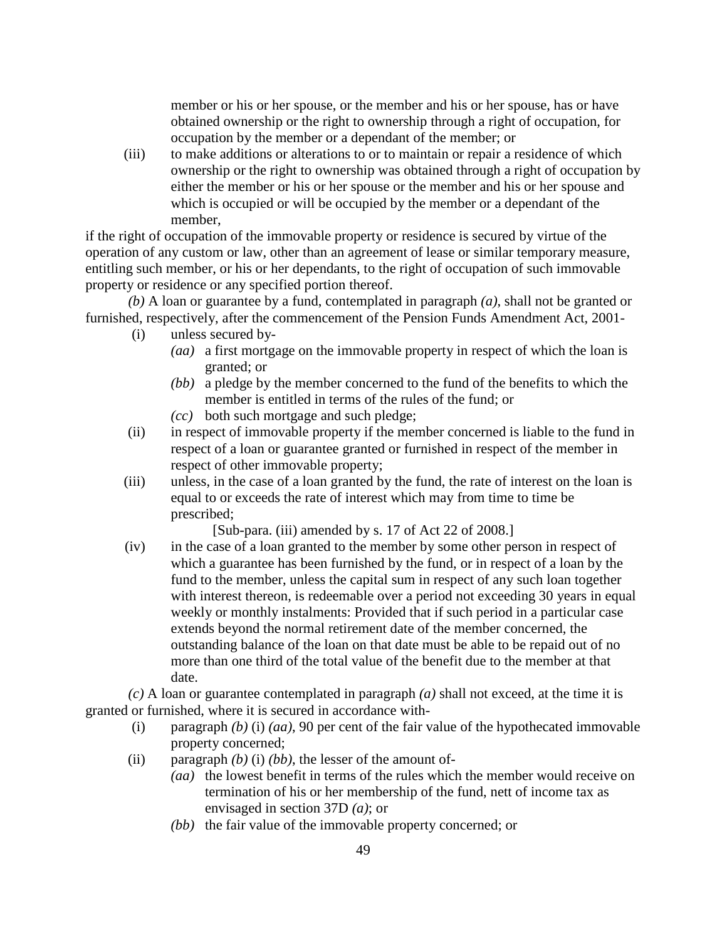member or his or her spouse, or the member and his or her spouse, has or have obtained ownership or the right to ownership through a right of occupation, for occupation by the member or a dependant of the member; or

 (iii) to make additions or alterations to or to maintain or repair a residence of which ownership or the right to ownership was obtained through a right of occupation by either the member or his or her spouse or the member and his or her spouse and which is occupied or will be occupied by the member or a dependant of the member,

if the right of occupation of the immovable property or residence is secured by virtue of the operation of any custom or law, other than an agreement of lease or similar temporary measure, entitling such member, or his or her dependants, to the right of occupation of such immovable property or residence or any specified portion thereof.

*(b)* A loan or guarantee by a fund, contemplated in paragraph *(a)*, shall not be granted or furnished, respectively, after the commencement of the Pension Funds Amendment Act, 2001-

- (i) unless secured by-
	- *(aa)* a first mortgage on the immovable property in respect of which the loan is granted; or
	- *(bb)* a pledge by the member concerned to the fund of the benefits to which the member is entitled in terms of the rules of the fund; or
	- *(cc)* both such mortgage and such pledge;
- (ii) in respect of immovable property if the member concerned is liable to the fund in respect of a loan or guarantee granted or furnished in respect of the member in respect of other immovable property;
- (iii) unless, in the case of a loan granted by the fund, the rate of interest on the loan is equal to or exceeds the rate of interest which may from time to time be prescribed;

[Sub-para. (iii) amended by s. 17 of Act 22 of 2008.]

 (iv) in the case of a loan granted to the member by some other person in respect of which a guarantee has been furnished by the fund, or in respect of a loan by the fund to the member, unless the capital sum in respect of any such loan together with interest thereon, is redeemable over a period not exceeding 30 years in equal weekly or monthly instalments: Provided that if such period in a particular case extends beyond the normal retirement date of the member concerned, the outstanding balance of the loan on that date must be able to be repaid out of no more than one third of the total value of the benefit due to the member at that date.

*(c)* A loan or guarantee contemplated in paragraph *(a)* shall not exceed, at the time it is granted or furnished, where it is secured in accordance with-

- (i) paragraph *(b)* (i) *(aa)*, 90 per cent of the fair value of the hypothecated immovable property concerned;
- (ii) paragraph *(b)* (i) *(bb)*, the lesser of the amount of-
	- *(aa)* the lowest benefit in terms of the rules which the member would receive on termination of his or her membership of the fund, nett of income tax as envisaged in section 37D *(a)*; or
	- *(bb)* the fair value of the immovable property concerned; or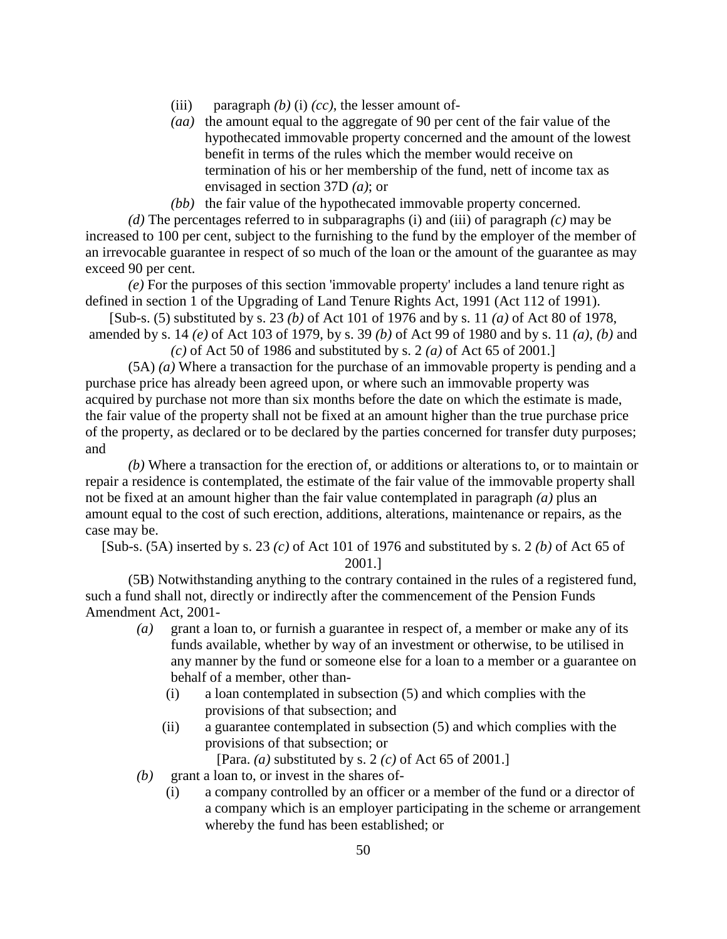- (iii) paragraph  $(b)$  (i)  $(cc)$ , the lesser amount of-
- *(aa)* the amount equal to the aggregate of 90 per cent of the fair value of the hypothecated immovable property concerned and the amount of the lowest benefit in terms of the rules which the member would receive on termination of his or her membership of the fund, nett of income tax as envisaged in section 37D *(a)*; or
- *(bb)* the fair value of the hypothecated immovable property concerned.

*(d)* The percentages referred to in subparagraphs (i) and (iii) of paragraph *(c)* may be increased to 100 per cent, subject to the furnishing to the fund by the employer of the member of an irrevocable guarantee in respect of so much of the loan or the amount of the guarantee as may exceed 90 per cent.

*(e)* For the purposes of this section 'immovable property' includes a land tenure right as defined in section 1 of the Upgrading of Land Tenure Rights Act, 1991 (Act 112 of 1991).

[Sub-s. (5) substituted by s. 23 *(b)* of Act 101 of 1976 and by s. 11 *(a)* of Act 80 of 1978, amended by s. 14 *(e)* of Act 103 of 1979, by s. 39 *(b)* of Act 99 of 1980 and by s. 11 *(a)*, *(b)* and

*(c)* of Act 50 of 1986 and substituted by s. 2 *(a)* of Act 65 of 2001.]

 (5A) *(a)* Where a transaction for the purchase of an immovable property is pending and a purchase price has already been agreed upon, or where such an immovable property was acquired by purchase not more than six months before the date on which the estimate is made, the fair value of the property shall not be fixed at an amount higher than the true purchase price of the property, as declared or to be declared by the parties concerned for transfer duty purposes; and

*(b)* Where a transaction for the erection of, or additions or alterations to, or to maintain or repair a residence is contemplated, the estimate of the fair value of the immovable property shall not be fixed at an amount higher than the fair value contemplated in paragraph *(a)* plus an amount equal to the cost of such erection, additions, alterations, maintenance or repairs, as the case may be.

[Sub-s. (5A) inserted by s. 23 *(c)* of Act 101 of 1976 and substituted by s. 2 *(b)* of Act 65 of

2001.]

 (5B) Notwithstanding anything to the contrary contained in the rules of a registered fund, such a fund shall not, directly or indirectly after the commencement of the Pension Funds Amendment Act, 2001-

- *(a)* grant a loan to, or furnish a guarantee in respect of, a member or make any of its funds available, whether by way of an investment or otherwise, to be utilised in any manner by the fund or someone else for a loan to a member or a guarantee on behalf of a member, other than-
	- (i) a loan contemplated in subsection (5) and which complies with the provisions of that subsection; and
	- (ii) a guarantee contemplated in subsection (5) and which complies with the provisions of that subsection; or

[Para. *(a)* substituted by s. 2 *(c)* of Act 65 of 2001.]

- *(b)* grant a loan to, or invest in the shares of-
	- (i) a company controlled by an officer or a member of the fund or a director of a company which is an employer participating in the scheme or arrangement whereby the fund has been established; or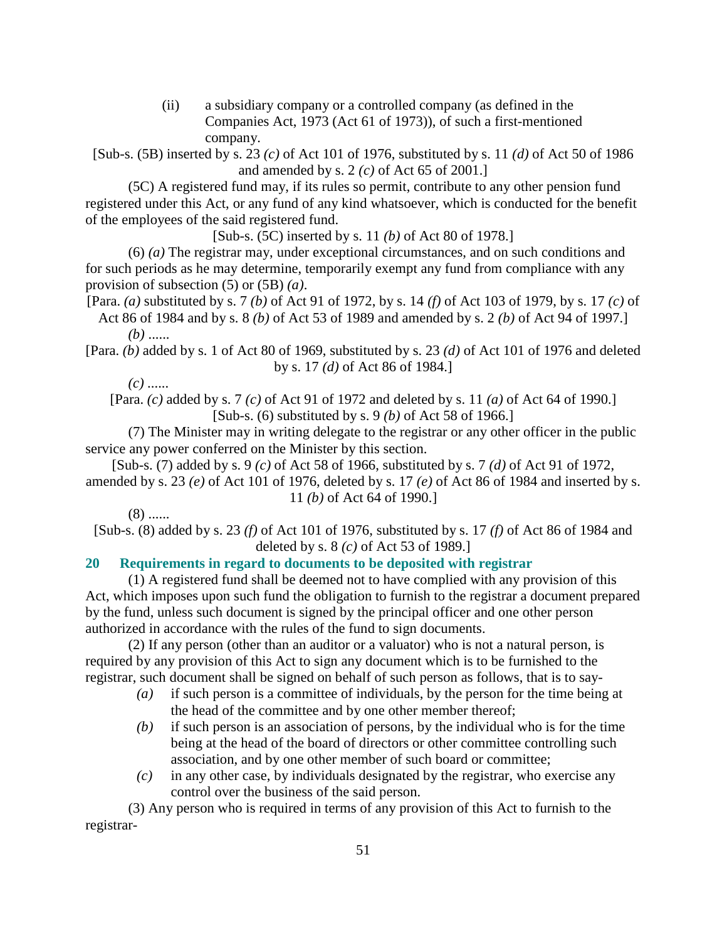(ii) a subsidiary company or a controlled company (as defined in the Companies Act, 1973 (Act 61 of 1973)), of such a first-mentioned company.

[Sub-s. (5B) inserted by s. 23 *(c)* of Act 101 of 1976, substituted by s. 11 *(d)* of Act 50 of 1986 and amended by s. 2 *(c)* of Act 65 of 2001.]

 (5C) A registered fund may, if its rules so permit, contribute to any other pension fund registered under this Act, or any fund of any kind whatsoever, which is conducted for the benefit of the employees of the said registered fund.

[Sub-s. (5C) inserted by s. 11 *(b)* of Act 80 of 1978.]

 (6) *(a)* The registrar may, under exceptional circumstances, and on such conditions and for such periods as he may determine, temporarily exempt any fund from compliance with any provision of subsection (5) or (5B) *(a)*.

[Para. *(a)* substituted by s. 7 *(b)* of Act 91 of 1972, by s. 14 *(f)* of Act 103 of 1979, by s. 17 *(c)* of Act 86 of 1984 and by s. 8 *(b)* of Act 53 of 1989 and amended by s. 2 *(b)* of Act 94 of 1997.]

*(b)* ......

[Para. *(b)* added by s. 1 of Act 80 of 1969, substituted by s. 23 *(d)* of Act 101 of 1976 and deleted by s. 17 *(d)* of Act 86 of 1984.]

*(c)* ......

[Para. *(c)* added by s. 7 *(c)* of Act 91 of 1972 and deleted by s. 11 *(a)* of Act 64 of 1990.] [Sub-s. (6) substituted by s. 9 *(b)* of Act 58 of 1966.]

 (7) The Minister may in writing delegate to the registrar or any other officer in the public service any power conferred on the Minister by this section.

[Sub-s. (7) added by s. 9 *(c)* of Act 58 of 1966, substituted by s. 7 *(d)* of Act 91 of 1972, amended by s. 23 *(e)* of Act 101 of 1976, deleted by s. 17 *(e)* of Act 86 of 1984 and inserted by s.

# 11 *(b)* of Act 64 of 1990.]

 $(8)$  ......

[Sub-s. (8) added by s. 23 *(f)* of Act 101 of 1976, substituted by s. 17 *(f)* of Act 86 of 1984 and deleted by s. 8 *(c)* of Act 53 of 1989.]

# **20 Requirements in regard to documents to be deposited with registrar**

 (1) A registered fund shall be deemed not to have complied with any provision of this Act, which imposes upon such fund the obligation to furnish to the registrar a document prepared by the fund, unless such document is signed by the principal officer and one other person authorized in accordance with the rules of the fund to sign documents.

 (2) If any person (other than an auditor or a valuator) who is not a natural person, is required by any provision of this Act to sign any document which is to be furnished to the registrar, such document shall be signed on behalf of such person as follows, that is to say-

- *(a)* if such person is a committee of individuals, by the person for the time being at the head of the committee and by one other member thereof;
- *(b)* if such person is an association of persons, by the individual who is for the time being at the head of the board of directors or other committee controlling such association, and by one other member of such board or committee;
- *(c)* in any other case, by individuals designated by the registrar, who exercise any control over the business of the said person.

 (3) Any person who is required in terms of any provision of this Act to furnish to the registrar-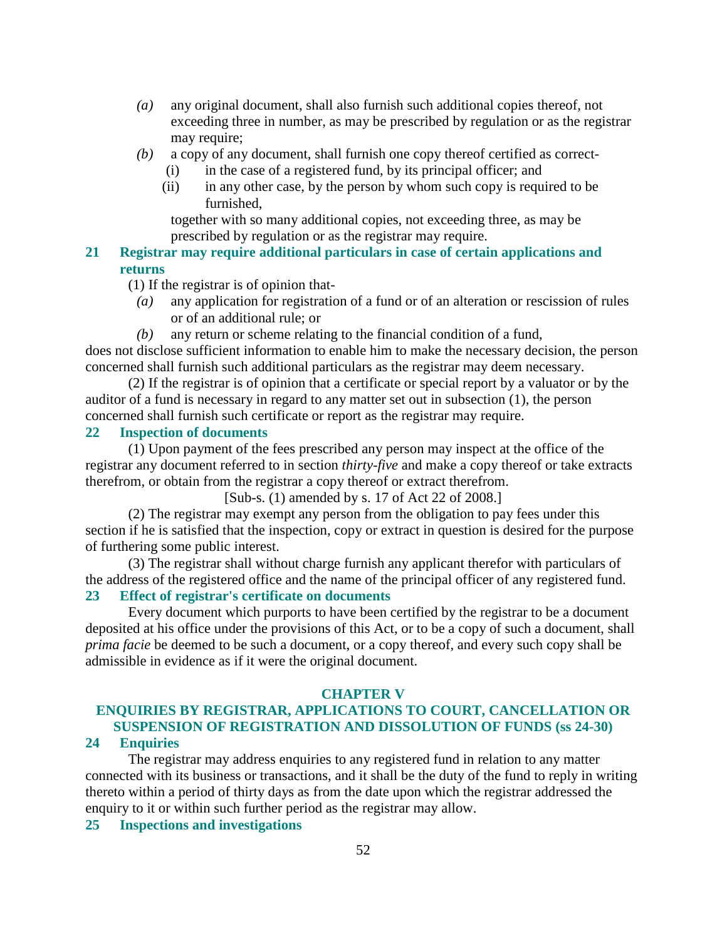- *(a)* any original document, shall also furnish such additional copies thereof, not exceeding three in number, as may be prescribed by regulation or as the registrar may require;
- *(b)* a copy of any document, shall furnish one copy thereof certified as correct-
	- (i) in the case of a registered fund, by its principal officer; and
	- (ii) in any other case, by the person by whom such copy is required to be furnished,

 together with so many additional copies, not exceeding three, as may be prescribed by regulation or as the registrar may require.

**21 Registrar may require additional particulars in case of certain applications and returns** 

(1) If the registrar is of opinion that-

- *(a)* any application for registration of a fund or of an alteration or rescission of rules or of an additional rule; or
- *(b)* any return or scheme relating to the financial condition of a fund,

does not disclose sufficient information to enable him to make the necessary decision, the person concerned shall furnish such additional particulars as the registrar may deem necessary.

 (2) If the registrar is of opinion that a certificate or special report by a valuator or by the auditor of a fund is necessary in regard to any matter set out in subsection (1), the person concerned shall furnish such certificate or report as the registrar may require.

#### **22 Inspection of documents**

 (1) Upon payment of the fees prescribed any person may inspect at the office of the registrar any document referred to in section *thirty-five* and make a copy thereof or take extracts therefrom, or obtain from the registrar a copy thereof or extract therefrom.

[Sub-s. (1) amended by s. 17 of Act 22 of 2008.]

 (2) The registrar may exempt any person from the obligation to pay fees under this section if he is satisfied that the inspection, copy or extract in question is desired for the purpose of furthering some public interest.

 (3) The registrar shall without charge furnish any applicant therefor with particulars of the address of the registered office and the name of the principal officer of any registered fund.

### **23 Effect of registrar's certificate on documents**

 Every document which purports to have been certified by the registrar to be a document deposited at his office under the provisions of this Act, or to be a copy of such a document, shall *prima facie* be deemed to be such a document, or a copy thereof, and every such copy shall be admissible in evidence as if it were the original document.

#### **CHAPTER V**

# **ENQUIRIES BY REGISTRAR, APPLICATIONS TO COURT, CANCELLATION OR SUSPENSION OF REGISTRATION AND DISSOLUTION OF FUNDS (ss 24-30)**

#### **24 Enquiries**

 The registrar may address enquiries to any registered fund in relation to any matter connected with its business or transactions, and it shall be the duty of the fund to reply in writing thereto within a period of thirty days as from the date upon which the registrar addressed the enquiry to it or within such further period as the registrar may allow.

**25 Inspections and investigations**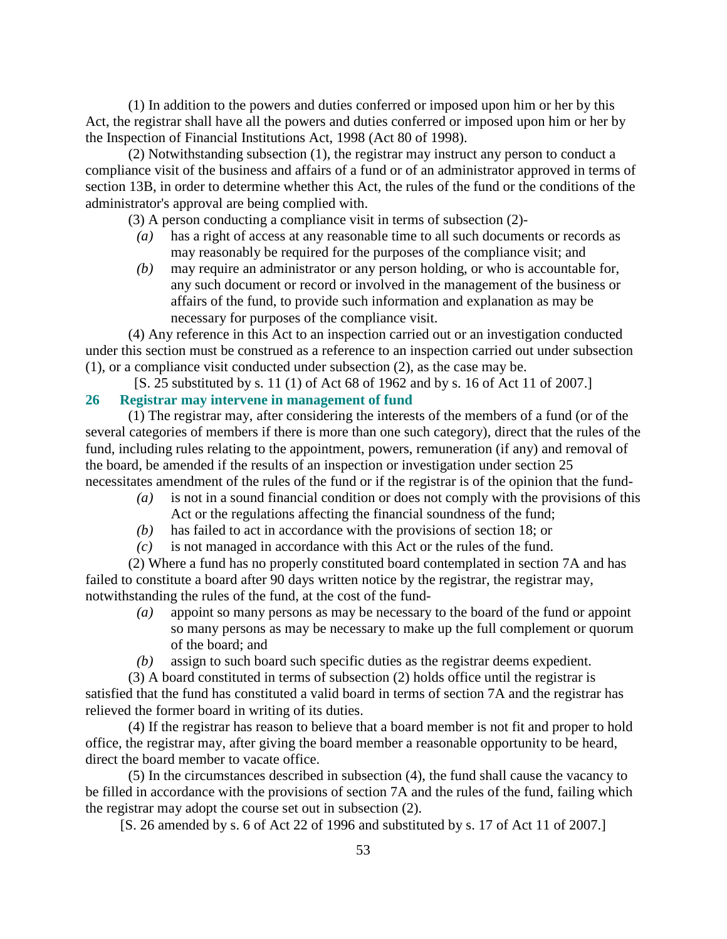(1) In addition to the powers and duties conferred or imposed upon him or her by this Act, the registrar shall have all the powers and duties conferred or imposed upon him or her by the Inspection of Financial Institutions Act, 1998 (Act 80 of 1998).

 (2) Notwithstanding subsection (1), the registrar may instruct any person to conduct a compliance visit of the business and affairs of a fund or of an administrator approved in terms of section 13B, in order to determine whether this Act, the rules of the fund or the conditions of the administrator's approval are being complied with.

(3) A person conducting a compliance visit in terms of subsection (2)-

- *(a)* has a right of access at any reasonable time to all such documents or records as may reasonably be required for the purposes of the compliance visit; and
- *(b)* may require an administrator or any person holding, or who is accountable for, any such document or record or involved in the management of the business or affairs of the fund, to provide such information and explanation as may be necessary for purposes of the compliance visit.

 (4) Any reference in this Act to an inspection carried out or an investigation conducted under this section must be construed as a reference to an inspection carried out under subsection (1), or a compliance visit conducted under subsection (2), as the case may be.

[S. 25 substituted by s. 11 (1) of Act 68 of 1962 and by s. 16 of Act 11 of 2007.]

# **26 Registrar may intervene in management of fund**

 (1) The registrar may, after considering the interests of the members of a fund (or of the several categories of members if there is more than one such category), direct that the rules of the fund, including rules relating to the appointment, powers, remuneration (if any) and removal of the board, be amended if the results of an inspection or investigation under section 25 necessitates amendment of the rules of the fund or if the registrar is of the opinion that the fund-

- *(a)* is not in a sound financial condition or does not comply with the provisions of this Act or the regulations affecting the financial soundness of the fund;
- *(b)* has failed to act in accordance with the provisions of section 18; or
- *(c)* is not managed in accordance with this Act or the rules of the fund.

 (2) Where a fund has no properly constituted board contemplated in section 7A and has failed to constitute a board after 90 days written notice by the registrar, the registrar may, notwithstanding the rules of the fund, at the cost of the fund-

- *(a)* appoint so many persons as may be necessary to the board of the fund or appoint so many persons as may be necessary to make up the full complement or quorum of the board; and
- *(b)* assign to such board such specific duties as the registrar deems expedient.

 (3) A board constituted in terms of subsection (2) holds office until the registrar is satisfied that the fund has constituted a valid board in terms of section 7A and the registrar has relieved the former board in writing of its duties.

 (4) If the registrar has reason to believe that a board member is not fit and proper to hold office, the registrar may, after giving the board member a reasonable opportunity to be heard, direct the board member to vacate office.

 (5) In the circumstances described in subsection (4), the fund shall cause the vacancy to be filled in accordance with the provisions of section 7A and the rules of the fund, failing which the registrar may adopt the course set out in subsection (2).

[S. 26 amended by s. 6 of Act 22 of 1996 and substituted by s. 17 of Act 11 of 2007.]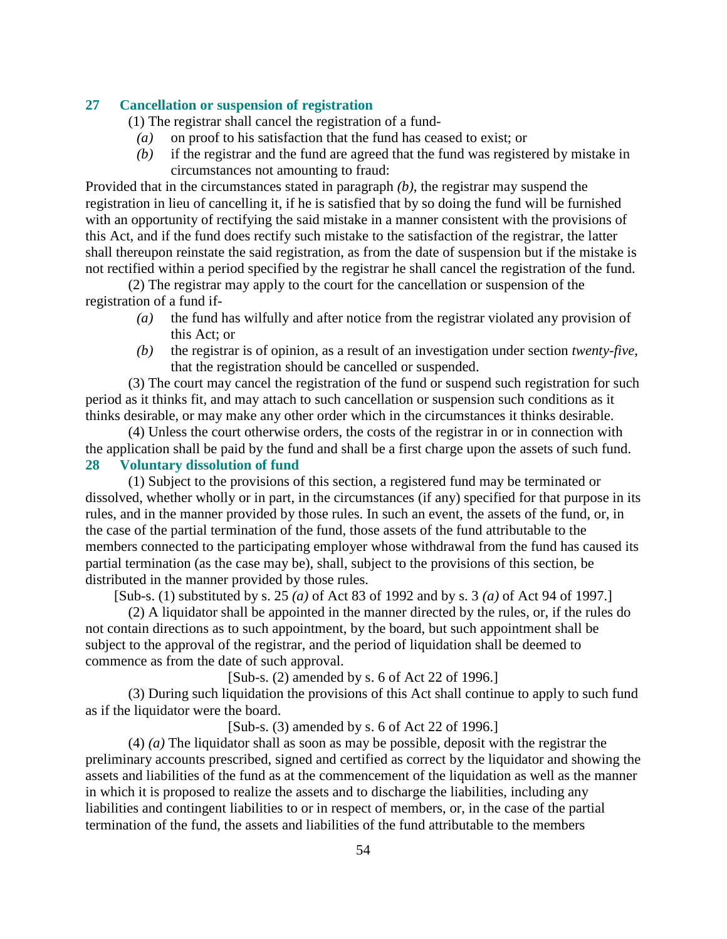#### **27 Cancellation or suspension of registration**

(1) The registrar shall cancel the registration of a fund-

- *(a)* on proof to his satisfaction that the fund has ceased to exist; or
- *(b)* if the registrar and the fund are agreed that the fund was registered by mistake in circumstances not amounting to fraud:

Provided that in the circumstances stated in paragraph *(b)*, the registrar may suspend the registration in lieu of cancelling it, if he is satisfied that by so doing the fund will be furnished with an opportunity of rectifying the said mistake in a manner consistent with the provisions of this Act, and if the fund does rectify such mistake to the satisfaction of the registrar, the latter shall thereupon reinstate the said registration, as from the date of suspension but if the mistake is not rectified within a period specified by the registrar he shall cancel the registration of the fund.

 (2) The registrar may apply to the court for the cancellation or suspension of the registration of a fund if-

- *(a)* the fund has wilfully and after notice from the registrar violated any provision of this Act; or
- *(b)* the registrar is of opinion, as a result of an investigation under section *twenty-five*, that the registration should be cancelled or suspended.

 (3) The court may cancel the registration of the fund or suspend such registration for such period as it thinks fit, and may attach to such cancellation or suspension such conditions as it thinks desirable, or may make any other order which in the circumstances it thinks desirable.

 (4) Unless the court otherwise orders, the costs of the registrar in or in connection with the application shall be paid by the fund and shall be a first charge upon the assets of such fund. **28 Voluntary dissolution of fund** 

 (1) Subject to the provisions of this section, a registered fund may be terminated or dissolved, whether wholly or in part, in the circumstances (if any) specified for that purpose in its rules, and in the manner provided by those rules. In such an event, the assets of the fund, or, in the case of the partial termination of the fund, those assets of the fund attributable to the members connected to the participating employer whose withdrawal from the fund has caused its partial termination (as the case may be), shall, subject to the provisions of this section, be distributed in the manner provided by those rules.

[Sub-s. (1) substituted by s. 25 *(a)* of Act 83 of 1992 and by s. 3 *(a)* of Act 94 of 1997.]

 (2) A liquidator shall be appointed in the manner directed by the rules, or, if the rules do not contain directions as to such appointment, by the board, but such appointment shall be subject to the approval of the registrar, and the period of liquidation shall be deemed to commence as from the date of such approval.

[Sub-s. (2) amended by s. 6 of Act 22 of 1996.]

 (3) During such liquidation the provisions of this Act shall continue to apply to such fund as if the liquidator were the board.

[Sub-s. (3) amended by s. 6 of Act 22 of 1996.]

 (4) *(a)* The liquidator shall as soon as may be possible, deposit with the registrar the preliminary accounts prescribed, signed and certified as correct by the liquidator and showing the assets and liabilities of the fund as at the commencement of the liquidation as well as the manner in which it is proposed to realize the assets and to discharge the liabilities, including any liabilities and contingent liabilities to or in respect of members, or, in the case of the partial termination of the fund, the assets and liabilities of the fund attributable to the members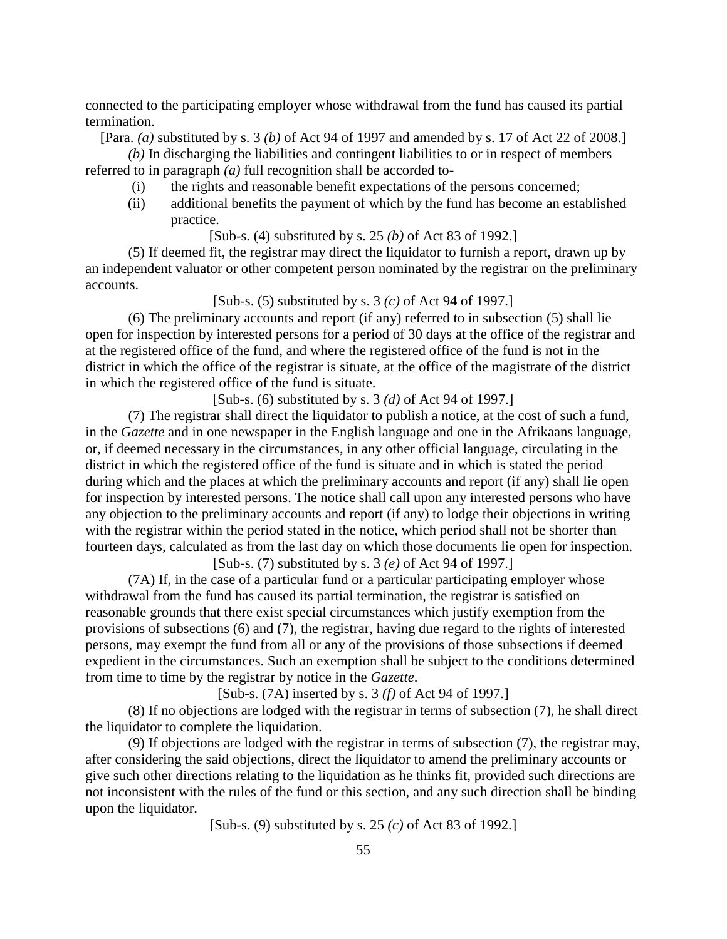connected to the participating employer whose withdrawal from the fund has caused its partial termination.

[Para. *(a)* substituted by s. 3 *(b)* of Act 94 of 1997 and amended by s. 17 of Act 22 of 2008.]

*(b)* In discharging the liabilities and contingent liabilities to or in respect of members referred to in paragraph *(a)* full recognition shall be accorded to-

- (i) the rights and reasonable benefit expectations of the persons concerned;
- (ii) additional benefits the payment of which by the fund has become an established practice.

[Sub-s. (4) substituted by s. 25 *(b)* of Act 83 of 1992.]

 (5) If deemed fit, the registrar may direct the liquidator to furnish a report, drawn up by an independent valuator or other competent person nominated by the registrar on the preliminary accounts.

[Sub-s. (5) substituted by s. 3 *(c)* of Act 94 of 1997.]

 (6) The preliminary accounts and report (if any) referred to in subsection (5) shall lie open for inspection by interested persons for a period of 30 days at the office of the registrar and at the registered office of the fund, and where the registered office of the fund is not in the district in which the office of the registrar is situate, at the office of the magistrate of the district in which the registered office of the fund is situate.

[Sub-s. (6) substituted by s. 3 *(d)* of Act 94 of 1997.]

 (7) The registrar shall direct the liquidator to publish a notice, at the cost of such a fund, in the *Gazette* and in one newspaper in the English language and one in the Afrikaans language, or, if deemed necessary in the circumstances, in any other official language, circulating in the district in which the registered office of the fund is situate and in which is stated the period during which and the places at which the preliminary accounts and report (if any) shall lie open for inspection by interested persons. The notice shall call upon any interested persons who have any objection to the preliminary accounts and report (if any) to lodge their objections in writing with the registrar within the period stated in the notice, which period shall not be shorter than fourteen days, calculated as from the last day on which those documents lie open for inspection. [Sub-s. (7) substituted by s. 3 *(e)* of Act 94 of 1997.]

 (7A) If, in the case of a particular fund or a particular participating employer whose withdrawal from the fund has caused its partial termination, the registrar is satisfied on reasonable grounds that there exist special circumstances which justify exemption from the provisions of subsections (6) and (7), the registrar, having due regard to the rights of interested persons, may exempt the fund from all or any of the provisions of those subsections if deemed expedient in the circumstances. Such an exemption shall be subject to the conditions determined from time to time by the registrar by notice in the *Gazette*.

[Sub-s. (7A) inserted by s. 3 *(f)* of Act 94 of 1997.]

 (8) If no objections are lodged with the registrar in terms of subsection (7), he shall direct the liquidator to complete the liquidation.

 (9) If objections are lodged with the registrar in terms of subsection (7), the registrar may, after considering the said objections, direct the liquidator to amend the preliminary accounts or give such other directions relating to the liquidation as he thinks fit, provided such directions are not inconsistent with the rules of the fund or this section, and any such direction shall be binding upon the liquidator.

[Sub-s. (9) substituted by s. 25 *(c)* of Act 83 of 1992.]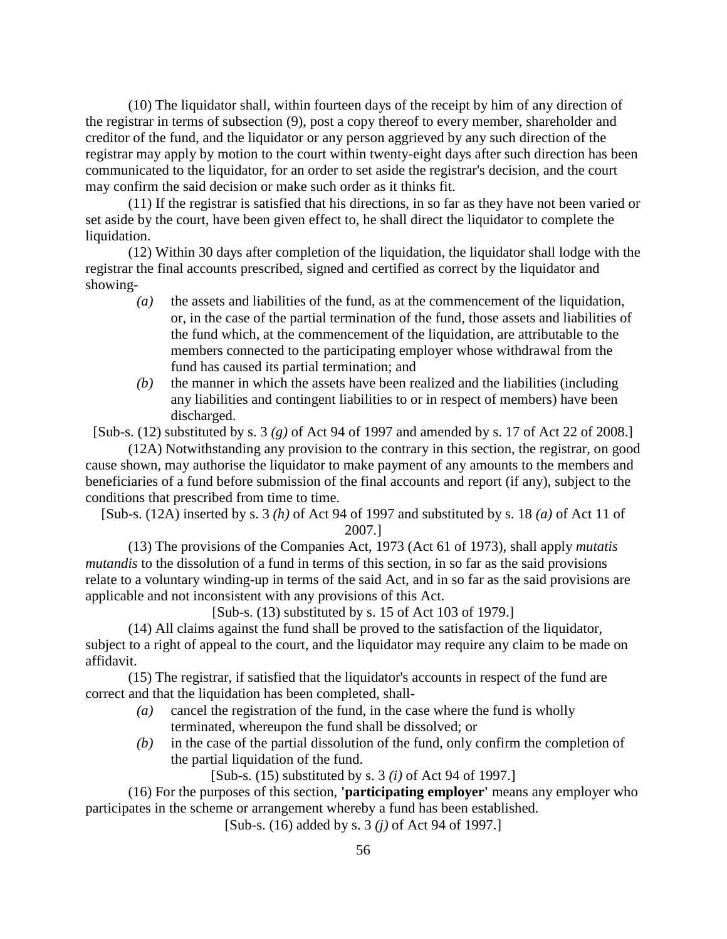(10) The liquidator shall, within fourteen days of the receipt by him of any direction of the registrar in terms of subsection (9), post a copy thereof to every member, shareholder and creditor of the fund, and the liquidator or any person aggrieved by any such direction of the registrar may apply by motion to the court within twenty-eight days after such direction has been communicated to the liquidator, for an order to set aside the registrar's decision, and the court may confirm the said decision or make such order as it thinks fit.

 (11) If the registrar is satisfied that his directions, in so far as they have not been varied or set aside by the court, have been given effect to, he shall direct the liquidator to complete the liquidation.

 (12) Within 30 days after completion of the liquidation, the liquidator shall lodge with the registrar the final accounts prescribed, signed and certified as correct by the liquidator and showing-

- *(a)* the assets and liabilities of the fund, as at the commencement of the liquidation, or, in the case of the partial termination of the fund, those assets and liabilities of the fund which, at the commencement of the liquidation, are attributable to the members connected to the participating employer whose withdrawal from the fund has caused its partial termination; and
- *(b)* the manner in which the assets have been realized and the liabilities (including any liabilities and contingent liabilities to or in respect of members) have been discharged.

[Sub-s. (12) substituted by s. 3 *(g)* of Act 94 of 1997 and amended by s. 17 of Act 22 of 2008.]

 (12A) Notwithstanding any provision to the contrary in this section, the registrar, on good cause shown, may authorise the liquidator to make payment of any amounts to the members and beneficiaries of a fund before submission of the final accounts and report (if any), subject to the conditions that prescribed from time to time.

[Sub-s. (12A) inserted by s. 3 *(h)* of Act 94 of 1997 and substituted by s. 18 *(a)* of Act 11 of 2007.]

 (13) The provisions of the Companies Act, 1973 (Act 61 of 1973), shall apply *mutatis mutandis* to the dissolution of a fund in terms of this section, in so far as the said provisions relate to a voluntary winding-up in terms of the said Act, and in so far as the said provisions are applicable and not inconsistent with any provisions of this Act.

[Sub-s. (13) substituted by s. 15 of Act 103 of 1979.]

 (14) All claims against the fund shall be proved to the satisfaction of the liquidator, subject to a right of appeal to the court, and the liquidator may require any claim to be made on affidavit.

 (15) The registrar, if satisfied that the liquidator's accounts in respect of the fund are correct and that the liquidation has been completed, shall-

- *(a)* cancel the registration of the fund, in the case where the fund is wholly terminated, whereupon the fund shall be dissolved; or
- *(b)* in the case of the partial dissolution of the fund, only confirm the completion of the partial liquidation of the fund.

[Sub-s. (15) substituted by s. 3 *(i)* of Act 94 of 1997.]

 (16) For the purposes of this section, **'participating employer'** means any employer who participates in the scheme or arrangement whereby a fund has been established.

[Sub-s. (16) added by s. 3 *(j)* of Act 94 of 1997.]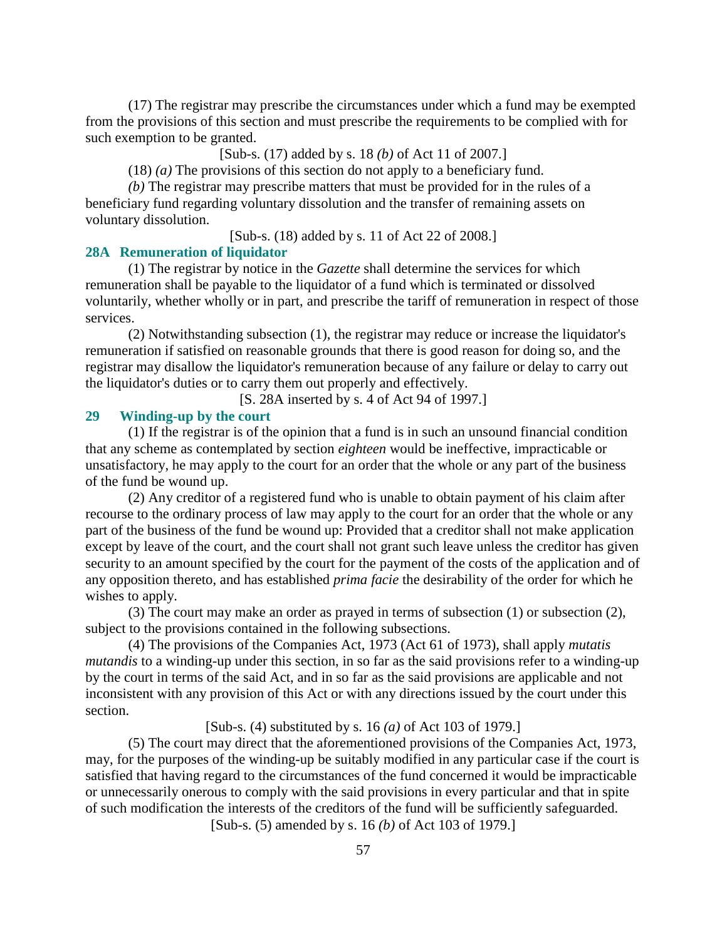(17) The registrar may prescribe the circumstances under which a fund may be exempted from the provisions of this section and must prescribe the requirements to be complied with for such exemption to be granted.

[Sub-s. (17) added by s. 18 *(b)* of Act 11 of 2007.]

(18) *(a)* The provisions of this section do not apply to a beneficiary fund.

*(b)* The registrar may prescribe matters that must be provided for in the rules of a beneficiary fund regarding voluntary dissolution and the transfer of remaining assets on voluntary dissolution.

[Sub-s. (18) added by s. 11 of Act 22 of 2008.]

#### **28A Remuneration of liquidator**

 (1) The registrar by notice in the *Gazette* shall determine the services for which remuneration shall be payable to the liquidator of a fund which is terminated or dissolved voluntarily, whether wholly or in part, and prescribe the tariff of remuneration in respect of those services.

 (2) Notwithstanding subsection (1), the registrar may reduce or increase the liquidator's remuneration if satisfied on reasonable grounds that there is good reason for doing so, and the registrar may disallow the liquidator's remuneration because of any failure or delay to carry out the liquidator's duties or to carry them out properly and effectively.

[S. 28A inserted by s. 4 of Act 94 of 1997.]

#### **29 Winding-up by the court**

 (1) If the registrar is of the opinion that a fund is in such an unsound financial condition that any scheme as contemplated by section *eighteen* would be ineffective, impracticable or unsatisfactory, he may apply to the court for an order that the whole or any part of the business of the fund be wound up.

 (2) Any creditor of a registered fund who is unable to obtain payment of his claim after recourse to the ordinary process of law may apply to the court for an order that the whole or any part of the business of the fund be wound up: Provided that a creditor shall not make application except by leave of the court, and the court shall not grant such leave unless the creditor has given security to an amount specified by the court for the payment of the costs of the application and of any opposition thereto, and has established *prima facie* the desirability of the order for which he wishes to apply.

 (3) The court may make an order as prayed in terms of subsection (1) or subsection (2), subject to the provisions contained in the following subsections.

 (4) The provisions of the Companies Act, 1973 (Act 61 of 1973), shall apply *mutatis mutandis* to a winding-up under this section, in so far as the said provisions refer to a winding-up by the court in terms of the said Act, and in so far as the said provisions are applicable and not inconsistent with any provision of this Act or with any directions issued by the court under this section.

[Sub-s. (4) substituted by s. 16 *(a)* of Act 103 of 1979.]

 (5) The court may direct that the aforementioned provisions of the Companies Act, 1973, may, for the purposes of the winding-up be suitably modified in any particular case if the court is satisfied that having regard to the circumstances of the fund concerned it would be impracticable or unnecessarily onerous to comply with the said provisions in every particular and that in spite of such modification the interests of the creditors of the fund will be sufficiently safeguarded.

[Sub-s. (5) amended by s. 16 *(b)* of Act 103 of 1979.]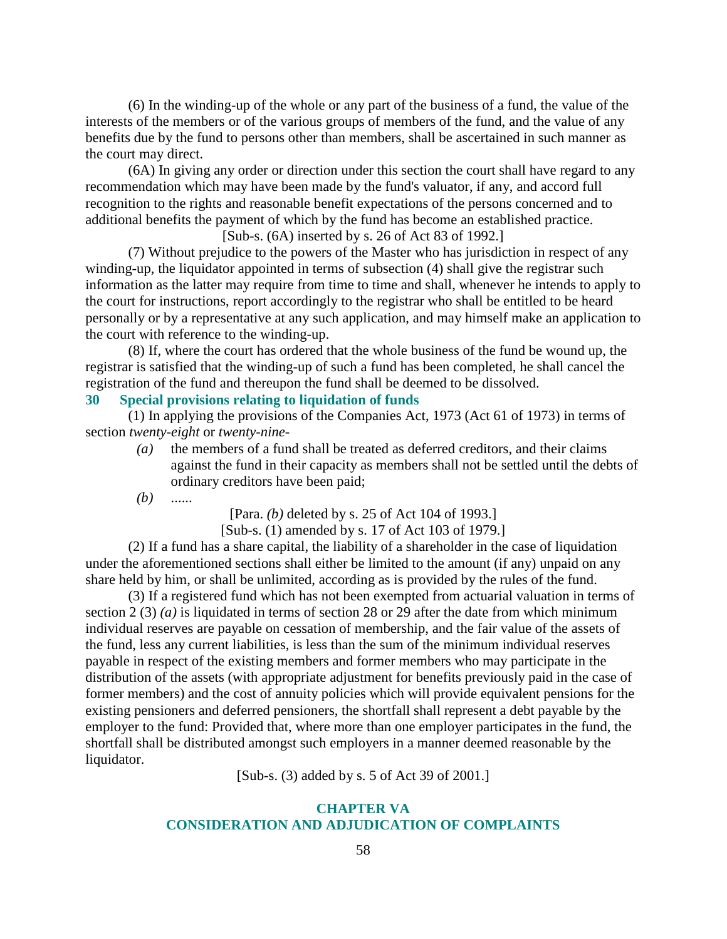(6) In the winding-up of the whole or any part of the business of a fund, the value of the interests of the members or of the various groups of members of the fund, and the value of any benefits due by the fund to persons other than members, shall be ascertained in such manner as the court may direct.

 (6A) In giving any order or direction under this section the court shall have regard to any recommendation which may have been made by the fund's valuator, if any, and accord full recognition to the rights and reasonable benefit expectations of the persons concerned and to additional benefits the payment of which by the fund has become an established practice.

[Sub-s. (6A) inserted by s. 26 of Act 83 of 1992.]

 (7) Without prejudice to the powers of the Master who has jurisdiction in respect of any winding-up, the liquidator appointed in terms of subsection (4) shall give the registrar such information as the latter may require from time to time and shall, whenever he intends to apply to the court for instructions, report accordingly to the registrar who shall be entitled to be heard personally or by a representative at any such application, and may himself make an application to the court with reference to the winding-up.

 (8) If, where the court has ordered that the whole business of the fund be wound up, the registrar is satisfied that the winding-up of such a fund has been completed, he shall cancel the registration of the fund and thereupon the fund shall be deemed to be dissolved.

### **30 Special provisions relating to liquidation of funds**

 (1) In applying the provisions of the Companies Act, 1973 (Act 61 of 1973) in terms of section *twenty-eight* or *twenty-nine*-

 *(a)* the members of a fund shall be treated as deferred creditors, and their claims against the fund in their capacity as members shall not be settled until the debts of ordinary creditors have been paid;

*(b)* ......

[Para. *(b)* deleted by s. 25 of Act 104 of 1993.]

[Sub-s. (1) amended by s. 17 of Act 103 of 1979.]

 (2) If a fund has a share capital, the liability of a shareholder in the case of liquidation under the aforementioned sections shall either be limited to the amount (if any) unpaid on any share held by him, or shall be unlimited, according as is provided by the rules of the fund.

 (3) If a registered fund which has not been exempted from actuarial valuation in terms of section 2 (3) *(a)* is liquidated in terms of section 28 or 29 after the date from which minimum individual reserves are payable on cessation of membership, and the fair value of the assets of the fund, less any current liabilities, is less than the sum of the minimum individual reserves payable in respect of the existing members and former members who may participate in the distribution of the assets (with appropriate adjustment for benefits previously paid in the case of former members) and the cost of annuity policies which will provide equivalent pensions for the existing pensioners and deferred pensioners, the shortfall shall represent a debt payable by the employer to the fund: Provided that, where more than one employer participates in the fund, the shortfall shall be distributed amongst such employers in a manner deemed reasonable by the liquidator.

[Sub-s. (3) added by s. 5 of Act 39 of 2001.]

### **CHAPTER VA CONSIDERATION AND ADJUDICATION OF COMPLAINTS**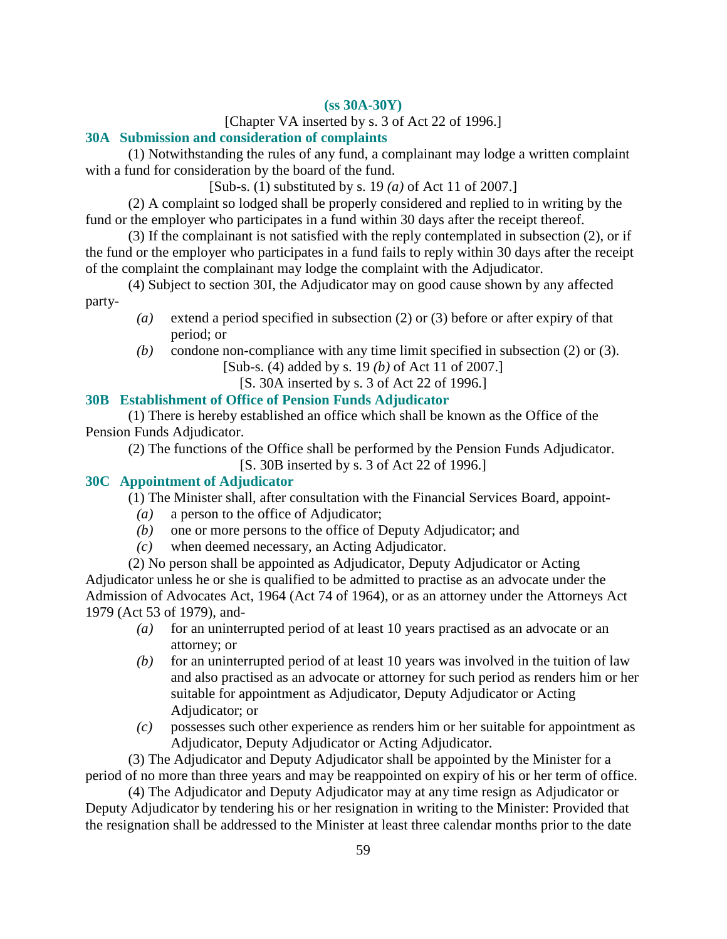# **(ss 30A-30Y)**

### [Chapter VA inserted by s. 3 of Act 22 of 1996.]

# **30A Submission and consideration of complaints**

 (1) Notwithstanding the rules of any fund, a complainant may lodge a written complaint with a fund for consideration by the board of the fund.

[Sub-s. (1) substituted by s. 19 *(a)* of Act 11 of 2007.]

 (2) A complaint so lodged shall be properly considered and replied to in writing by the fund or the employer who participates in a fund within 30 days after the receipt thereof.

 (3) If the complainant is not satisfied with the reply contemplated in subsection (2), or if the fund or the employer who participates in a fund fails to reply within 30 days after the receipt of the complaint the complainant may lodge the complaint with the Adjudicator.

 (4) Subject to section 30I, the Adjudicator may on good cause shown by any affected party-

- *(a)* extend a period specified in subsection (2) or (3) before or after expiry of that period; or
- *(b)* condone non-compliance with any time limit specified in subsection (2) or (3).

[Sub-s. (4) added by s. 19 *(b)* of Act 11 of 2007.]

[S. 30A inserted by s. 3 of Act 22 of 1996.]

# **30B Establishment of Office of Pension Funds Adjudicator**

 (1) There is hereby established an office which shall be known as the Office of the Pension Funds Adjudicator.

 (2) The functions of the Office shall be performed by the Pension Funds Adjudicator. [S. 30B inserted by s. 3 of Act 22 of 1996.]

# **30C Appointment of Adjudicator**

(1) The Minister shall, after consultation with the Financial Services Board, appoint-

- *(a)* a person to the office of Adjudicator;
- *(b)* one or more persons to the office of Deputy Adjudicator; and
- *(c)* when deemed necessary, an Acting Adjudicator.

 (2) No person shall be appointed as Adjudicator, Deputy Adjudicator or Acting Adjudicator unless he or she is qualified to be admitted to practise as an advocate under the Admission of Advocates Act, 1964 (Act 74 of 1964), or as an attorney under the Attorneys Act 1979 (Act 53 of 1979), and-

- *(a)* for an uninterrupted period of at least 10 years practised as an advocate or an attorney; or
- *(b)* for an uninterrupted period of at least 10 years was involved in the tuition of law and also practised as an advocate or attorney for such period as renders him or her suitable for appointment as Adjudicator, Deputy Adjudicator or Acting Adjudicator; or
- *(c)* possesses such other experience as renders him or her suitable for appointment as Adjudicator, Deputy Adjudicator or Acting Adjudicator.

 (3) The Adjudicator and Deputy Adjudicator shall be appointed by the Minister for a period of no more than three years and may be reappointed on expiry of his or her term of office.

 (4) The Adjudicator and Deputy Adjudicator may at any time resign as Adjudicator or Deputy Adjudicator by tendering his or her resignation in writing to the Minister: Provided that the resignation shall be addressed to the Minister at least three calendar months prior to the date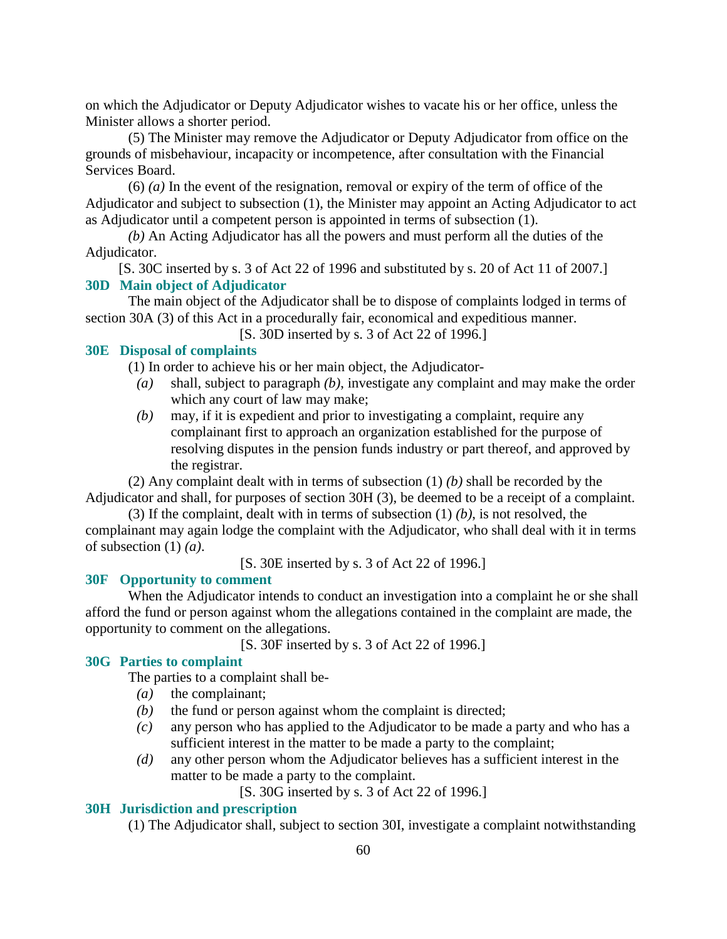on which the Adjudicator or Deputy Adjudicator wishes to vacate his or her office, unless the Minister allows a shorter period.

 (5) The Minister may remove the Adjudicator or Deputy Adjudicator from office on the grounds of misbehaviour, incapacity or incompetence, after consultation with the Financial Services Board.

 (6) *(a)* In the event of the resignation, removal or expiry of the term of office of the Adjudicator and subject to subsection (1), the Minister may appoint an Acting Adjudicator to act as Adjudicator until a competent person is appointed in terms of subsection (1).

*(b)* An Acting Adjudicator has all the powers and must perform all the duties of the Adjudicator.

[S. 30C inserted by s. 3 of Act 22 of 1996 and substituted by s. 20 of Act 11 of 2007.] **30D Main object of Adjudicator** 

 The main object of the Adjudicator shall be to dispose of complaints lodged in terms of section 30A (3) of this Act in a procedurally fair, economical and expeditious manner.

[S. 30D inserted by s. 3 of Act 22 of 1996.]

### **30E Disposal of complaints**

(1) In order to achieve his or her main object, the Adjudicator-

- *(a)* shall, subject to paragraph *(b)*, investigate any complaint and may make the order which any court of law may make;
- *(b)* may, if it is expedient and prior to investigating a complaint, require any complainant first to approach an organization established for the purpose of resolving disputes in the pension funds industry or part thereof, and approved by the registrar.

 (2) Any complaint dealt with in terms of subsection (1) *(b)* shall be recorded by the Adjudicator and shall, for purposes of section 30H (3), be deemed to be a receipt of a complaint.

 (3) If the complaint, dealt with in terms of subsection (1) *(b)*, is not resolved, the complainant may again lodge the complaint with the Adjudicator, who shall deal with it in terms of subsection (1) *(a)*.

[S. 30E inserted by s. 3 of Act 22 of 1996.]

#### **30F Opportunity to comment**

 When the Adjudicator intends to conduct an investigation into a complaint he or she shall afford the fund or person against whom the allegations contained in the complaint are made, the opportunity to comment on the allegations.

[S. 30F inserted by s. 3 of Act 22 of 1996.]

### **30G Parties to complaint**

The parties to a complaint shall be-

- *(a)* the complainant;
- *(b)* the fund or person against whom the complaint is directed;
- *(c)* any person who has applied to the Adjudicator to be made a party and who has a sufficient interest in the matter to be made a party to the complaint;
- *(d)* any other person whom the Adjudicator believes has a sufficient interest in the matter to be made a party to the complaint.

[S. 30G inserted by s. 3 of Act 22 of 1996.]

### **30H Jurisdiction and prescription**

(1) The Adjudicator shall, subject to section 30I, investigate a complaint notwithstanding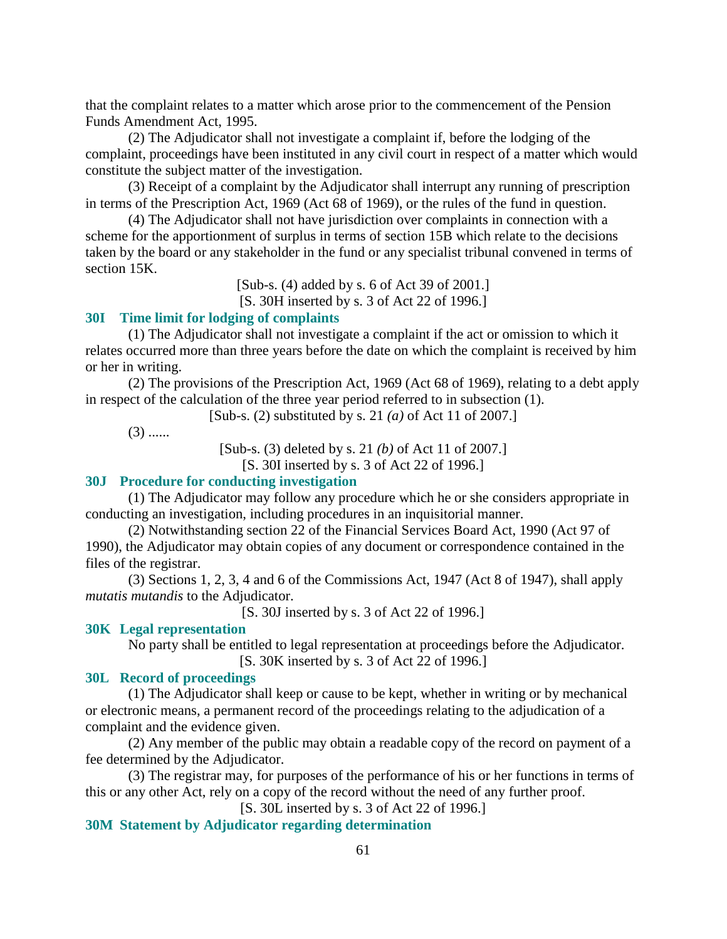that the complaint relates to a matter which arose prior to the commencement of the Pension Funds Amendment Act, 1995.

 (2) The Adjudicator shall not investigate a complaint if, before the lodging of the complaint, proceedings have been instituted in any civil court in respect of a matter which would constitute the subject matter of the investigation.

 (3) Receipt of a complaint by the Adjudicator shall interrupt any running of prescription in terms of the Prescription Act, 1969 (Act 68 of 1969), or the rules of the fund in question.

 (4) The Adjudicator shall not have jurisdiction over complaints in connection with a scheme for the apportionment of surplus in terms of section 15B which relate to the decisions taken by the board or any stakeholder in the fund or any specialist tribunal convened in terms of section 15K.

> [Sub-s. (4) added by s. 6 of Act 39 of 2001.] [S. 30H inserted by s. 3 of Act 22 of 1996.]

#### **30I Time limit for lodging of complaints**

 (1) The Adjudicator shall not investigate a complaint if the act or omission to which it relates occurred more than three years before the date on which the complaint is received by him or her in writing.

 (2) The provisions of the Prescription Act, 1969 (Act 68 of 1969), relating to a debt apply in respect of the calculation of the three year period referred to in subsection (1).

[Sub-s. (2) substituted by s. 21 *(a)* of Act 11 of 2007.]

 $(3)$  ......

[Sub-s. (3) deleted by s. 21 *(b)* of Act 11 of 2007.]

[S. 30I inserted by s. 3 of Act 22 of 1996.]

#### **30J Procedure for conducting investigation**

 (1) The Adjudicator may follow any procedure which he or she considers appropriate in conducting an investigation, including procedures in an inquisitorial manner.

 (2) Notwithstanding section 22 of the Financial Services Board Act, 1990 (Act 97 of 1990), the Adjudicator may obtain copies of any document or correspondence contained in the files of the registrar.

 (3) Sections 1, 2, 3, 4 and 6 of the Commissions Act, 1947 (Act 8 of 1947), shall apply *mutatis mutandis* to the Adjudicator.

[S. 30J inserted by s. 3 of Act 22 of 1996.]

#### **30K Legal representation**

 No party shall be entitled to legal representation at proceedings before the Adjudicator. [S. 30K inserted by s. 3 of Act 22 of 1996.]

### **30L Record of proceedings**

 (1) The Adjudicator shall keep or cause to be kept, whether in writing or by mechanical or electronic means, a permanent record of the proceedings relating to the adjudication of a complaint and the evidence given.

 (2) Any member of the public may obtain a readable copy of the record on payment of a fee determined by the Adjudicator.

 (3) The registrar may, for purposes of the performance of his or her functions in terms of this or any other Act, rely on a copy of the record without the need of any further proof.

[S. 30L inserted by s. 3 of Act 22 of 1996.]

# **30M Statement by Adjudicator regarding determination**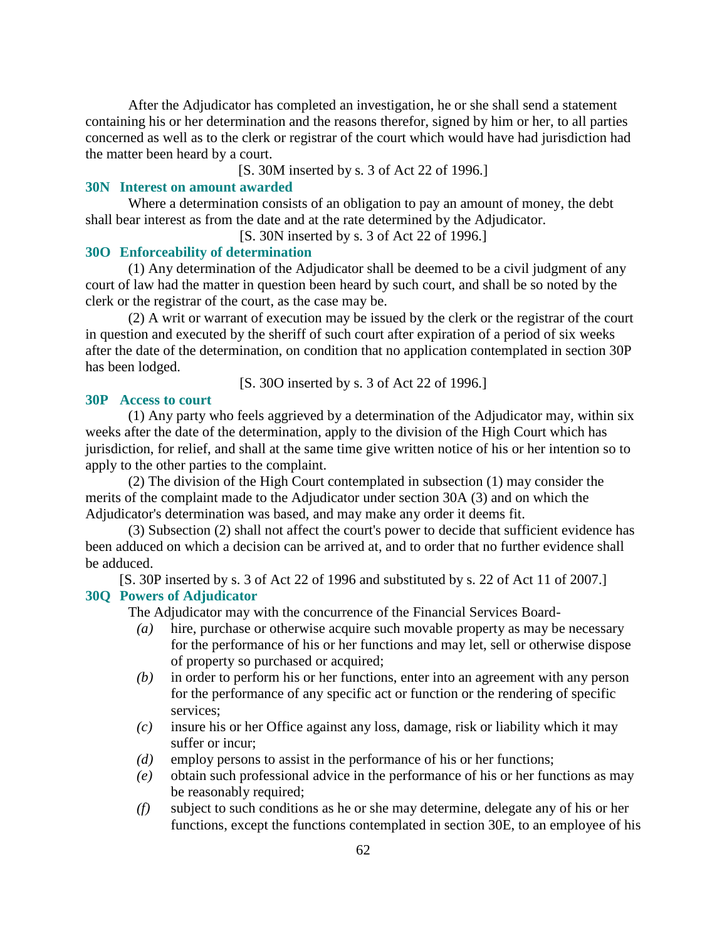After the Adjudicator has completed an investigation, he or she shall send a statement containing his or her determination and the reasons therefor, signed by him or her, to all parties concerned as well as to the clerk or registrar of the court which would have had jurisdiction had the matter been heard by a court.

[S. 30M inserted by s. 3 of Act 22 of 1996.]

#### **30N Interest on amount awarded**

 Where a determination consists of an obligation to pay an amount of money, the debt shall bear interest as from the date and at the rate determined by the Adjudicator.

[S. 30N inserted by s. 3 of Act 22 of 1996.]

#### **30O Enforceability of determination**

 (1) Any determination of the Adjudicator shall be deemed to be a civil judgment of any court of law had the matter in question been heard by such court, and shall be so noted by the clerk or the registrar of the court, as the case may be.

 (2) A writ or warrant of execution may be issued by the clerk or the registrar of the court in question and executed by the sheriff of such court after expiration of a period of six weeks after the date of the determination, on condition that no application contemplated in section 30P has been lodged.

[S. 30O inserted by s. 3 of Act 22 of 1996.]

#### **30P Access to court**

 (1) Any party who feels aggrieved by a determination of the Adjudicator may, within six weeks after the date of the determination, apply to the division of the High Court which has jurisdiction, for relief, and shall at the same time give written notice of his or her intention so to apply to the other parties to the complaint.

 (2) The division of the High Court contemplated in subsection (1) may consider the merits of the complaint made to the Adjudicator under section 30A (3) and on which the Adjudicator's determination was based, and may make any order it deems fit.

 (3) Subsection (2) shall not affect the court's power to decide that sufficient evidence has been adduced on which a decision can be arrived at, and to order that no further evidence shall be adduced.

[S. 30P inserted by s. 3 of Act 22 of 1996 and substituted by s. 22 of Act 11 of 2007.] **30Q Powers of Adjudicator** 

The Adjudicator may with the concurrence of the Financial Services Board-

- *(a)* hire, purchase or otherwise acquire such movable property as may be necessary for the performance of his or her functions and may let, sell or otherwise dispose of property so purchased or acquired;
- *(b)* in order to perform his or her functions, enter into an agreement with any person for the performance of any specific act or function or the rendering of specific services;
- *(c)* insure his or her Office against any loss, damage, risk or liability which it may suffer or incur;
- *(d)* employ persons to assist in the performance of his or her functions;
- *(e)* obtain such professional advice in the performance of his or her functions as may be reasonably required;
- *(f)* subject to such conditions as he or she may determine, delegate any of his or her functions, except the functions contemplated in section 30E, to an employee of his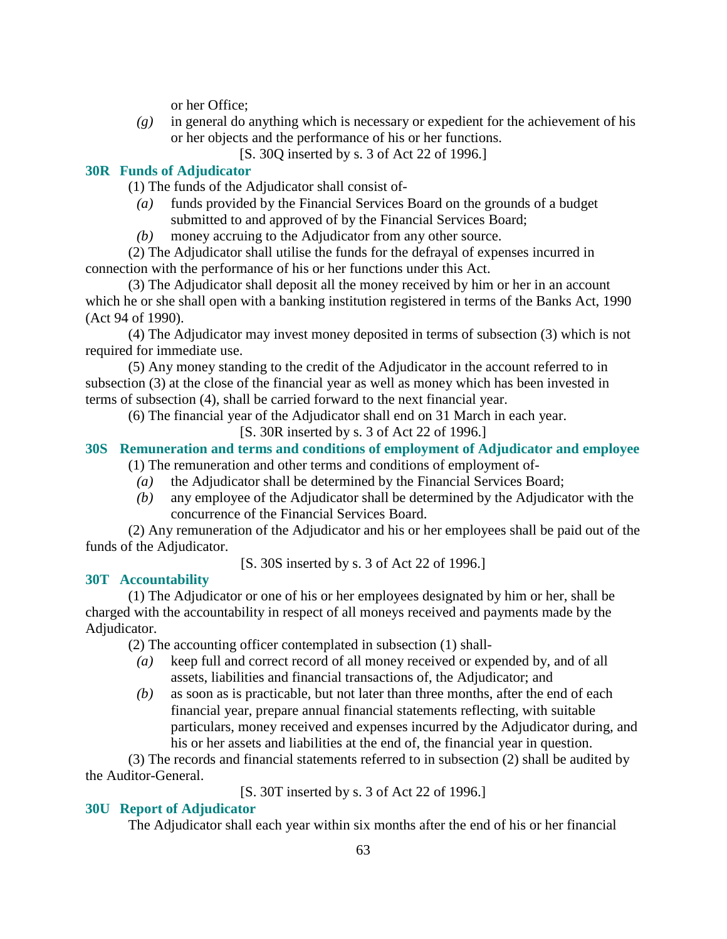or her Office;

- *(g)* in general do anything which is necessary or expedient for the achievement of his or her objects and the performance of his or her functions.
	- [S. 30Q inserted by s. 3 of Act 22 of 1996.]

# **30R Funds of Adjudicator**

(1) The funds of the Adjudicator shall consist of-

 *(a)* funds provided by the Financial Services Board on the grounds of a budget submitted to and approved of by the Financial Services Board;

*(b)* money accruing to the Adjudicator from any other source.

 (2) The Adjudicator shall utilise the funds for the defrayal of expenses incurred in connection with the performance of his or her functions under this Act.

 (3) The Adjudicator shall deposit all the money received by him or her in an account which he or she shall open with a banking institution registered in terms of the Banks Act, 1990 (Act 94 of 1990).

 (4) The Adjudicator may invest money deposited in terms of subsection (3) which is not required for immediate use.

 (5) Any money standing to the credit of the Adjudicator in the account referred to in subsection (3) at the close of the financial year as well as money which has been invested in terms of subsection (4), shall be carried forward to the next financial year.

(6) The financial year of the Adjudicator shall end on 31 March in each year.

[S. 30R inserted by s. 3 of Act 22 of 1996.]

# **30S Remuneration and terms and conditions of employment of Adjudicator and employee**

- (1) The remuneration and other terms and conditions of employment of-
	- *(a)* the Adjudicator shall be determined by the Financial Services Board;
	- *(b)* any employee of the Adjudicator shall be determined by the Adjudicator with the concurrence of the Financial Services Board.

 (2) Any remuneration of the Adjudicator and his or her employees shall be paid out of the funds of the Adjudicator.

[S. 30S inserted by s. 3 of Act 22 of 1996.]

### **30T Accountability**

 (1) The Adjudicator or one of his or her employees designated by him or her, shall be charged with the accountability in respect of all moneys received and payments made by the Adjudicator.

(2) The accounting officer contemplated in subsection (1) shall-

- *(a)* keep full and correct record of all money received or expended by, and of all assets, liabilities and financial transactions of, the Adjudicator; and
- *(b)* as soon as is practicable, but not later than three months, after the end of each financial year, prepare annual financial statements reflecting, with suitable particulars, money received and expenses incurred by the Adjudicator during, and his or her assets and liabilities at the end of, the financial year in question.

 (3) The records and financial statements referred to in subsection (2) shall be audited by the Auditor-General.

[S. 30T inserted by s. 3 of Act 22 of 1996.]

# **30U Report of Adjudicator**

The Adjudicator shall each year within six months after the end of his or her financial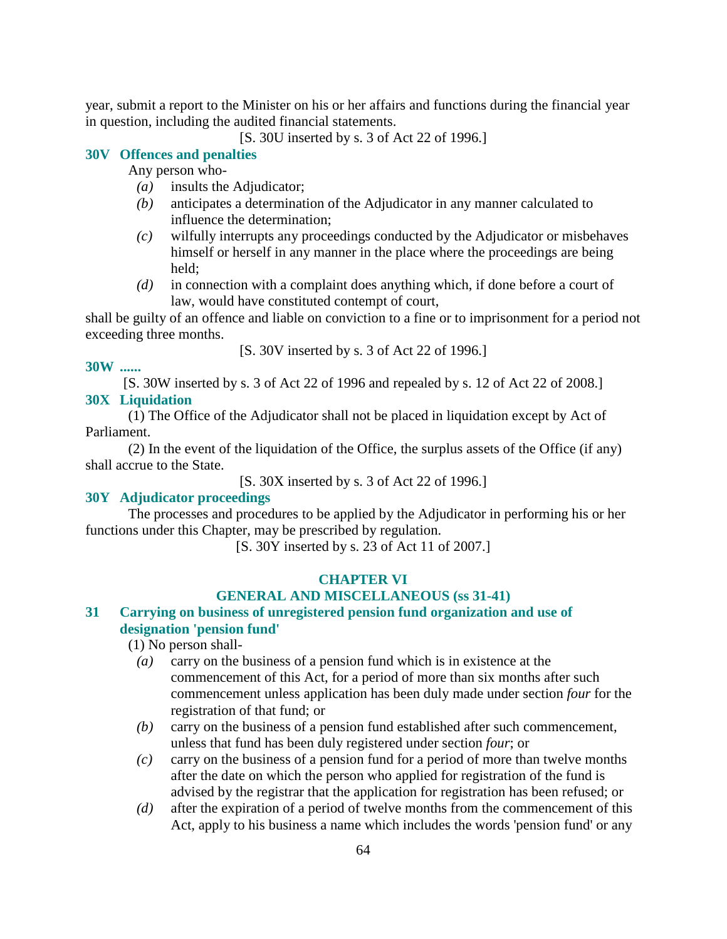year, submit a report to the Minister on his or her affairs and functions during the financial year in question, including the audited financial statements.

[S. 30U inserted by s. 3 of Act 22 of 1996.]

### **30V Offences and penalties**

Any person who-

- *(a)* insults the Adjudicator;
- *(b)* anticipates a determination of the Adjudicator in any manner calculated to influence the determination;
- *(c)* wilfully interrupts any proceedings conducted by the Adjudicator or misbehaves himself or herself in any manner in the place where the proceedings are being held;
- *(d)* in connection with a complaint does anything which, if done before a court of law, would have constituted contempt of court,

shall be guilty of an offence and liable on conviction to a fine or to imprisonment for a period not exceeding three months.

[S. 30V inserted by s. 3 of Act 22 of 1996.]

#### **30W ......**

[S. 30W inserted by s. 3 of Act 22 of 1996 and repealed by s. 12 of Act 22 of 2008.]

#### **30X Liquidation**

 (1) The Office of the Adjudicator shall not be placed in liquidation except by Act of Parliament.

 (2) In the event of the liquidation of the Office, the surplus assets of the Office (if any) shall accrue to the State.

[S. 30X inserted by s. 3 of Act 22 of 1996.]

#### **30Y Adjudicator proceedings**

 The processes and procedures to be applied by the Adjudicator in performing his or her functions under this Chapter, may be prescribed by regulation.

[S. 30Y inserted by s. 23 of Act 11 of 2007.]

### **CHAPTER VI**

#### **GENERAL AND MISCELLANEOUS (ss 31-41)**

### **31 Carrying on business of unregistered pension fund organization and use of designation 'pension fund'**

(1) No person shall-

- *(a)* carry on the business of a pension fund which is in existence at the commencement of this Act, for a period of more than six months after such commencement unless application has been duly made under section *four* for the registration of that fund; or
- *(b)* carry on the business of a pension fund established after such commencement, unless that fund has been duly registered under section *four*; or
- *(c)* carry on the business of a pension fund for a period of more than twelve months after the date on which the person who applied for registration of the fund is advised by the registrar that the application for registration has been refused; or
- *(d)* after the expiration of a period of twelve months from the commencement of this Act, apply to his business a name which includes the words 'pension fund' or any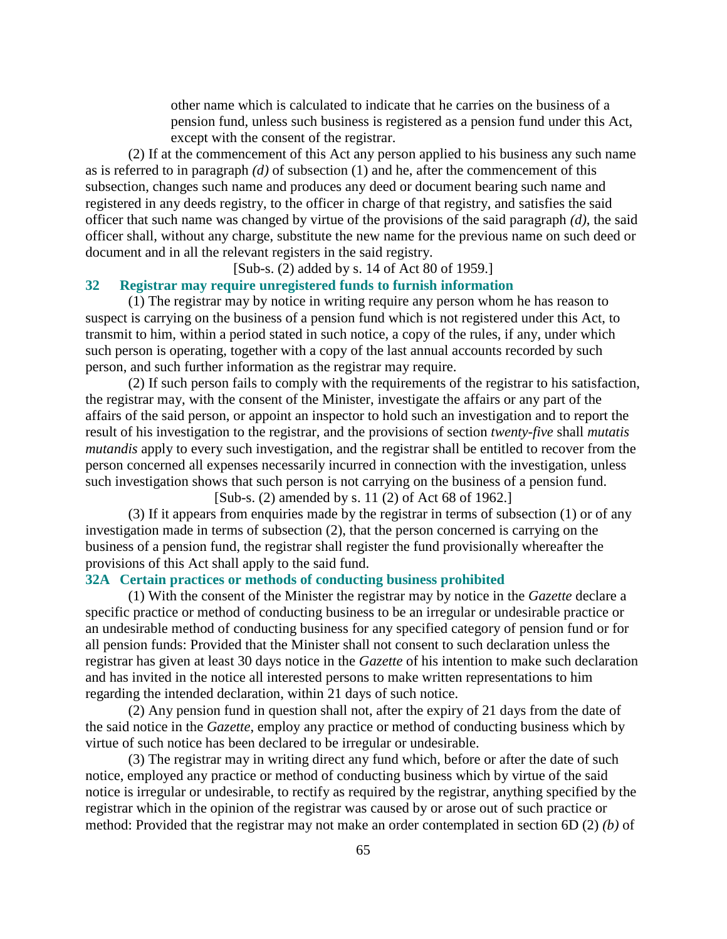other name which is calculated to indicate that he carries on the business of a pension fund, unless such business is registered as a pension fund under this Act, except with the consent of the registrar.

 (2) If at the commencement of this Act any person applied to his business any such name as is referred to in paragraph *(d)* of subsection (1) and he, after the commencement of this subsection, changes such name and produces any deed or document bearing such name and registered in any deeds registry, to the officer in charge of that registry, and satisfies the said officer that such name was changed by virtue of the provisions of the said paragraph *(d)*, the said officer shall, without any charge, substitute the new name for the previous name on such deed or document and in all the relevant registers in the said registry.

[Sub-s. (2) added by s. 14 of Act 80 of 1959.]

#### **32 Registrar may require unregistered funds to furnish information**

 (1) The registrar may by notice in writing require any person whom he has reason to suspect is carrying on the business of a pension fund which is not registered under this Act, to transmit to him, within a period stated in such notice, a copy of the rules, if any, under which such person is operating, together with a copy of the last annual accounts recorded by such person, and such further information as the registrar may require.

 (2) If such person fails to comply with the requirements of the registrar to his satisfaction, the registrar may, with the consent of the Minister, investigate the affairs or any part of the affairs of the said person, or appoint an inspector to hold such an investigation and to report the result of his investigation to the registrar, and the provisions of section *twenty-five* shall *mutatis mutandis* apply to every such investigation, and the registrar shall be entitled to recover from the person concerned all expenses necessarily incurred in connection with the investigation, unless such investigation shows that such person is not carrying on the business of a pension fund.

[Sub-s. (2) amended by s. 11 (2) of Act 68 of 1962.]

 (3) If it appears from enquiries made by the registrar in terms of subsection (1) or of any investigation made in terms of subsection (2), that the person concerned is carrying on the business of a pension fund, the registrar shall register the fund provisionally whereafter the provisions of this Act shall apply to the said fund.

#### **32A Certain practices or methods of conducting business prohibited**

 (1) With the consent of the Minister the registrar may by notice in the *Gazette* declare a specific practice or method of conducting business to be an irregular or undesirable practice or an undesirable method of conducting business for any specified category of pension fund or for all pension funds: Provided that the Minister shall not consent to such declaration unless the registrar has given at least 30 days notice in the *Gazette* of his intention to make such declaration and has invited in the notice all interested persons to make written representations to him regarding the intended declaration, within 21 days of such notice.

 (2) Any pension fund in question shall not, after the expiry of 21 days from the date of the said notice in the *Gazette*, employ any practice or method of conducting business which by virtue of such notice has been declared to be irregular or undesirable.

 (3) The registrar may in writing direct any fund which, before or after the date of such notice, employed any practice or method of conducting business which by virtue of the said notice is irregular or undesirable, to rectify as required by the registrar, anything specified by the registrar which in the opinion of the registrar was caused by or arose out of such practice or method: Provided that the registrar may not make an order contemplated in section 6D (2) *(b)* of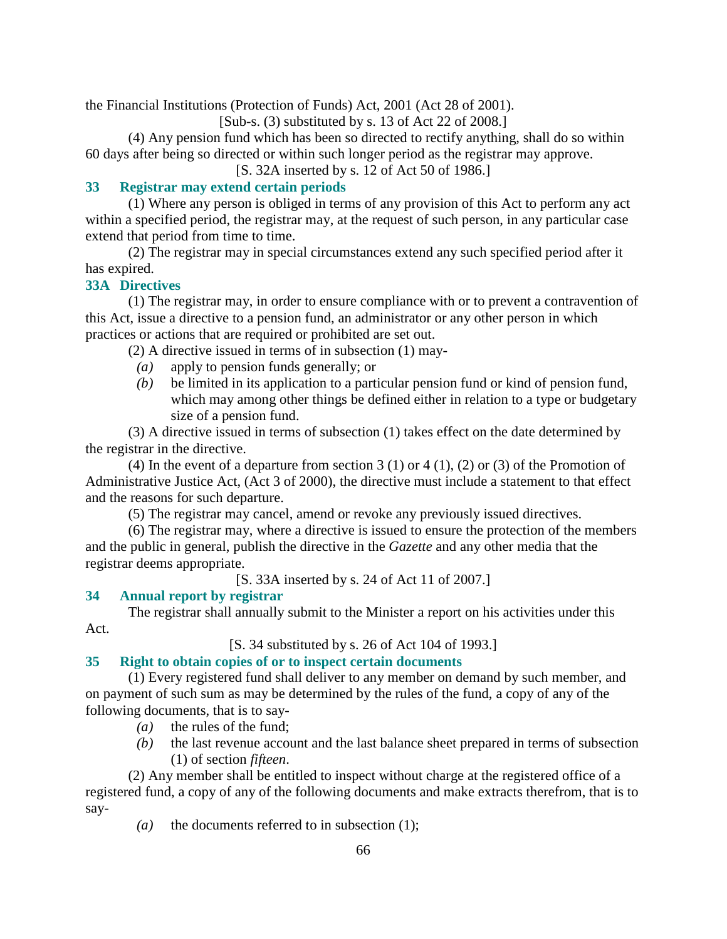the Financial Institutions (Protection of Funds) Act, 2001 (Act 28 of 2001).

[Sub-s. (3) substituted by s. 13 of Act 22 of 2008.]

 (4) Any pension fund which has been so directed to rectify anything, shall do so within 60 days after being so directed or within such longer period as the registrar may approve.

[S. 32A inserted by s. 12 of Act 50 of 1986.]

# **33 Registrar may extend certain periods**

 (1) Where any person is obliged in terms of any provision of this Act to perform any act within a specified period, the registrar may, at the request of such person, in any particular case extend that period from time to time.

 (2) The registrar may in special circumstances extend any such specified period after it has expired.

# **33A Directives**

 (1) The registrar may, in order to ensure compliance with or to prevent a contravention of this Act, issue a directive to a pension fund, an administrator or any other person in which practices or actions that are required or prohibited are set out.

(2) A directive issued in terms of in subsection (1) may-

- *(a)* apply to pension funds generally; or
- *(b)* be limited in its application to a particular pension fund or kind of pension fund, which may among other things be defined either in relation to a type or budgetary size of a pension fund.

 (3) A directive issued in terms of subsection (1) takes effect on the date determined by the registrar in the directive.

(4) In the event of a departure from section 3 (1) or 4 (1), (2) or (3) of the Promotion of Administrative Justice Act, (Act 3 of 2000), the directive must include a statement to that effect and the reasons for such departure.

(5) The registrar may cancel, amend or revoke any previously issued directives.

 (6) The registrar may, where a directive is issued to ensure the protection of the members and the public in general, publish the directive in the *Gazette* and any other media that the registrar deems appropriate.

[S. 33A inserted by s. 24 of Act 11 of 2007.]

# **34 Annual report by registrar**

 The registrar shall annually submit to the Minister a report on his activities under this Act.

[S. 34 substituted by s. 26 of Act 104 of 1993.]

# **35 Right to obtain copies of or to inspect certain documents**

 (1) Every registered fund shall deliver to any member on demand by such member, and on payment of such sum as may be determined by the rules of the fund, a copy of any of the following documents, that is to say-

- *(a)* the rules of the fund;
- *(b)* the last revenue account and the last balance sheet prepared in terms of subsection (1) of section *fifteen*.

 (2) Any member shall be entitled to inspect without charge at the registered office of a registered fund, a copy of any of the following documents and make extracts therefrom, that is to say-

*(a)* the documents referred to in subsection (1);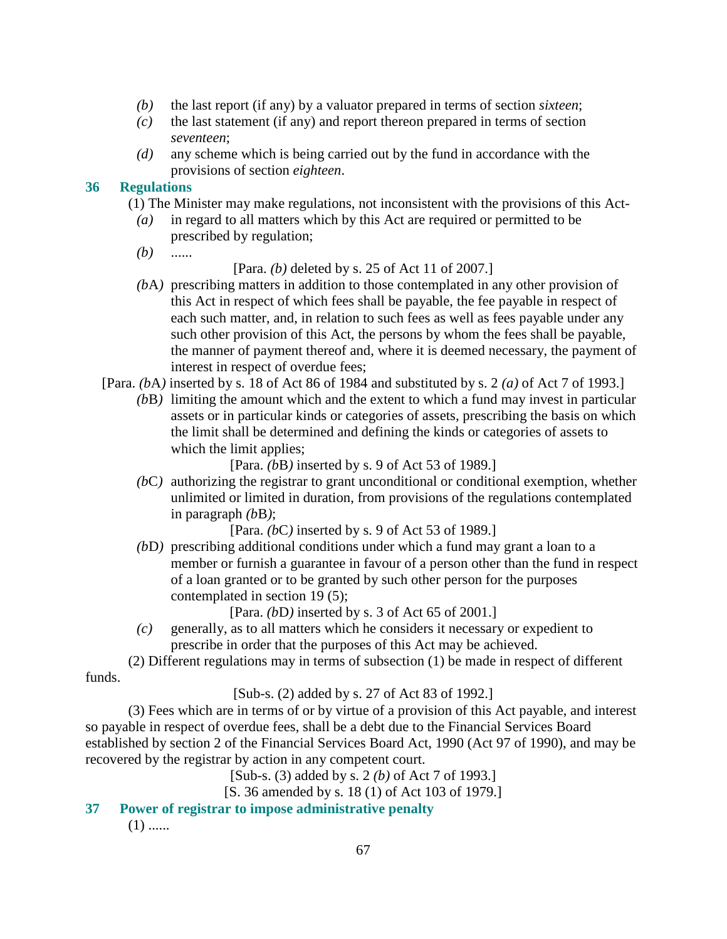- *(b)* the last report (if any) by a valuator prepared in terms of section *sixteen*;
- *(c)* the last statement (if any) and report thereon prepared in terms of section *seventeen*;
- *(d)* any scheme which is being carried out by the fund in accordance with the provisions of section *eighteen*.

### **36 Regulations**

- (1) The Minister may make regulations, not inconsistent with the provisions of this Act-
	- *(a)* in regard to all matters which by this Act are required or permitted to be prescribed by regulation;
	- *(b)* ......

[Para. *(b)* deleted by s. 25 of Act 11 of 2007.]

- *(b*A*)* prescribing matters in addition to those contemplated in any other provision of this Act in respect of which fees shall be payable, the fee payable in respect of each such matter, and, in relation to such fees as well as fees payable under any such other provision of this Act, the persons by whom the fees shall be payable, the manner of payment thereof and, where it is deemed necessary, the payment of interest in respect of overdue fees;
- [Para. *(b*A*)* inserted by s. 18 of Act 86 of 1984 and substituted by s. 2 *(a)* of Act 7 of 1993.]
	- *(b*B*)* limiting the amount which and the extent to which a fund may invest in particular assets or in particular kinds or categories of assets, prescribing the basis on which the limit shall be determined and defining the kinds or categories of assets to which the limit applies;

[Para. *(b*B*)* inserted by s. 9 of Act 53 of 1989.]

 *(b*C*)* authorizing the registrar to grant unconditional or conditional exemption, whether unlimited or limited in duration, from provisions of the regulations contemplated in paragraph *(b*B*)*;

[Para. *(b*C*)* inserted by s. 9 of Act 53 of 1989.]

 *(b*D*)* prescribing additional conditions under which a fund may grant a loan to a member or furnish a guarantee in favour of a person other than the fund in respect of a loan granted or to be granted by such other person for the purposes contemplated in section 19 (5);

[Para. *(b*D*)* inserted by s. 3 of Act 65 of 2001.]

 *(c)* generally, as to all matters which he considers it necessary or expedient to prescribe in order that the purposes of this Act may be achieved.

 (2) Different regulations may in terms of subsection (1) be made in respect of different funds.

[Sub-s. (2) added by s. 27 of Act 83 of 1992.]

 (3) Fees which are in terms of or by virtue of a provision of this Act payable, and interest so payable in respect of overdue fees, shall be a debt due to the Financial Services Board established by section 2 of the Financial Services Board Act, 1990 (Act 97 of 1990), and may be recovered by the registrar by action in any competent court.

[Sub-s. (3) added by s. 2 *(b)* of Act 7 of 1993.]

[S. 36 amended by s. 18 (1) of Act 103 of 1979.]

**37 Power of registrar to impose administrative penalty** 

 $(1)$  ......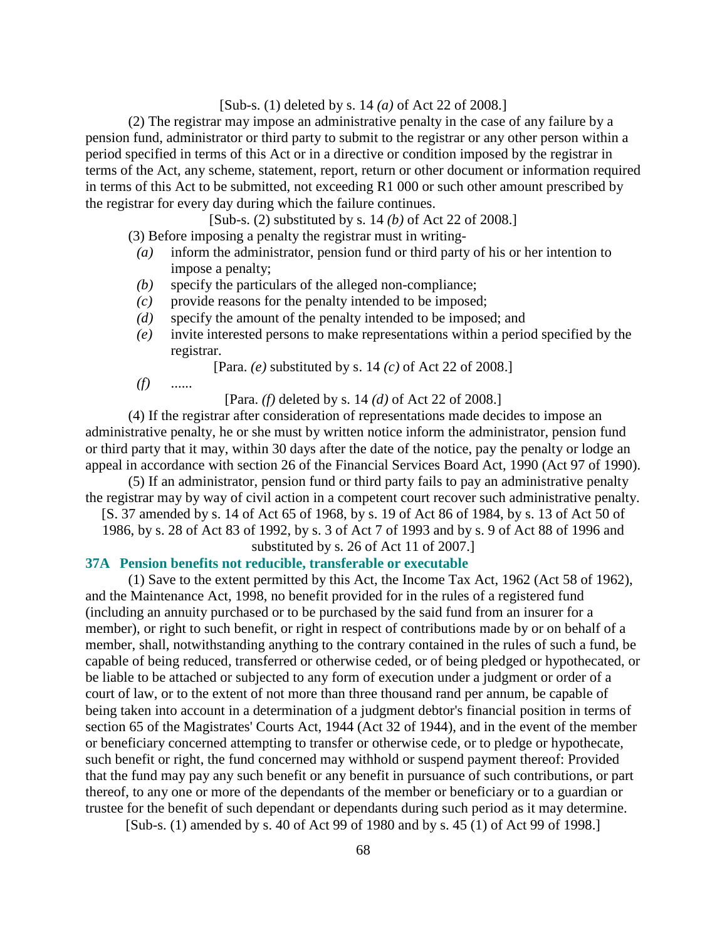#### [Sub-s. (1) deleted by s. 14 *(a)* of Act 22 of 2008.]

 (2) The registrar may impose an administrative penalty in the case of any failure by a pension fund, administrator or third party to submit to the registrar or any other person within a period specified in terms of this Act or in a directive or condition imposed by the registrar in terms of the Act, any scheme, statement, report, return or other document or information required in terms of this Act to be submitted, not exceeding R1 000 or such other amount prescribed by the registrar for every day during which the failure continues.

[Sub-s. (2) substituted by s. 14 *(b)* of Act 22 of 2008.]

(3) Before imposing a penalty the registrar must in writing-

- *(a)* inform the administrator, pension fund or third party of his or her intention to impose a penalty;
- *(b)* specify the particulars of the alleged non-compliance;
- *(c)* provide reasons for the penalty intended to be imposed;
- *(d)* specify the amount of the penalty intended to be imposed; and
- *(e)* invite interested persons to make representations within a period specified by the registrar.

[Para. *(e)* substituted by s. 14 *(c)* of Act 22 of 2008.]

*(f)* ......

[Para. *(f)* deleted by s. 14 *(d)* of Act 22 of 2008.]

 (4) If the registrar after consideration of representations made decides to impose an administrative penalty, he or she must by written notice inform the administrator, pension fund or third party that it may, within 30 days after the date of the notice, pay the penalty or lodge an appeal in accordance with section 26 of the Financial Services Board Act, 1990 (Act 97 of 1990).

 (5) If an administrator, pension fund or third party fails to pay an administrative penalty the registrar may by way of civil action in a competent court recover such administrative penalty.

[S. 37 amended by s. 14 of Act 65 of 1968, by s. 19 of Act 86 of 1984, by s. 13 of Act 50 of

1986, by s. 28 of Act 83 of 1992, by s. 3 of Act 7 of 1993 and by s. 9 of Act 88 of 1996 and

substituted by s. 26 of Act 11 of 2007.]

# **37A Pension benefits not reducible, transferable or executable**

 (1) Save to the extent permitted by this Act, the Income Tax Act, 1962 (Act 58 of 1962), and the Maintenance Act, 1998, no benefit provided for in the rules of a registered fund (including an annuity purchased or to be purchased by the said fund from an insurer for a member), or right to such benefit, or right in respect of contributions made by or on behalf of a member, shall, notwithstanding anything to the contrary contained in the rules of such a fund, be capable of being reduced, transferred or otherwise ceded, or of being pledged or hypothecated, or be liable to be attached or subjected to any form of execution under a judgment or order of a court of law, or to the extent of not more than three thousand rand per annum, be capable of being taken into account in a determination of a judgment debtor's financial position in terms of section 65 of the Magistrates' Courts Act, 1944 (Act 32 of 1944), and in the event of the member or beneficiary concerned attempting to transfer or otherwise cede, or to pledge or hypothecate, such benefit or right, the fund concerned may withhold or suspend payment thereof: Provided that the fund may pay any such benefit or any benefit in pursuance of such contributions, or part thereof, to any one or more of the dependants of the member or beneficiary or to a guardian or trustee for the benefit of such dependant or dependants during such period as it may determine.

[Sub-s. (1) amended by s. 40 of Act 99 of 1980 and by s. 45 (1) of Act 99 of 1998.]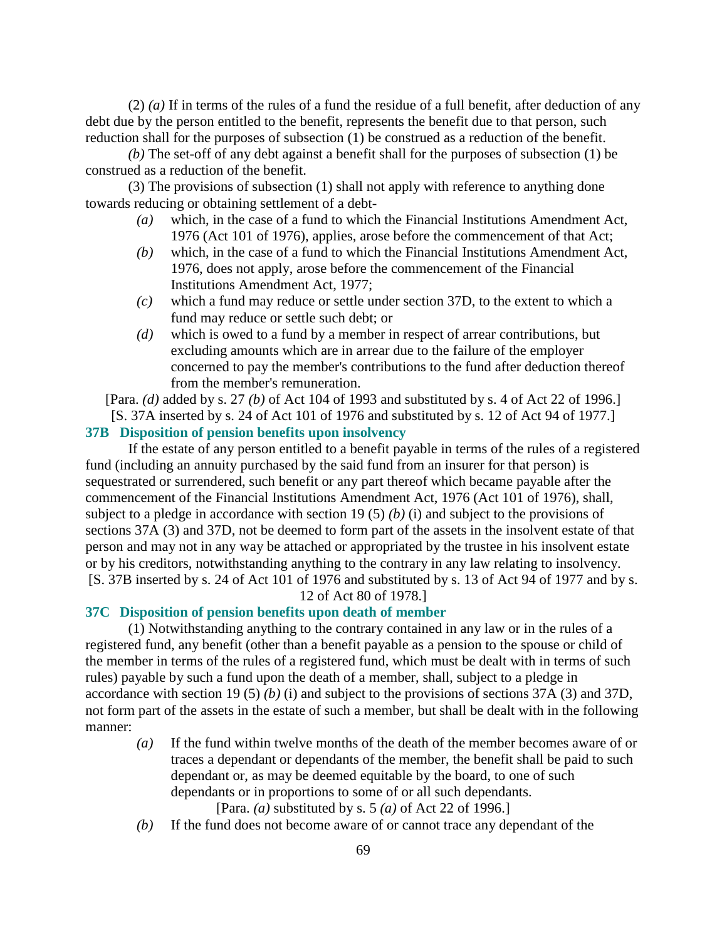(2) *(a)* If in terms of the rules of a fund the residue of a full benefit, after deduction of any debt due by the person entitled to the benefit, represents the benefit due to that person, such reduction shall for the purposes of subsection (1) be construed as a reduction of the benefit.

*(b)* The set-off of any debt against a benefit shall for the purposes of subsection (1) be construed as a reduction of the benefit.

 (3) The provisions of subsection (1) shall not apply with reference to anything done towards reducing or obtaining settlement of a debt-

- *(a)* which, in the case of a fund to which the Financial Institutions Amendment Act, 1976 (Act 101 of 1976), applies, arose before the commencement of that Act;
- *(b)* which, in the case of a fund to which the Financial Institutions Amendment Act, 1976, does not apply, arose before the commencement of the Financial Institutions Amendment Act, 1977;
- *(c)* which a fund may reduce or settle under section 37D, to the extent to which a fund may reduce or settle such debt; or
- *(d)* which is owed to a fund by a member in respect of arrear contributions, but excluding amounts which are in arrear due to the failure of the employer concerned to pay the member's contributions to the fund after deduction thereof from the member's remuneration.

[Para. *(d)* added by s. 27 *(b)* of Act 104 of 1993 and substituted by s. 4 of Act 22 of 1996.] [S. 37A inserted by s. 24 of Act 101 of 1976 and substituted by s. 12 of Act 94 of 1977.]

# **37B Disposition of pension benefits upon insolvency**

 If the estate of any person entitled to a benefit payable in terms of the rules of a registered fund (including an annuity purchased by the said fund from an insurer for that person) is sequestrated or surrendered, such benefit or any part thereof which became payable after the commencement of the Financial Institutions Amendment Act, 1976 (Act 101 of 1976), shall, subject to a pledge in accordance with section 19 (5) *(b)* (i) and subject to the provisions of sections 37A (3) and 37D, not be deemed to form part of the assets in the insolvent estate of that person and may not in any way be attached or appropriated by the trustee in his insolvent estate or by his creditors, notwithstanding anything to the contrary in any law relating to insolvency. [S. 37B inserted by s. 24 of Act 101 of 1976 and substituted by s. 13 of Act 94 of 1977 and by s. 12 of Act 80 of 1978.]

### **37C Disposition of pension benefits upon death of member**

 (1) Notwithstanding anything to the contrary contained in any law or in the rules of a registered fund, any benefit (other than a benefit payable as a pension to the spouse or child of the member in terms of the rules of a registered fund, which must be dealt with in terms of such rules) payable by such a fund upon the death of a member, shall, subject to a pledge in accordance with section 19 (5) *(b)* (i) and subject to the provisions of sections 37A (3) and 37D, not form part of the assets in the estate of such a member, but shall be dealt with in the following manner:

 *(a)* If the fund within twelve months of the death of the member becomes aware of or traces a dependant or dependants of the member, the benefit shall be paid to such dependant or, as may be deemed equitable by the board, to one of such dependants or in proportions to some of or all such dependants.

[Para. *(a)* substituted by s. 5 *(a)* of Act 22 of 1996.]

*(b)* If the fund does not become aware of or cannot trace any dependant of the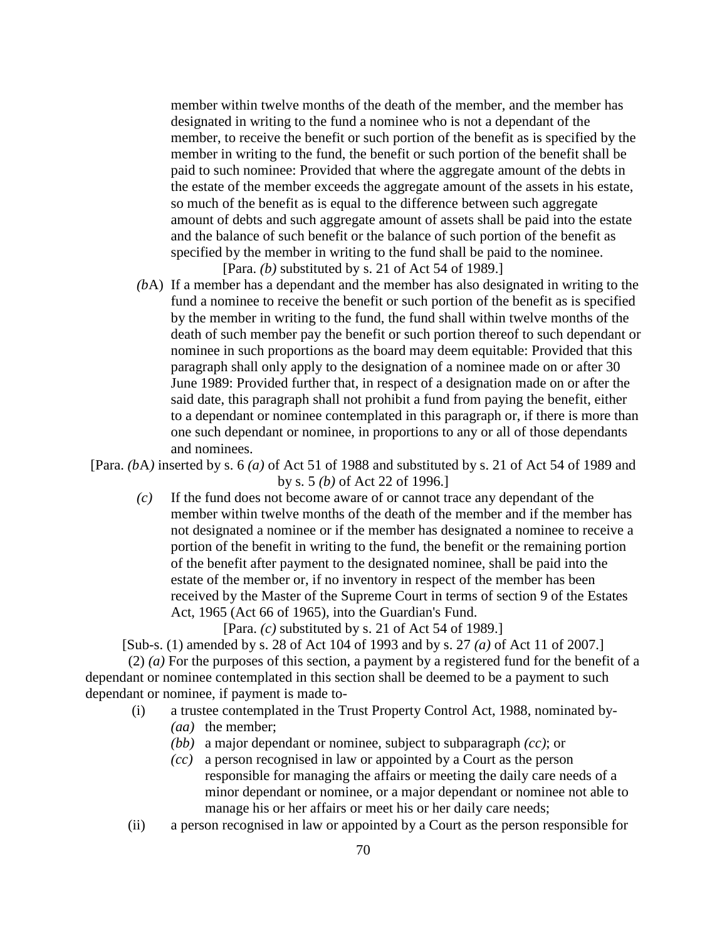member within twelve months of the death of the member, and the member has designated in writing to the fund a nominee who is not a dependant of the member, to receive the benefit or such portion of the benefit as is specified by the member in writing to the fund, the benefit or such portion of the benefit shall be paid to such nominee: Provided that where the aggregate amount of the debts in the estate of the member exceeds the aggregate amount of the assets in his estate, so much of the benefit as is equal to the difference between such aggregate amount of debts and such aggregate amount of assets shall be paid into the estate and the balance of such benefit or the balance of such portion of the benefit as specified by the member in writing to the fund shall be paid to the nominee. [Para. *(b)* substituted by s. 21 of Act 54 of 1989.]

 *(b*A) If a member has a dependant and the member has also designated in writing to the fund a nominee to receive the benefit or such portion of the benefit as is specified by the member in writing to the fund, the fund shall within twelve months of the death of such member pay the benefit or such portion thereof to such dependant or nominee in such proportions as the board may deem equitable: Provided that this paragraph shall only apply to the designation of a nominee made on or after 30 June 1989: Provided further that, in respect of a designation made on or after the said date, this paragraph shall not prohibit a fund from paying the benefit, either to a dependant or nominee contemplated in this paragraph or, if there is more than one such dependant or nominee, in proportions to any or all of those dependants and nominees.

[Para. *(b*A*)* inserted by s. 6 *(a)* of Act 51 of 1988 and substituted by s. 21 of Act 54 of 1989 and by s. 5 *(b)* of Act 22 of 1996.]

 *(c)* If the fund does not become aware of or cannot trace any dependant of the member within twelve months of the death of the member and if the member has not designated a nominee or if the member has designated a nominee to receive a portion of the benefit in writing to the fund, the benefit or the remaining portion of the benefit after payment to the designated nominee, shall be paid into the estate of the member or, if no inventory in respect of the member has been received by the Master of the Supreme Court in terms of section 9 of the Estates Act, 1965 (Act 66 of 1965), into the Guardian's Fund.

[Para. *(c)* substituted by s. 21 of Act 54 of 1989.]

[Sub-s. (1) amended by s. 28 of Act 104 of 1993 and by s. 27 *(a)* of Act 11 of 2007.]

 (2) *(a)* For the purposes of this section, a payment by a registered fund for the benefit of a dependant or nominee contemplated in this section shall be deemed to be a payment to such dependant or nominee, if payment is made to-

(i) a trustee contemplated in the Trust Property Control Act, 1988, nominated by-

- (*aa*) the member:
- *(bb)* a major dependant or nominee, subject to subparagraph *(cc)*; or
- *(cc)* a person recognised in law or appointed by a Court as the person responsible for managing the affairs or meeting the daily care needs of a minor dependant or nominee, or a major dependant or nominee not able to manage his or her affairs or meet his or her daily care needs;
- (ii) a person recognised in law or appointed by a Court as the person responsible for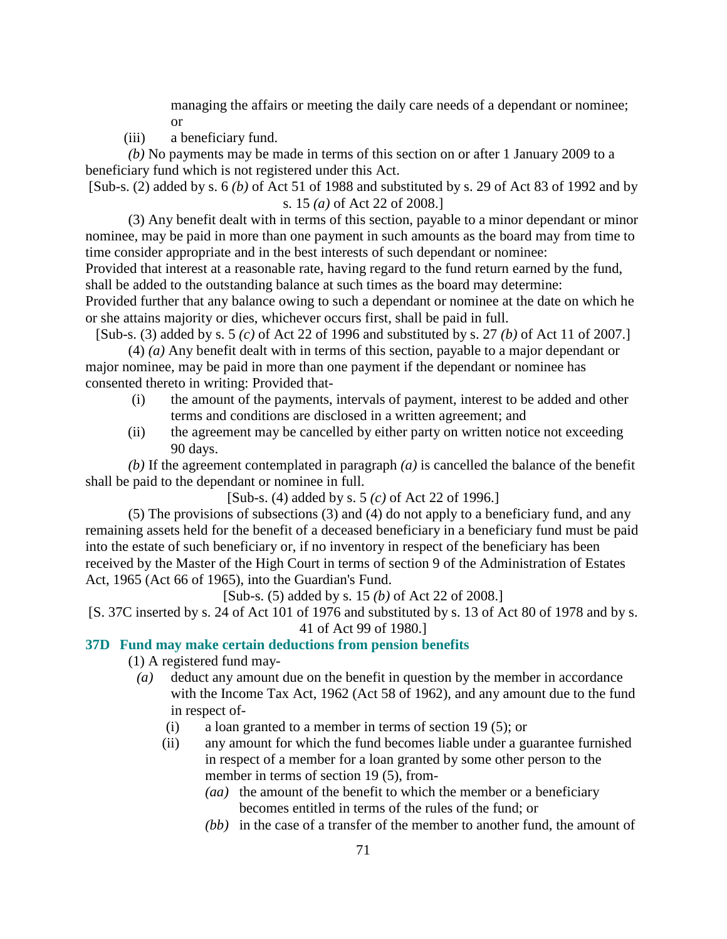managing the affairs or meeting the daily care needs of a dependant or nominee; or

(iii) a beneficiary fund.

*(b)* No payments may be made in terms of this section on or after 1 January 2009 to a beneficiary fund which is not registered under this Act.

[Sub-s. (2) added by s. 6 *(b)* of Act 51 of 1988 and substituted by s. 29 of Act 83 of 1992 and by s. 15 *(a)* of Act 22 of 2008.]

 (3) Any benefit dealt with in terms of this section, payable to a minor dependant or minor nominee, may be paid in more than one payment in such amounts as the board may from time to time consider appropriate and in the best interests of such dependant or nominee:

Provided that interest at a reasonable rate, having regard to the fund return earned by the fund, shall be added to the outstanding balance at such times as the board may determine:

Provided further that any balance owing to such a dependant or nominee at the date on which he or she attains majority or dies, whichever occurs first, shall be paid in full.

[Sub-s. (3) added by s. 5 *(c)* of Act 22 of 1996 and substituted by s. 27 *(b)* of Act 11 of 2007.]

 (4) *(a)* Any benefit dealt with in terms of this section, payable to a major dependant or major nominee, may be paid in more than one payment if the dependant or nominee has consented thereto in writing: Provided that-

- (i) the amount of the payments, intervals of payment, interest to be added and other terms and conditions are disclosed in a written agreement; and
- (ii) the agreement may be cancelled by either party on written notice not exceeding 90 days.

*(b)* If the agreement contemplated in paragraph *(a)* is cancelled the balance of the benefit shall be paid to the dependant or nominee in full.

[Sub-s. (4) added by s. 5 *(c)* of Act 22 of 1996.]

 (5) The provisions of subsections (3) and (4) do not apply to a beneficiary fund, and any remaining assets held for the benefit of a deceased beneficiary in a beneficiary fund must be paid into the estate of such beneficiary or, if no inventory in respect of the beneficiary has been received by the Master of the High Court in terms of section 9 of the Administration of Estates Act, 1965 (Act 66 of 1965), into the Guardian's Fund.

[Sub-s. (5) added by s. 15 *(b)* of Act 22 of 2008.]

[S. 37C inserted by s. 24 of Act 101 of 1976 and substituted by s. 13 of Act 80 of 1978 and by s. 41 of Act 99 of 1980.]

## **37D Fund may make certain deductions from pension benefits**

(1) A registered fund may-

- *(a)* deduct any amount due on the benefit in question by the member in accordance with the Income Tax Act, 1962 (Act 58 of 1962), and any amount due to the fund in respect of-
	- (i) a loan granted to a member in terms of section 19 (5); or
	- (ii) any amount for which the fund becomes liable under a guarantee furnished in respect of a member for a loan granted by some other person to the member in terms of section 19 (5), from-
		- *(aa)* the amount of the benefit to which the member or a beneficiary becomes entitled in terms of the rules of the fund; or
		- *(bb)* in the case of a transfer of the member to another fund, the amount of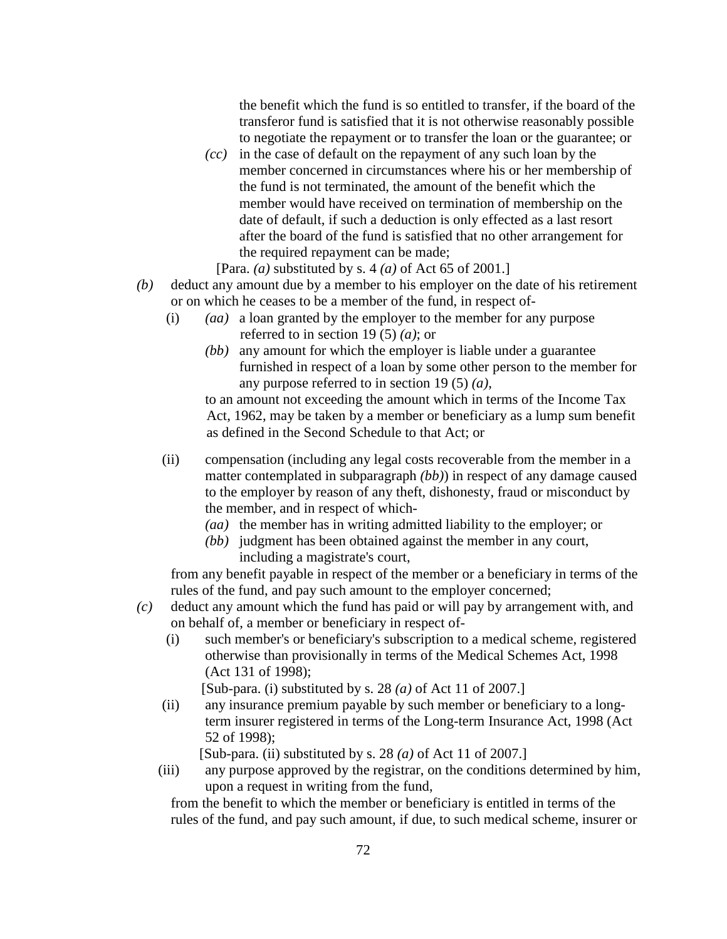the benefit which the fund is so entitled to transfer, if the board of the transferor fund is satisfied that it is not otherwise reasonably possible to negotiate the repayment or to transfer the loan or the guarantee; or

- *(cc)* in the case of default on the repayment of any such loan by the member concerned in circumstances where his or her membership of the fund is not terminated, the amount of the benefit which the member would have received on termination of membership on the date of default, if such a deduction is only effected as a last resort after the board of the fund is satisfied that no other arrangement for the required repayment can be made;
	- [Para. *(a)* substituted by s. 4 *(a)* of Act 65 of 2001.]
- *(b)* deduct any amount due by a member to his employer on the date of his retirement or on which he ceases to be a member of the fund, in respect of-
	- (i) *(aa)* a loan granted by the employer to the member for any purpose referred to in section 19 (5) *(a)*; or
		- *(bb)* any amount for which the employer is liable under a guarantee furnished in respect of a loan by some other person to the member for any purpose referred to in section 19 (5) *(a)*,

 to an amount not exceeding the amount which in terms of the Income Tax Act, 1962, may be taken by a member or beneficiary as a lump sum benefit as defined in the Second Schedule to that Act; or

- (ii) compensation (including any legal costs recoverable from the member in a matter contemplated in subparagraph *(bb)*) in respect of any damage caused to the employer by reason of any theft, dishonesty, fraud or misconduct by the member, and in respect of which-
	- *(aa)* the member has in writing admitted liability to the employer; or
	- *(bb)* judgment has been obtained against the member in any court, including a magistrate's court,

 from any benefit payable in respect of the member or a beneficiary in terms of the rules of the fund, and pay such amount to the employer concerned;

- *(c)* deduct any amount which the fund has paid or will pay by arrangement with, and on behalf of, a member or beneficiary in respect of-
	- (i) such member's or beneficiary's subscription to a medical scheme, registered otherwise than provisionally in terms of the Medical Schemes Act, 1998 (Act 131 of 1998);

[Sub-para. (i) substituted by s. 28 *(a)* of Act 11 of 2007.]

 (ii) any insurance premium payable by such member or beneficiary to a longterm insurer registered in terms of the Long-term Insurance Act, 1998 (Act 52 of 1998);

[Sub-para. (ii) substituted by s. 28 *(a)* of Act 11 of 2007.]

 (iii) any purpose approved by the registrar, on the conditions determined by him, upon a request in writing from the fund,

 from the benefit to which the member or beneficiary is entitled in terms of the rules of the fund, and pay such amount, if due, to such medical scheme, insurer or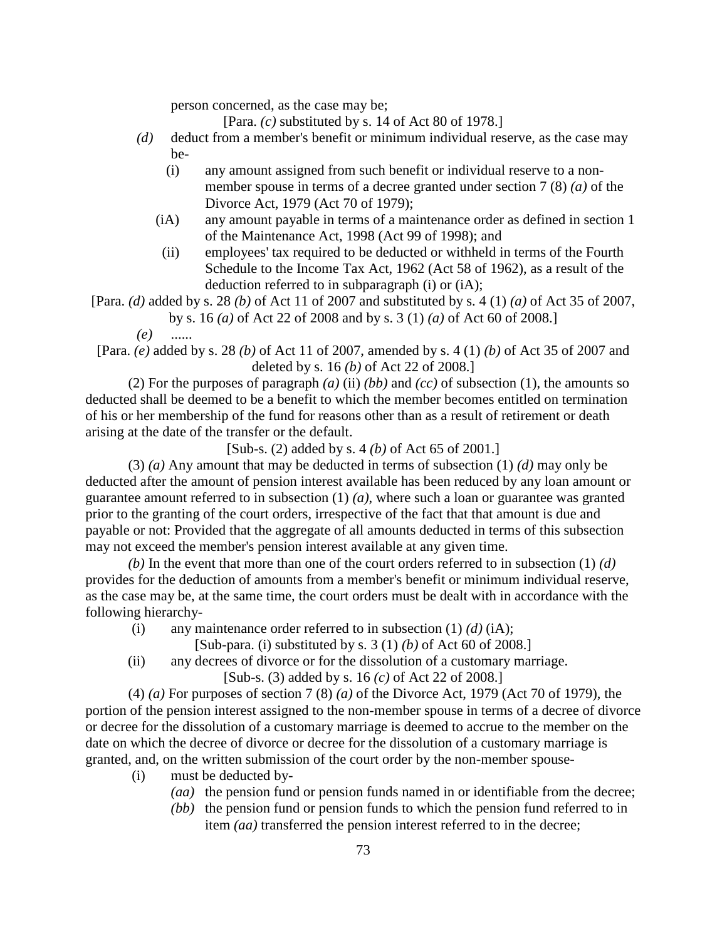person concerned, as the case may be;

[Para. *(c)* substituted by s. 14 of Act 80 of 1978.]

- *(d)* deduct from a member's benefit or minimum individual reserve, as the case may be-
	- (i) any amount assigned from such benefit or individual reserve to a nonmember spouse in terms of a decree granted under section 7 (8) *(a)* of the Divorce Act, 1979 (Act 70 of 1979);
	- (iA) any amount payable in terms of a maintenance order as defined in section 1 of the Maintenance Act, 1998 (Act 99 of 1998); and
	- (ii) employees' tax required to be deducted or withheld in terms of the Fourth Schedule to the Income Tax Act, 1962 (Act 58 of 1962), as a result of the deduction referred to in subparagraph (i) or (iA);

[Para. *(d)* added by s. 28 *(b)* of Act 11 of 2007 and substituted by s. 4 (1) *(a)* of Act 35 of 2007, by s. 16 *(a)* of Act 22 of 2008 and by s. 3 (1) *(a)* of Act 60 of 2008.]

*(e)* ......

[Para. *(e)* added by s. 28 *(b)* of Act 11 of 2007, amended by s. 4 (1) *(b)* of Act 35 of 2007 and deleted by s. 16 *(b)* of Act 22 of 2008.]

 (2) For the purposes of paragraph *(a)* (ii) *(bb)* and *(cc)* of subsection (1), the amounts so deducted shall be deemed to be a benefit to which the member becomes entitled on termination of his or her membership of the fund for reasons other than as a result of retirement or death arising at the date of the transfer or the default.

[Sub-s. (2) added by s. 4 *(b)* of Act 65 of 2001.]

 (3) *(a)* Any amount that may be deducted in terms of subsection (1) *(d)* may only be deducted after the amount of pension interest available has been reduced by any loan amount or guarantee amount referred to in subsection (1) *(a)*, where such a loan or guarantee was granted prior to the granting of the court orders, irrespective of the fact that that amount is due and payable or not: Provided that the aggregate of all amounts deducted in terms of this subsection may not exceed the member's pension interest available at any given time.

*(b)* In the event that more than one of the court orders referred to in subsection (1) *(d)* provides for the deduction of amounts from a member's benefit or minimum individual reserve, as the case may be, at the same time, the court orders must be dealt with in accordance with the following hierarchy-

- (i) any maintenance order referred to in subsection (1) *(d)* (iA);
	- [Sub-para. (i) substituted by s. 3 (1) *(b)* of Act 60 of 2008.]
- (ii) any decrees of divorce or for the dissolution of a customary marriage.

[Sub-s. (3) added by s. 16 *(c)* of Act 22 of 2008.]

 (4) *(a)* For purposes of section 7 (8) *(a)* of the Divorce Act, 1979 (Act 70 of 1979), the portion of the pension interest assigned to the non-member spouse in terms of a decree of divorce or decree for the dissolution of a customary marriage is deemed to accrue to the member on the date on which the decree of divorce or decree for the dissolution of a customary marriage is granted, and, on the written submission of the court order by the non-member spouse-

- (i) must be deducted by-
	- *(aa)* the pension fund or pension funds named in or identifiable from the decree;
	- *(bb)* the pension fund or pension funds to which the pension fund referred to in item *(aa)* transferred the pension interest referred to in the decree;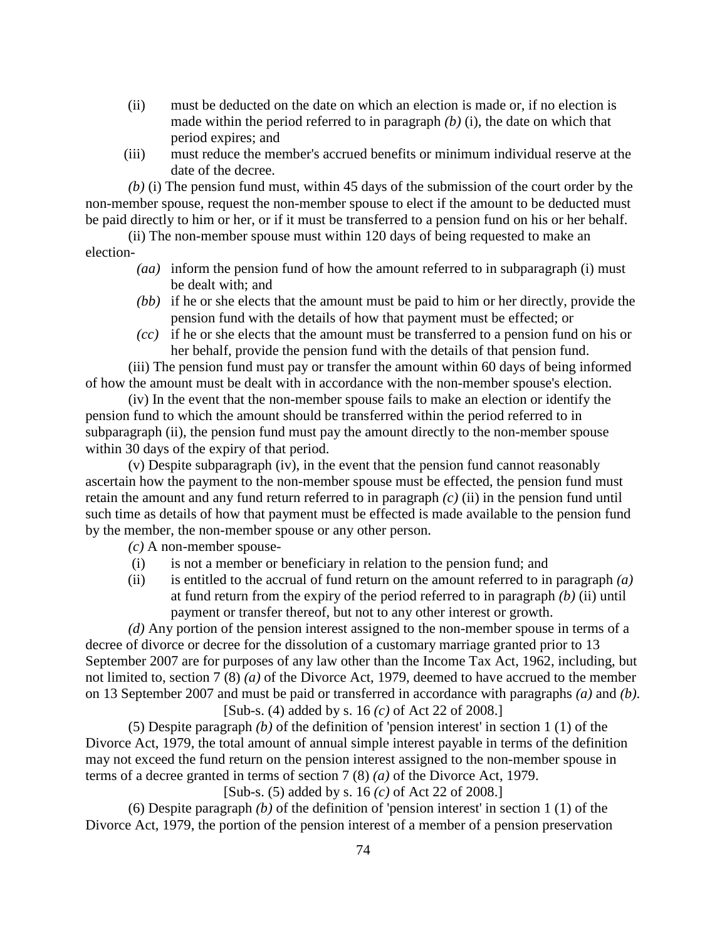- (ii) must be deducted on the date on which an election is made or, if no election is made within the period referred to in paragraph *(b)* (i), the date on which that period expires; and
- (iii) must reduce the member's accrued benefits or minimum individual reserve at the date of the decree.

*(b)* (i) The pension fund must, within 45 days of the submission of the court order by the non-member spouse, request the non-member spouse to elect if the amount to be deducted must be paid directly to him or her, or if it must be transferred to a pension fund on his or her behalf.

 (ii) The non-member spouse must within 120 days of being requested to make an election-

- *(aa)* inform the pension fund of how the amount referred to in subparagraph (i) must be dealt with; and
- *(bb)* if he or she elects that the amount must be paid to him or her directly, provide the pension fund with the details of how that payment must be effected; or
- *(cc)* if he or she elects that the amount must be transferred to a pension fund on his or her behalf, provide the pension fund with the details of that pension fund.

 (iii) The pension fund must pay or transfer the amount within 60 days of being informed of how the amount must be dealt with in accordance with the non-member spouse's election.

 (iv) In the event that the non-member spouse fails to make an election or identify the pension fund to which the amount should be transferred within the period referred to in subparagraph (ii), the pension fund must pay the amount directly to the non-member spouse within 30 days of the expiry of that period.

 (v) Despite subparagraph (iv), in the event that the pension fund cannot reasonably ascertain how the payment to the non-member spouse must be effected, the pension fund must retain the amount and any fund return referred to in paragraph *(c)* (ii) in the pension fund until such time as details of how that payment must be effected is made available to the pension fund by the member, the non-member spouse or any other person.

*(c)* A non-member spouse-

- (i) is not a member or beneficiary in relation to the pension fund; and
- (ii) is entitled to the accrual of fund return on the amount referred to in paragraph *(a)* at fund return from the expiry of the period referred to in paragraph *(b)* (ii) until payment or transfer thereof, but not to any other interest or growth.

*(d)* Any portion of the pension interest assigned to the non-member spouse in terms of a decree of divorce or decree for the dissolution of a customary marriage granted prior to 13 September 2007 are for purposes of any law other than the Income Tax Act, 1962, including, but not limited to, section 7 (8) *(a)* of the Divorce Act, 1979, deemed to have accrued to the member on 13 September 2007 and must be paid or transferred in accordance with paragraphs *(a)* and *(b)*. [Sub-s. (4) added by s. 16 *(c)* of Act 22 of 2008.]

 (5) Despite paragraph *(b)* of the definition of 'pension interest' in section 1 (1) of the Divorce Act, 1979, the total amount of annual simple interest payable in terms of the definition may not exceed the fund return on the pension interest assigned to the non-member spouse in terms of a decree granted in terms of section 7 (8) *(a)* of the Divorce Act, 1979.

[Sub-s. (5) added by s. 16 *(c)* of Act 22 of 2008.]

 (6) Despite paragraph *(b)* of the definition of 'pension interest' in section 1 (1) of the Divorce Act, 1979, the portion of the pension interest of a member of a pension preservation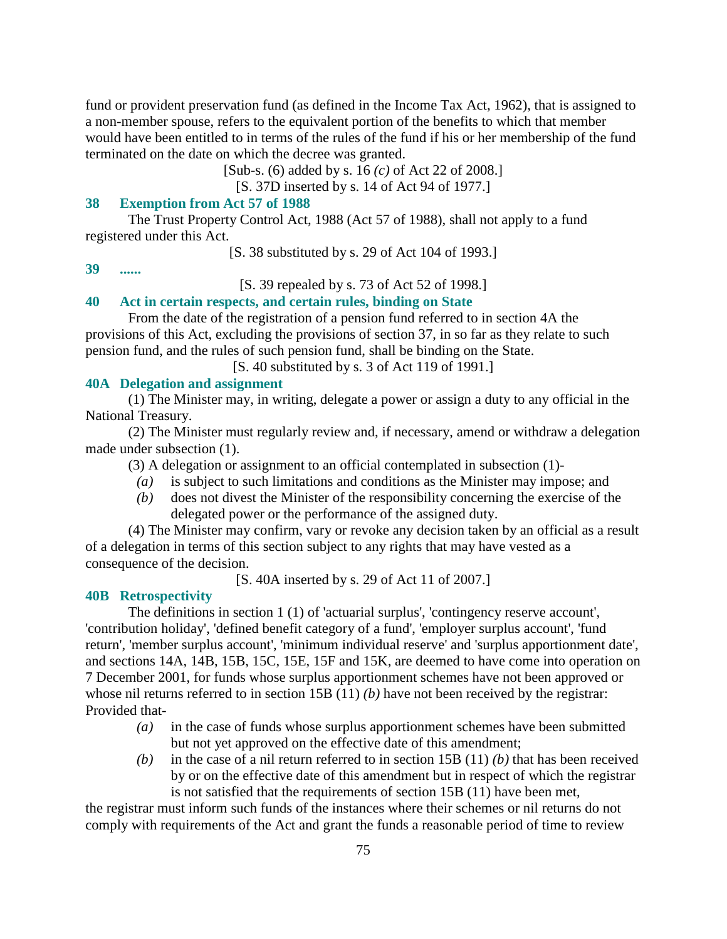fund or provident preservation fund (as defined in the Income Tax Act, 1962), that is assigned to a non-member spouse, refers to the equivalent portion of the benefits to which that member would have been entitled to in terms of the rules of the fund if his or her membership of the fund terminated on the date on which the decree was granted.

[Sub-s. (6) added by s. 16 *(c)* of Act 22 of 2008.]

[S. 37D inserted by s. 14 of Act 94 of 1977.]

## **38 Exemption from Act 57 of 1988**

 The Trust Property Control Act, 1988 (Act 57 of 1988), shall not apply to a fund registered under this Act.

[S. 38 substituted by s. 29 of Act 104 of 1993.]

**39 ......** 

[S. 39 repealed by s. 73 of Act 52 of 1998.]

## **40 Act in certain respects, and certain rules, binding on State**

 From the date of the registration of a pension fund referred to in section 4A the provisions of this Act, excluding the provisions of section 37, in so far as they relate to such pension fund, and the rules of such pension fund, shall be binding on the State.

[S. 40 substituted by s. 3 of Act 119 of 1991.]

### **40A Delegation and assignment**

 (1) The Minister may, in writing, delegate a power or assign a duty to any official in the National Treasury.

 (2) The Minister must regularly review and, if necessary, amend or withdraw a delegation made under subsection (1).

(3) A delegation or assignment to an official contemplated in subsection (1)-

- *(a)* is subject to such limitations and conditions as the Minister may impose; and
- *(b)* does not divest the Minister of the responsibility concerning the exercise of the delegated power or the performance of the assigned duty.

 (4) The Minister may confirm, vary or revoke any decision taken by an official as a result of a delegation in terms of this section subject to any rights that may have vested as a consequence of the decision.

[S. 40A inserted by s. 29 of Act 11 of 2007.]

#### **40B Retrospectivity**

 The definitions in section 1 (1) of 'actuarial surplus', 'contingency reserve account', 'contribution holiday', 'defined benefit category of a fund', 'employer surplus account', 'fund return', 'member surplus account', 'minimum individual reserve' and 'surplus apportionment date', and sections 14A, 14B, 15B, 15C, 15E, 15F and 15K, are deemed to have come into operation on 7 December 2001, for funds whose surplus apportionment schemes have not been approved or whose nil returns referred to in section 15B (11) *(b)* have not been received by the registrar: Provided that-

- *(a)* in the case of funds whose surplus apportionment schemes have been submitted but not yet approved on the effective date of this amendment;
- *(b)* in the case of a nil return referred to in section 15B (11) *(b)* that has been received by or on the effective date of this amendment but in respect of which the registrar is not satisfied that the requirements of section 15B (11) have been met,

the registrar must inform such funds of the instances where their schemes or nil returns do not comply with requirements of the Act and grant the funds a reasonable period of time to review